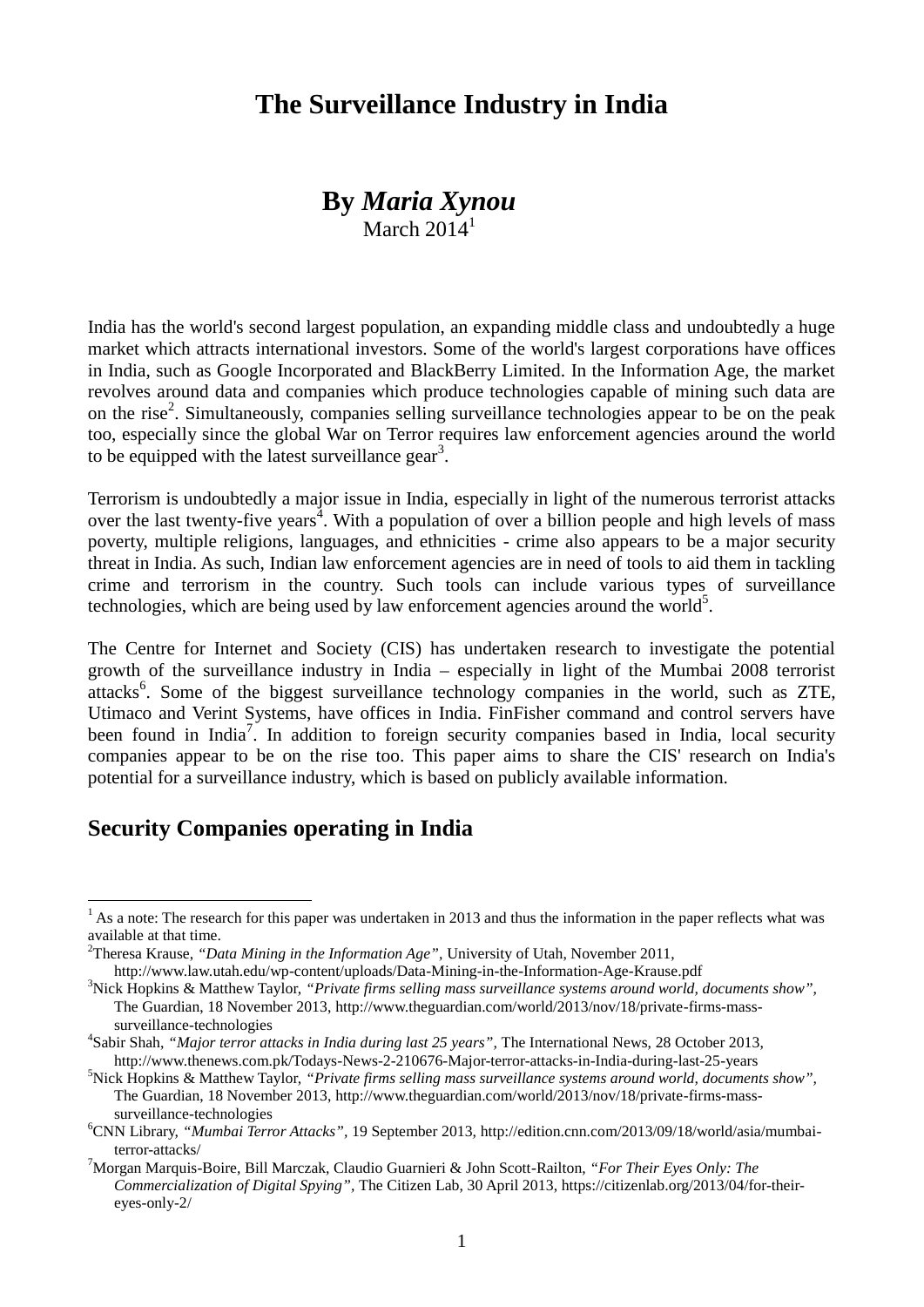# **The Surveillance Industry in India**

#### **By** *Maria Xynou* March  $2014^1$

India has the world's second largest population, an expanding middle class and undoubtedly a huge market which attracts international investors. Some of the world's largest corporations have offices in India, such as Google Incorporated and BlackBerry Limited. In the Information Age, the market revolves around data and companies which produce technologies capable of mining such data are on the rise<sup>2</sup>. Simultaneously, companies selling surveillance technologies appear to be on the peak too, especially since the global War on Terror requires law enforcement agencies around the world to be equipped with the latest surveillance gear<sup>3</sup>.

Terrorism is undoubtedly a major issue in India, especially in light of the numerous terrorist attacks over the last twenty-five years<sup>4</sup>. With a population of over a billion people and high levels of mass poverty, multiple religions, languages, and ethnicities - crime also appears to be a major security threat in India. As such, Indian law enforcement agencies are in need of tools to aid them in tackling crime and terrorism in the country. Such tools can include various types of surveillance technologies, which are being used by law enforcement agencies around the world<sup>5</sup>.

The Centre for Internet and Society (CIS) has undertaken research to investigate the potential growth of the surveillance industry in India – especially in light of the Mumbai 2008 terrorist attacks<sup>6</sup>. Some of the biggest surveillance technology companies in the world, such as ZTE, Utimaco and Verint Systems, have offices in India. FinFisher command and control servers have been found in India<sup>7</sup>. In addition to foreign security companies based in India, local security companies appear to be on the rise too. This paper aims to share the CIS' research on India's potential for a surveillance industry, which is based on publicly available information.

#### **Security Companies operating in India**

<u>.</u>

 $<sup>1</sup>$  As a note: The research for this paper was undertaken in 2013 and thus the information in the paper reflects what was</sup> available at that time.

<sup>2</sup>Theresa Krause, *"Data Mining in the Information Age",* University of Utah, November 2011, <http://www.law.utah.edu/wp-content/uploads/Data-Mining-in-the-Information-Age-Krause.pdf>

<sup>3</sup>Nick Hopkins & Matthew Taylor, *"Private firms selling mass surveillance systems around world, documents show",*  The Guardian, 18 November 2013, [http://www.theguardian.com/world/2013/nov/18/private-firms-mass](http://www.theguardian.com/world/2013/nov/18/private-firms-mass-surveillance-technologies)[surveillance-technologies](http://www.theguardian.com/world/2013/nov/18/private-firms-mass-surveillance-technologies)

<sup>4</sup> Sabir Shah, *"Major terror attacks in India during last 25 years",* The International News, 28 October 2013, <http://www.thenews.com.pk/Todays-News-2-210676-Major-terror-attacks-in-India-during-last-25-years>

<sup>&</sup>lt;sup>5</sup>Nick Hopkins & Matthew Taylor, "Private firms selling mass surveillance systems around world, documents show", The Guardian, 18 November 2013, [http://www.theguardian.com/world/2013/nov/18/private-firms-mass](http://www.theguardian.com/world/2013/nov/18/private-firms-mass-surveillance-technologies)[surveillance-technologies](http://www.theguardian.com/world/2013/nov/18/private-firms-mass-surveillance-technologies)

<sup>6</sup>CNN Library, *"Mumbai Terror Attacks",* 19 September 2013, [http://edition.cnn.com/2013/09/18/world/asia/mumbai](http://edition.cnn.com/2013/09/18/world/asia/mumbai-terror-attacks/)[terror-attacks/](http://edition.cnn.com/2013/09/18/world/asia/mumbai-terror-attacks/)

<sup>7</sup>Morgan Marquis-Boire, Bill Marczak, Claudio Guarnieri & John Scott-Railton, *"For Their Eyes Only: The Commercialization of Digital Spying",* The Citizen Lab, 30 April 2013, [https://citizenlab.org/2013/04/for-their](https://citizenlab.org/2013/04/for-their-eyes-only-2/)[eyes-only-2/](https://citizenlab.org/2013/04/for-their-eyes-only-2/)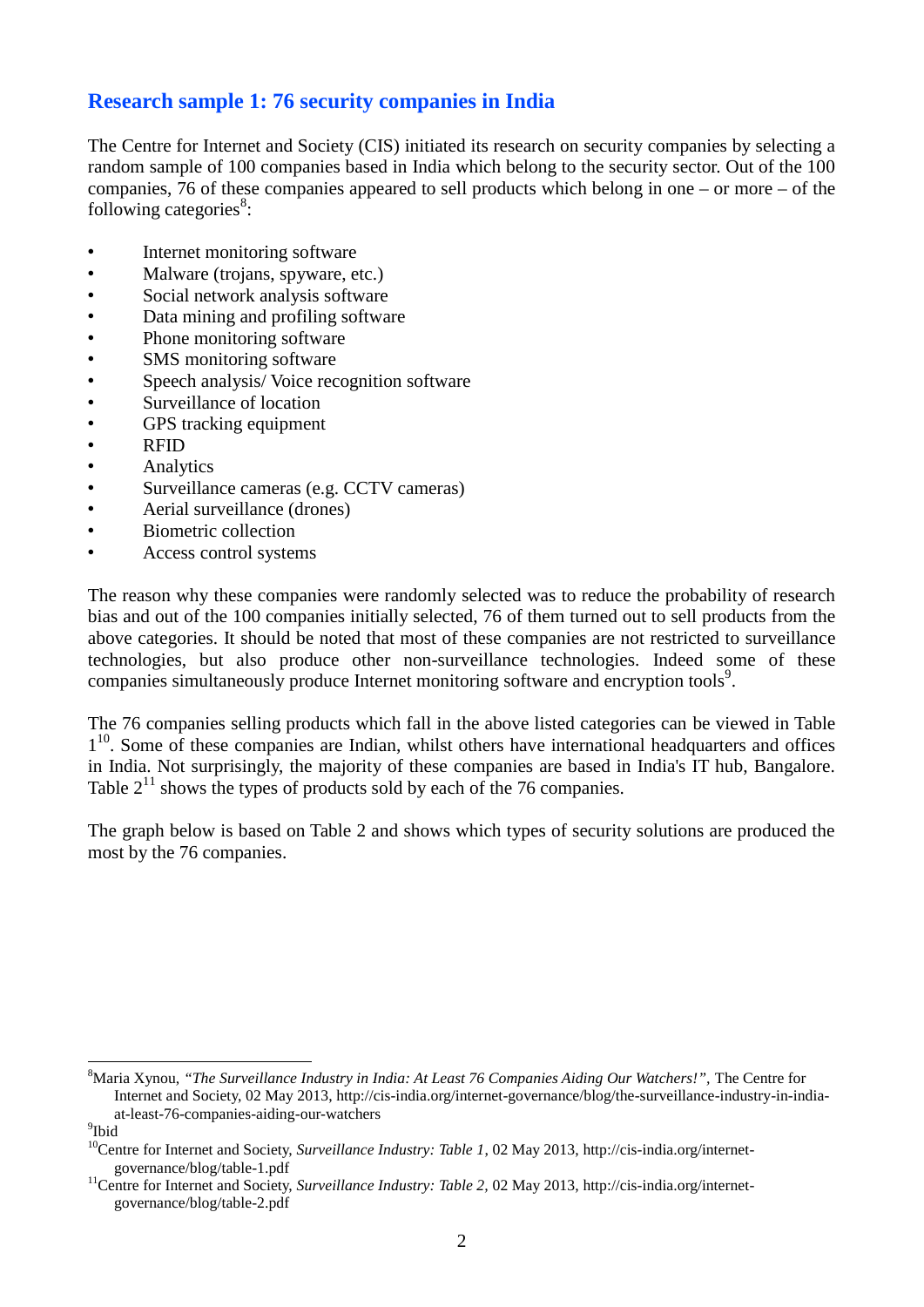## **Research sample 1: 76 security companies in India**

The Centre for Internet and Society (CIS) initiated its research on security companies by selecting a random sample of 100 companies based in India which belong to the security sector. Out of the 100 companies, 76 of these companies appeared to sell products which belong in one – or more – of the following categories<sup>8</sup>:

- Internet monitoring software
- Malware (trojans, spyware, etc.)
- Social network analysis software
- Data mining and profiling software
- Phone monitoring software
- SMS monitoring software<br>• Speech analysis/Voice rec
- Speech analysis/Voice recognition software<br>• Surveillance of location
- Surveillance of location
- GPS tracking equipment
- RFID
- **Analytics**
- Surveillance cameras (e.g. CCTV cameras)
- Aerial surveillance (drones)
- Biometric collection
- Access control systems

The reason why these companies were randomly selected was to reduce the probability of research bias and out of the 100 companies initially selected, 76 of them turned out to sell products from the above categories. It should be noted that most of these companies are not restricted to surveillance technologies, but also produce other non-surveillance technologies. Indeed some of these companies simultaneously produce Internet monitoring software and encryption tools<sup>9</sup>.

The 76 companies selling products which fall in the above listed categories can be viewed in Table 1<sup>10</sup>. Some of these companies are Indian, whilst others have international headquarters and offices in India. Not surprisingly, the majority of these companies are based in India's IT hub, Bangalore. Table  $2^{11}$  shows the types of products sold by each of the 76 companies.

The graph below is based on Table 2 and shows which types of security solutions are produced the most by the 76 companies.

<u>.</u>

<sup>&</sup>lt;sup>8</sup>Maria Xynou, "The Surveillance Industry in India: At Least 76 Companies Aiding Our Watchers!", The Centre for Internet and Society, 02 May 2013, [http://cis-india.org/internet-governance/blog/the-surveillance-industry-in-india](http://cis-india.org/internet-governance/blog/the-surveillance-industry-in-india-at-least-76-companies-aiding-our-watchers)[at-least-76-companies-aiding-our-watchers](http://cis-india.org/internet-governance/blog/the-surveillance-industry-in-india-at-least-76-companies-aiding-our-watchers)

<sup>&</sup>lt;sup>9</sup>Ibid

<sup>&</sup>lt;sup>10</sup>Centre for Internet and Society, *Surveillance Industry: Table 1*, 02 May 2013[, http://cis-india.org/internet](http://cis-india.org/internet-governance/blog/table-1.pdf)[governance/blog/table-1.pdf](http://cis-india.org/internet-governance/blog/table-1.pdf)

<sup>&</sup>lt;sup>11</sup>Centre for Internet and Society, *Surveillance Industry: Table 2*, 02 May 2013[, http://cis-india.org/internet](http://cis-india.org/internet-governance/blog/table-2.pdf)[governance/blog/table-2.pdf](http://cis-india.org/internet-governance/blog/table-2.pdf)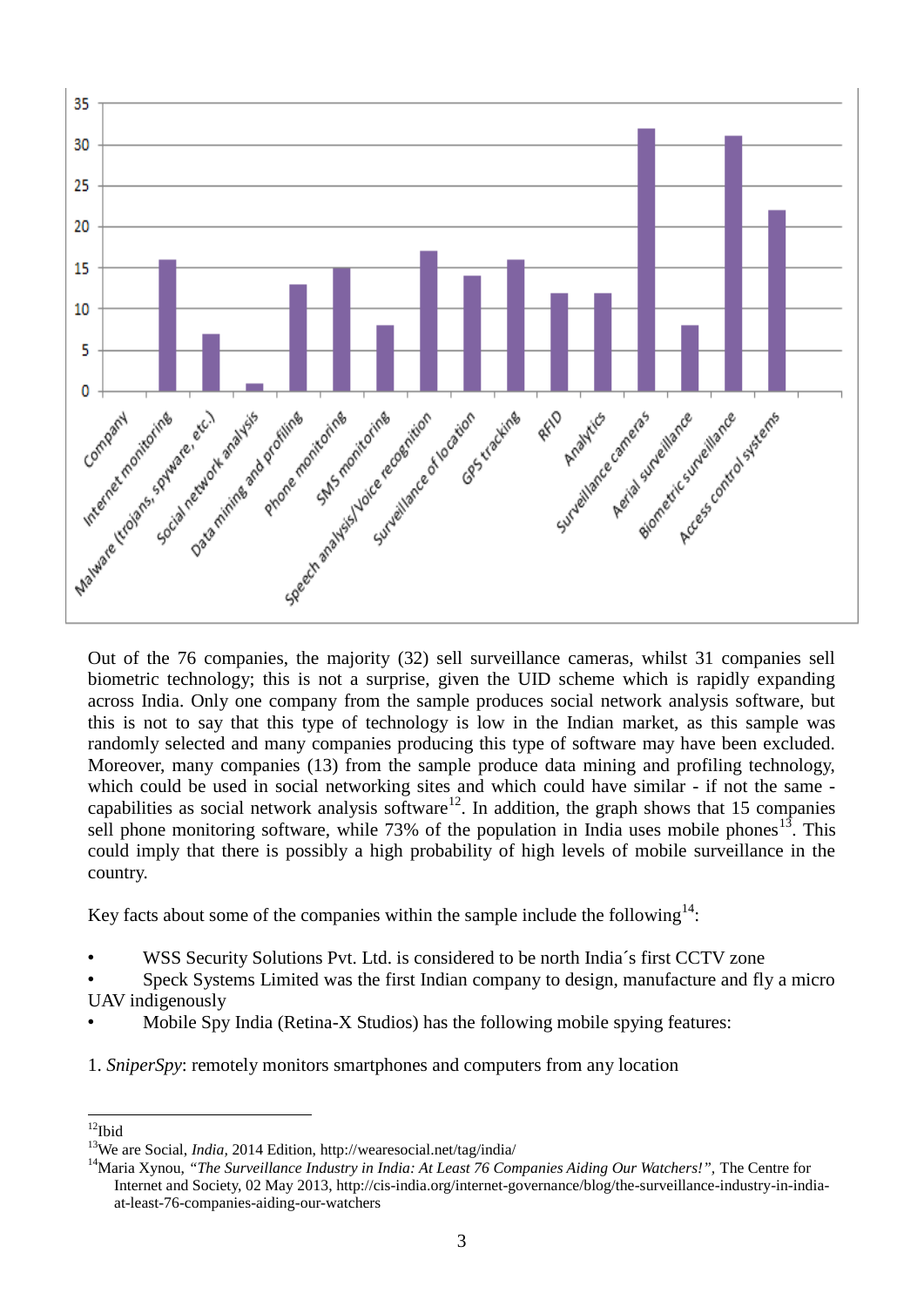

biometric technology; this is not a surprise, given the UID scheme which is rapidly expanding across India. Only one company from the sample produces social network analysis software, but this is not to say that this type of technology is low in the Indian market, as this sample was randomly selected and many companies producing this type of software may have been excluded. Moreover, many companies (13) from the sample produce data mining and profiling technology, which could be used in social networking sites and which could have similar - if not the same capabilities as social network analysis software<sup>12</sup>. In addition, the graph shows that 15 companies sell phone monitoring software, while 73% of the population in India uses mobile phones<sup>13</sup>. This could imply that there is possibly a high probability of high levels of mobile surveillance in the country.

Key facts about some of the companies within the sample include the following $^{14}$ :

- WSS Security Solutions Pvt. Ltd. is considered to be north India's first CCTV zone
- Speck Systems Limited was the first Indian company to design, manufacture and fly a micro UAV indigenously
- Mobile Spy India (Retina-X Studios) has the following mobile spying features:
- 1. *SniperSpy*: remotely monitors smartphones and computers from any location

<sup>&</sup>lt;u>.</u>  $12$ Ibid

<sup>13</sup>We are Social, *India,* 2014 Edition,<http://wearesocial.net/tag/india/>

<sup>&</sup>lt;sup>14</sup>Maria Xynou, "The Surveillance Industry in India: At Least 76 Companies Aiding Our Watchers!", The Centre for Internet and Society, 02 May 2013, [http://cis-india.org/internet-governance/blog/the-surveillance-industry-in-india](http://cis-india.org/internet-governance/blog/the-surveillance-industry-in-india-at-least-76-companies-aiding-our-watchers)[at-least-76-companies-aiding-our-watchers](http://cis-india.org/internet-governance/blog/the-surveillance-industry-in-india-at-least-76-companies-aiding-our-watchers)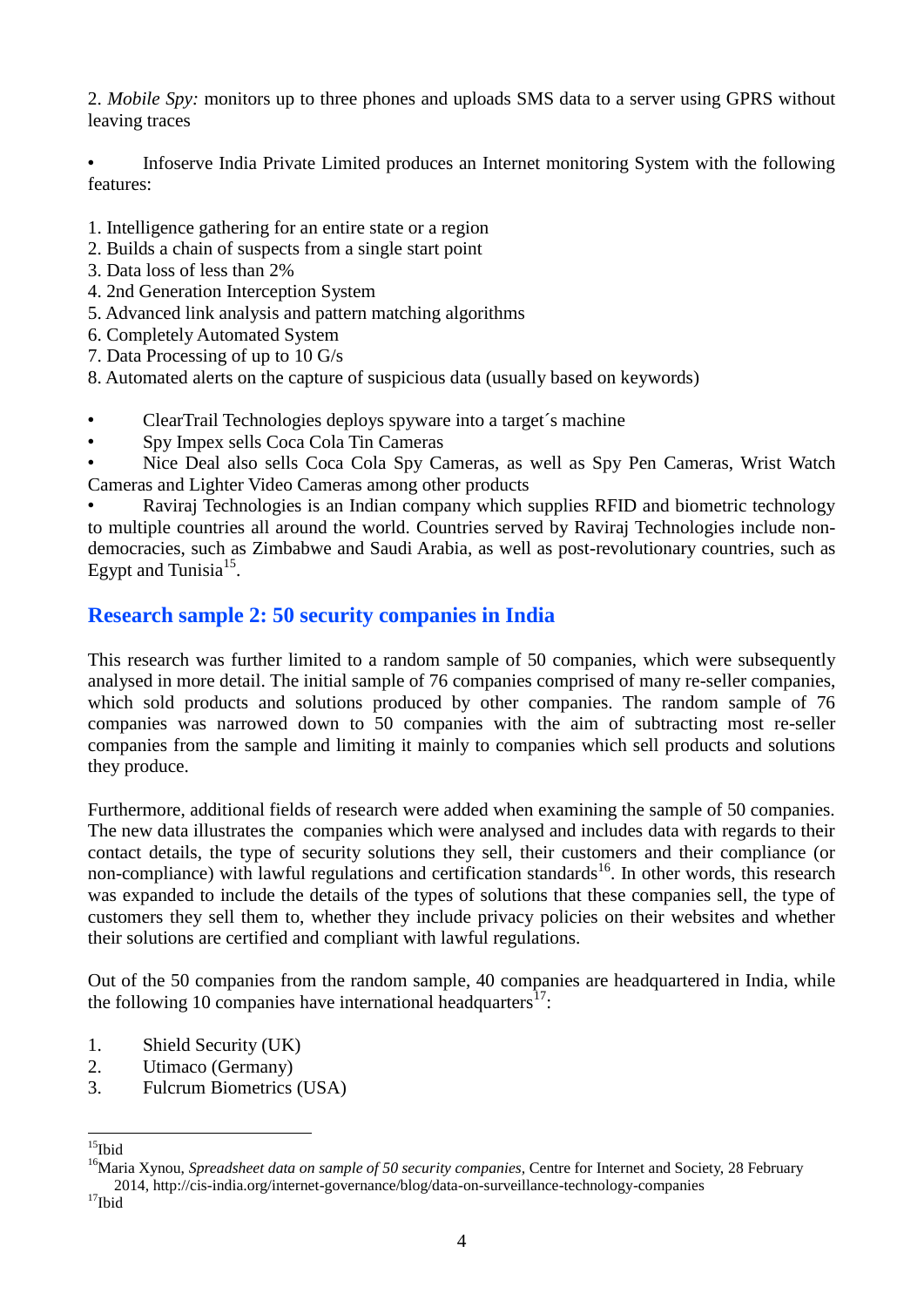2. *Mobile Spy:* monitors up to three phones and uploads SMS data to a server using GPRS without leaving traces

• Infoserve India Private Limited produces an Internet monitoring System with the following features:

- 1. Intelligence gathering for an entire state or a region
- 2. Builds a chain of suspects from a single start point
- 3. Data loss of less than 2%
- 4. 2nd Generation Interception System
- 5. Advanced link analysis and pattern matching algorithms
- 6. Completely Automated System
- 7. Data Processing of up to 10 G/s

8. Automated alerts on the capture of suspicious data (usually based on keywords)

- ClearTrail Technologies deploys spyware into a target´s machine
- Spy Impex sells Coca Cola Tin Cameras

• Nice Deal also sells Coca Cola Spy Cameras, as well as Spy Pen Cameras, Wrist Watch Cameras and Lighter Video Cameras among other products

• Raviraj Technologies is an Indian company which supplies RFID and biometric technology to multiple countries all around the world. Countries served by Raviraj Technologies include nondemocracies, such as Zimbabwe and Saudi Arabia, as well as post-revolutionary countries, such as Egypt and Tunisia $^{15}$ .

## **Research sample 2: 50 security companies in India**

This research was further limited to a random sample of 50 companies, which were subsequently analysed in more detail. The initial sample of 76 companies comprised of many re-seller companies, which sold products and solutions produced by other companies. The random sample of 76 companies was narrowed down to 50 companies with the aim of subtracting most re-seller companies from the sample and limiting it mainly to companies which sell products and solutions they produce.

Furthermore, additional fields of research were added when examining the sample of 50 companies. The new data illustrates the companies which were analysed and includes data with regards to their contact details, the type of security solutions they sell, their customers and their compliance (or non-compliance) with lawful regulations and certification standards<sup>16</sup>. In other words, this research was expanded to include the details of the types of solutions that these companies sell, the type of customers they sell them to, whether they include privacy policies on their websites and whether their solutions are certified and compliant with lawful regulations.

Out of the 50 companies from the random sample, 40 companies are headquartered in India, while the following 10 companies have international headquarters<sup>17</sup>:

- 1. Shield Security (UK)
- 2. Utimaco (Germany)
- 3. Fulcrum Biometrics (USA)

 $\overline{a}$  $^{15}$ Ibid

<sup>&</sup>lt;sup>16</sup>Maria Xynou, *Spreadsheet data on sample of 50 security companies*, Centre for Internet and Society, 28 February 2014[, http://cis-india.org/internet-governance/blog/data-on-surveillance-technology-companies](http://cis-india.org/internet-governance/blog/data-on-surveillance-technology-companies)

 $17$ Ibid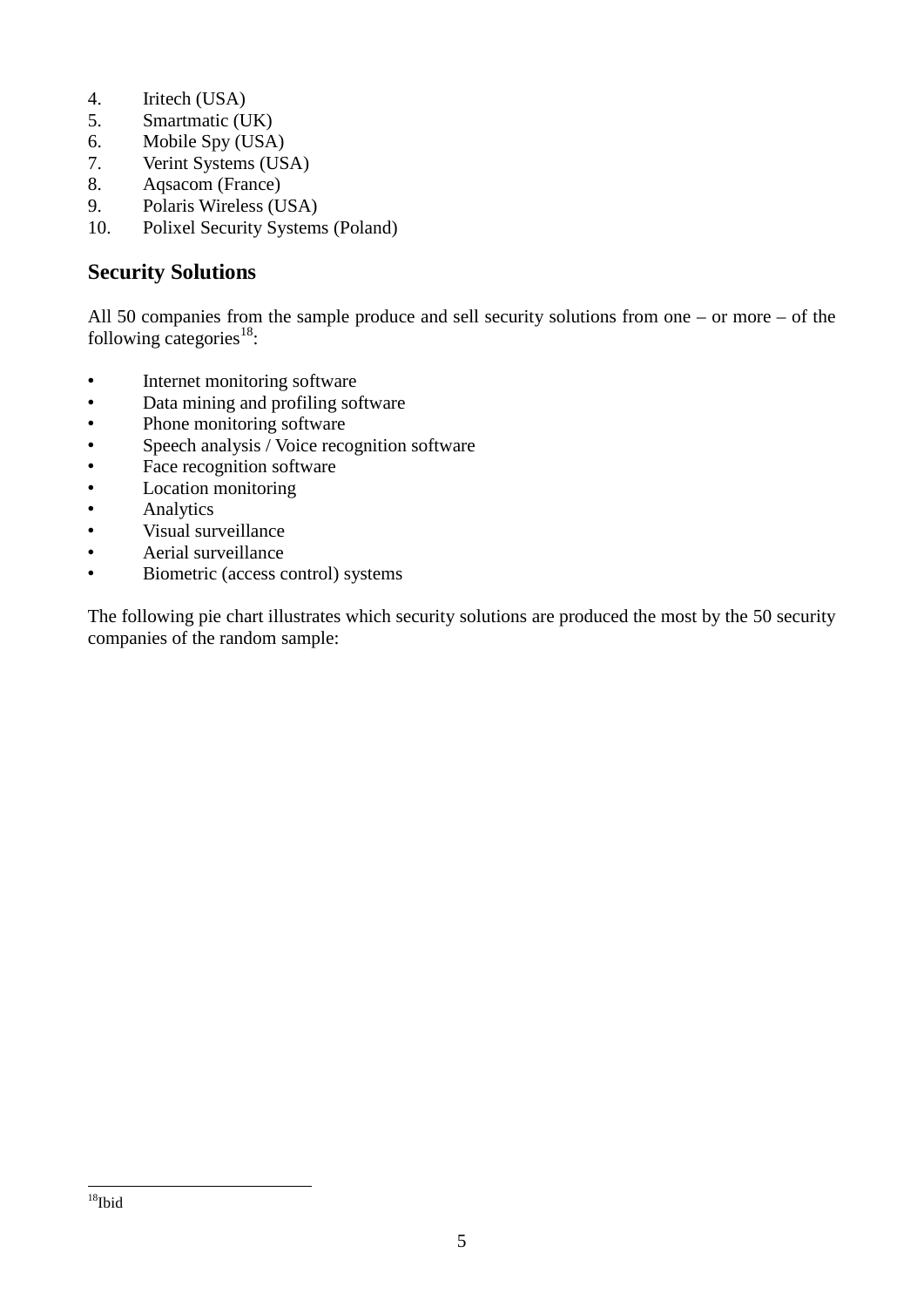- 4. Iritech (USA)
- 5. Smartmatic (UK)
- 6. Mobile Spy (USA)
- 7. Verint Systems (USA)
- 8. Aqsacom (France)
- 9. Polaris Wireless (USA)
- 10. Polixel Security Systems (Poland)

#### **Security Solutions**

All 50 companies from the sample produce and sell security solutions from one – or more – of the following categories $^{18}$ :

- Internet monitoring software
- Data mining and profiling software
- Phone monitoring software
- Speech analysis / Voice recognition software<br>• Face recognition software
- Face recognition software<br>• Iocation monitoring
- Location monitoring
- Analytics
- Visual surveillance
- Aerial surveillance
- Biometric (access control) systems

The following pie chart illustrates which security solutions are produced the most by the 50 security companies of the random sample: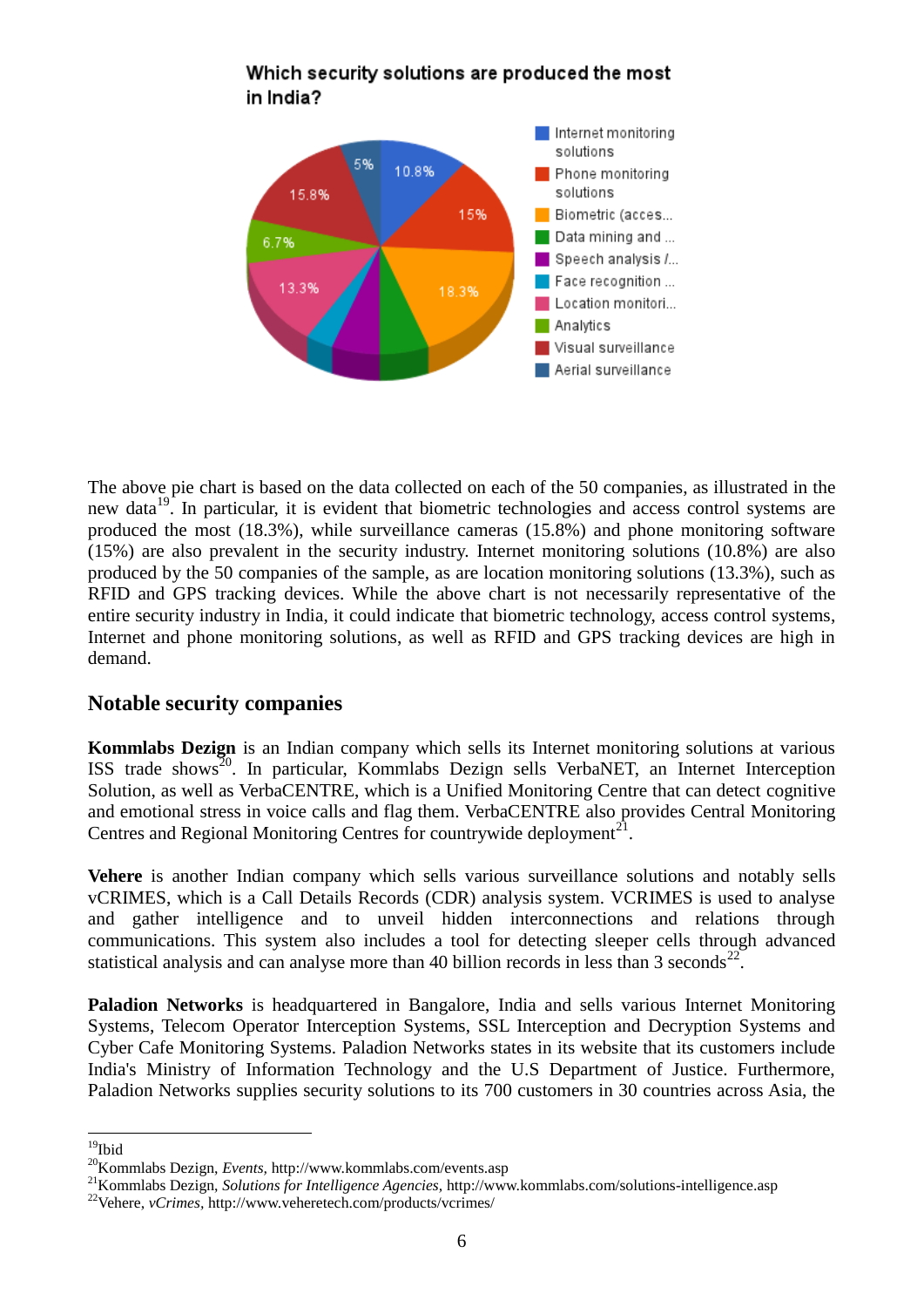

#### Which security solutions are produced the most in India?

The above pie chart is based on the data collected on each of the 50 companies, as illustrated in the new data $^{19}$ . In particular, it is evident that biometric technologies and access control systems are produced the most (18.3%), while surveillance cameras (15.8%) and phone monitoring software (15%) are also prevalent in the security industry. Internet monitoring solutions (10.8%) are also produced by the 50 companies of the sample, as are location monitoring solutions (13.3%), such as RFID and GPS tracking devices. While the above chart is not necessarily representative of the entire security industry in India, it could indicate that biometric technology, access control systems, Internet and phone monitoring solutions, as well as RFID and GPS tracking devices are high in demand.

#### **Notable security companies**

**Kommlabs Dezign** is an Indian company which sells its Internet monitoring solutions at various ISS trade shows<sup>20</sup>. In particular, Kommlabs Dezign sells VerbaNET, an Internet Interception Solution, as well as VerbaCENTRE, which is a Unified Monitoring Centre that can detect cognitive and emotional stress in voice calls and flag them. VerbaCENTRE also provides Central Monitoring Centres and Regional Monitoring Centres for countrywide deployment<sup>21</sup>.

**Vehere** is another Indian company which sells various surveillance solutions and notably sells vCRIMES, which is a Call Details Records (CDR) analysis system. VCRIMES is used to analyse and gather intelligence and to unveil hidden interconnections and relations through communications. This system also includes a tool for detecting sleeper cells through advanced statistical analysis and can analyse more than 40 billion records in less than 3 seconds<sup>22</sup>.

**Paladion Networks** is headquartered in Bangalore, India and sells various Internet Monitoring Systems, Telecom Operator Interception Systems, SSL Interception and Decryption Systems and Cyber Cafe Monitoring Systems. Paladion Networks states in its website that its customers include India's Ministry of Information Technology and the U.S Department of Justice. Furthermore, Paladion Networks supplies security solutions to its 700 customers in 30 countries across Asia, the

 $\overline{a}$  $19$ Ibid

<sup>20</sup>Kommlabs Dezign, *Events,* <http://www.kommlabs.com/events.asp>

<sup>21</sup>Kommlabs Dezign, *Solutions for Intelligence Agencies,* <http://www.kommlabs.com/solutions-intelligence.asp>

<sup>22</sup>Vehere, *vCrimes,* <http://www.veheretech.com/products/vcrimes/>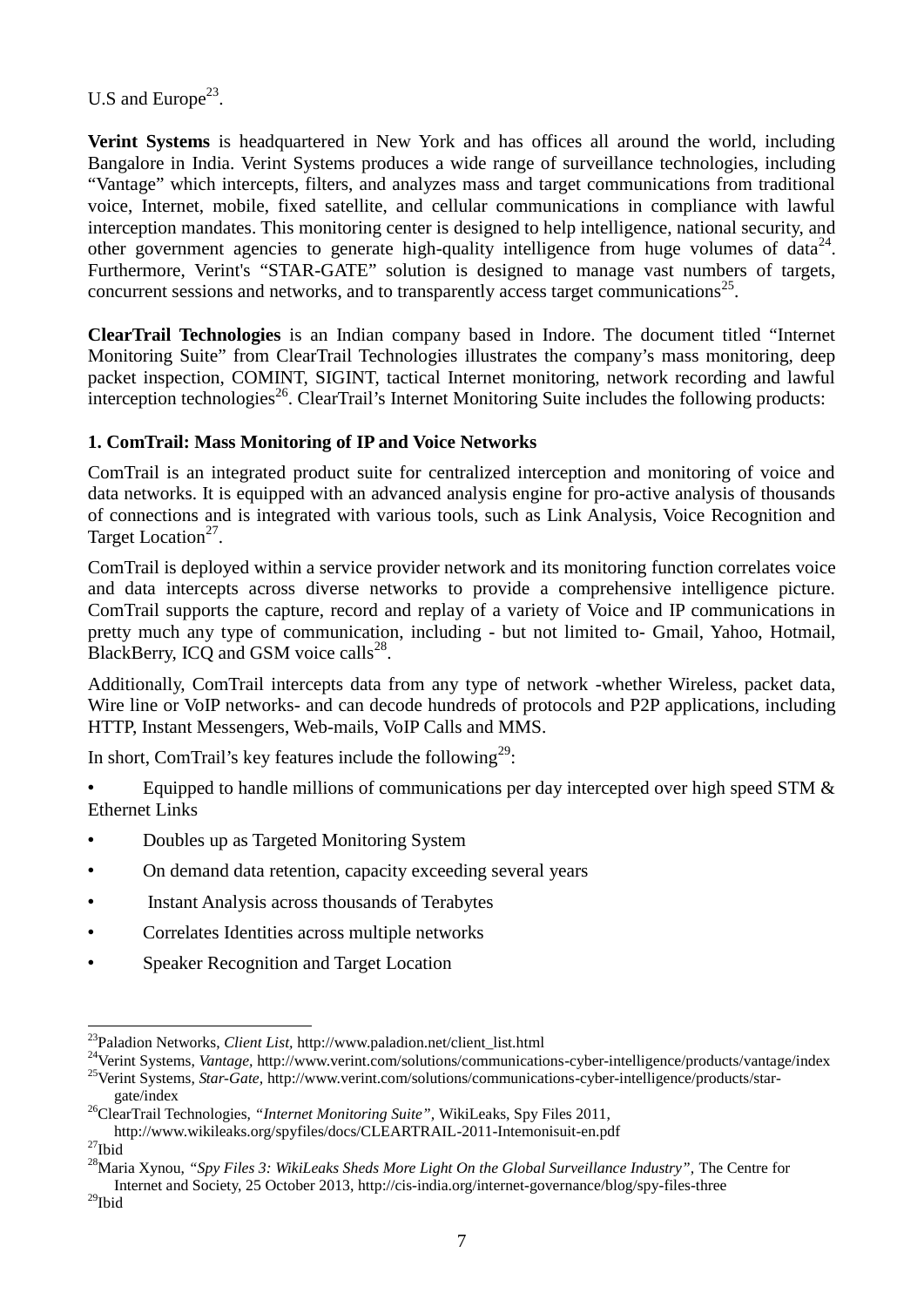U.S and Europe $^{23}$ .

**Verint Systems** is headquartered in New York and has offices all around the world, including Bangalore in India. Verint Systems produces a wide range of surveillance technologies, including "Vantage" which intercepts, filters, and analyzes mass and target communications from traditional voice, Internet, mobile, fixed satellite, and cellular communications in compliance with lawful interception mandates. This monitoring center is designed to help intelligence, national security, and other government agencies to generate high-quality intelligence from huge volumes of data $^{24}$ . Furthermore, Verint's "STAR-GATE" solution is designed to manage vast numbers of targets, concurrent sessions and networks, and to transparently access target communications<sup>25</sup>.

**ClearTrail Technologies** is an Indian company based in Indore. The document titled "Internet Monitoring Suite" from ClearTrail Technologies illustrates the company's mass monitoring, deep packet inspection, COMINT, SIGINT, tactical Internet monitoring, network recording and lawful  $interception technologies<sup>26</sup>$ . ClearTrail's Internet Monitoring Suite includes the following products:

#### **1. ComTrail: Mass Monitoring of IP and Voice Networks**

ComTrail is an integrated product suite for centralized interception and monitoring of voice and data networks. It is equipped with an advanced analysis engine for pro-active analysis of thousands of connections and is integrated with various tools, such as Link Analysis, Voice Recognition and Target Location<sup>27</sup>.

ComTrail is deployed within a service provider network and its monitoring function correlates voice and data intercepts across diverse networks to provide a comprehensive intelligence picture. ComTrail supports the capture, record and replay of a variety of Voice and IP communications in pretty much any type of communication, including - but not limited to- Gmail, Yahoo, Hotmail, BlackBerry, ICQ and GSM voice calls $^{28}$ .

Additionally, ComTrail intercepts data from any type of network -whether Wireless, packet data, Wire line or VoIP networks- and can decode hundreds of protocols and P2P applications, including HTTP, Instant Messengers, Web-mails, VoIP Calls and MMS.

In short, ComTrail's key features include the following<sup>29</sup>:

• Equipped to handle millions of communications per day intercepted over high speed STM & Ethernet Links

- Doubles up as Targeted Monitoring System
- On demand data retention, capacity exceeding several years
- Instant Analysis across thousands of Terabytes
- Correlates Identities across multiple networks
- Speaker Recognition and Target Location

 $\overline{a}$ 

<sup>&</sup>lt;sup>23</sup>Paladion Networks, *Client List*, [http://www.paladion.net/client\\_list.html](http://www.paladion.net/client_list.html)

<sup>&</sup>lt;sup>24</sup>Verint Systems, *Vantage*, <http://www.verint.com/solutions/communications-cyber-intelligence/products/vantage/index> <sup>25</sup>Verint Systems, *Star-Gate*, [http://www.verint.com/solutions/communications-cyber-intelligence/products/star-](http://www.verint.com/solutions/communications-cyber-intelligence/products/star-gate/index)

[gate/index](http://www.verint.com/solutions/communications-cyber-intelligence/products/star-gate/index)

<sup>26</sup>ClearTrail Technologies, *"Internet Monitoring Suite",* WikiLeaks, Spy Files 2011,

<http://www.wikileaks.org/spyfiles/docs/CLEARTRAIL-2011-Intemonisuit-en.pdf>

 $^{27}$ Ibid

<sup>&</sup>lt;sup>28</sup>Maria Xynou, *"Spy Files 3: WikiLeaks Sheds More Light On the Global Surveillance Industry". The Centre for* Internet and Society, 25 October 2013[, http://cis-india.org/internet-governance/blog/spy-files-three](http://cis-india.org/internet-governance/blog/spy-files-three) 

 $^{29}$ Ibid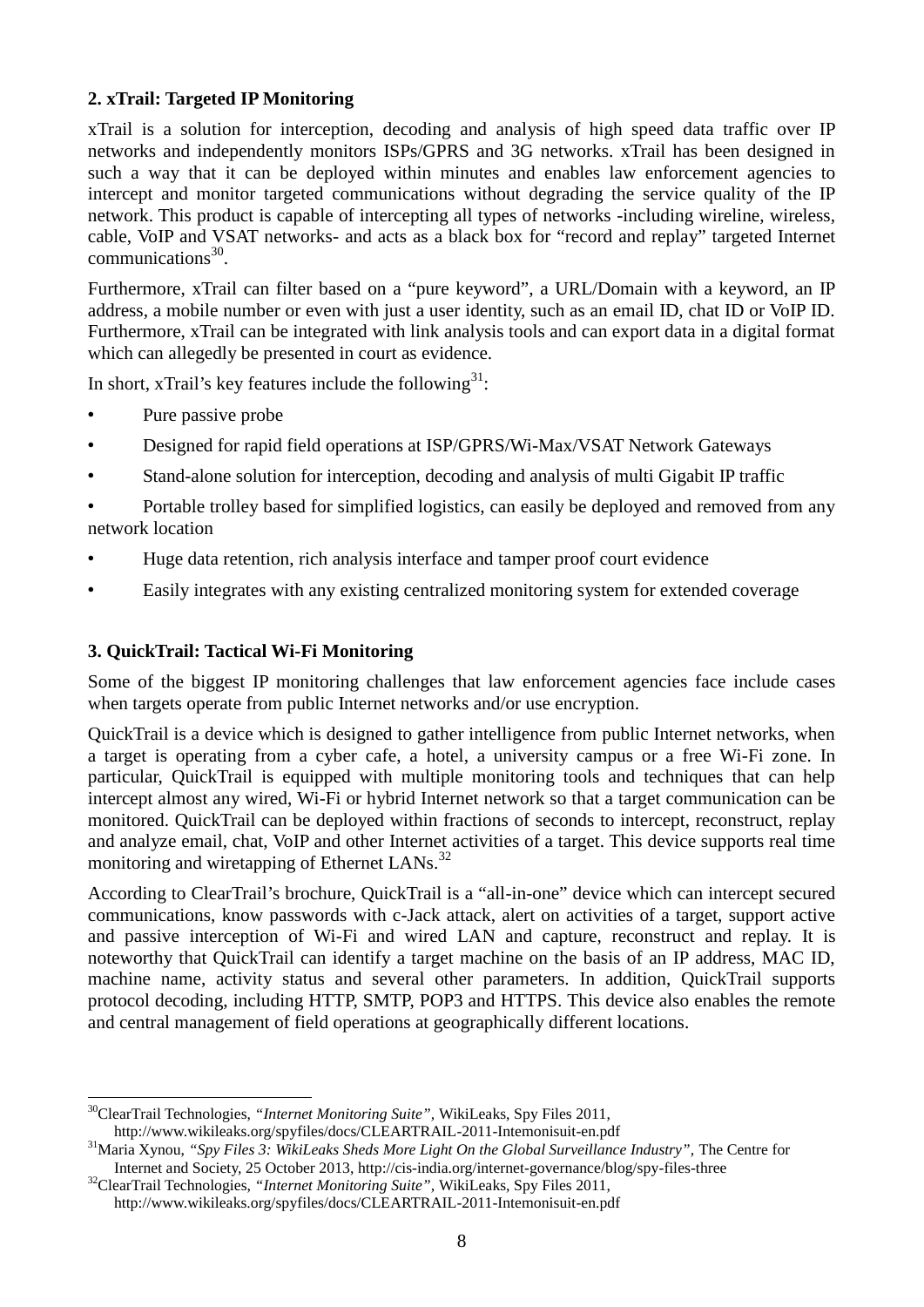#### **2. xTrail: Targeted IP Monitoring**

xTrail is a solution for interception, decoding and analysis of high speed data traffic over IP networks and independently monitors ISPs/GPRS and 3G networks. xTrail has been designed in such a way that it can be deployed within minutes and enables law enforcement agencies to intercept and monitor targeted communications without degrading the service quality of the IP network. This product is capable of intercepting all types of networks -including wireline, wireless, cable, VoIP and VSAT networks- and acts as a black box for "record and replay" targeted Internet communications<sup>30</sup>.

Furthermore, xTrail can filter based on a "pure keyword", a URL/Domain with a keyword, an IP address, a mobile number or even with just a user identity, such as an email ID, chat ID or VoIP ID. Furthermore, xTrail can be integrated with link analysis tools and can export data in a digital format which can allegedly be presented in court as evidence.

In short, xTrail's key features include the following  $31$ :

- Pure passive probe
- Designed for rapid field operations at ISP/GPRS/Wi-Max/VSAT Network Gateways
- Stand-alone solution for interception, decoding and analysis of multi Gigabit IP traffic

• Portable trolley based for simplified logistics, can easily be deployed and removed from any network location

- Huge data retention, rich analysis interface and tamper proof court evidence
- Easily integrates with any existing centralized monitoring system for extended coverage

#### **3. QuickTrail: Tactical Wi-Fi Monitoring**

Some of the biggest IP monitoring challenges that law enforcement agencies face include cases when targets operate from public Internet networks and/or use encryption.

QuickTrail is a device which is designed to gather intelligence from public Internet networks, when a target is operating from a cyber cafe, a hotel, a university campus or a free Wi-Fi zone. In particular, QuickTrail is equipped with multiple monitoring tools and techniques that can help intercept almost any wired, Wi-Fi or hybrid Internet network so that a target communication can be monitored. QuickTrail can be deployed within fractions of seconds to intercept, reconstruct, replay and analyze email, chat, VoIP and other Internet activities of a target. This device supports real time monitoring and wiretapping of Ethernet LANs.<sup>32</sup>

According to ClearTrail's brochure, QuickTrail is a "all-in-one" device which can intercept secured communications, know passwords with c-Jack attack, alert on activities of a target, support active and passive interception of Wi-Fi and wired LAN and capture, reconstruct and replay. It is noteworthy that QuickTrail can identify a target machine on the basis of an IP address, MAC ID, machine name, activity status and several other parameters. In addition, QuickTrail supports protocol decoding, including HTTP, SMTP, POP3 and HTTPS. This device also enables the remote and central management of field operations at geographically different locations.

<sup>&</sup>lt;u>.</u> <sup>30</sup>ClearTrail Technologies, *"Internet Monitoring Suite",* WikiLeaks, Spy Files 2011, <http://www.wikileaks.org/spyfiles/docs/CLEARTRAIL-2011-Intemonisuit-en.pdf>

<sup>&</sup>lt;sup>31</sup>Maria Xynou, "Spy Files 3: WikiLeaks Sheds More Light On the Global Surveillance Industry", The Centre for Internet and Society, 25 October 2013[, http://cis-india.org/internet-governance/blog/spy-files-three](http://cis-india.org/internet-governance/blog/spy-files-three) 

<sup>&</sup>lt;sup>32</sup>ClearTrail Technologies, "Internet Monitoring Suite", WikiLeaks, Spy Files 2011, <http://www.wikileaks.org/spyfiles/docs/CLEARTRAIL-2011-Intemonisuit-en.pdf>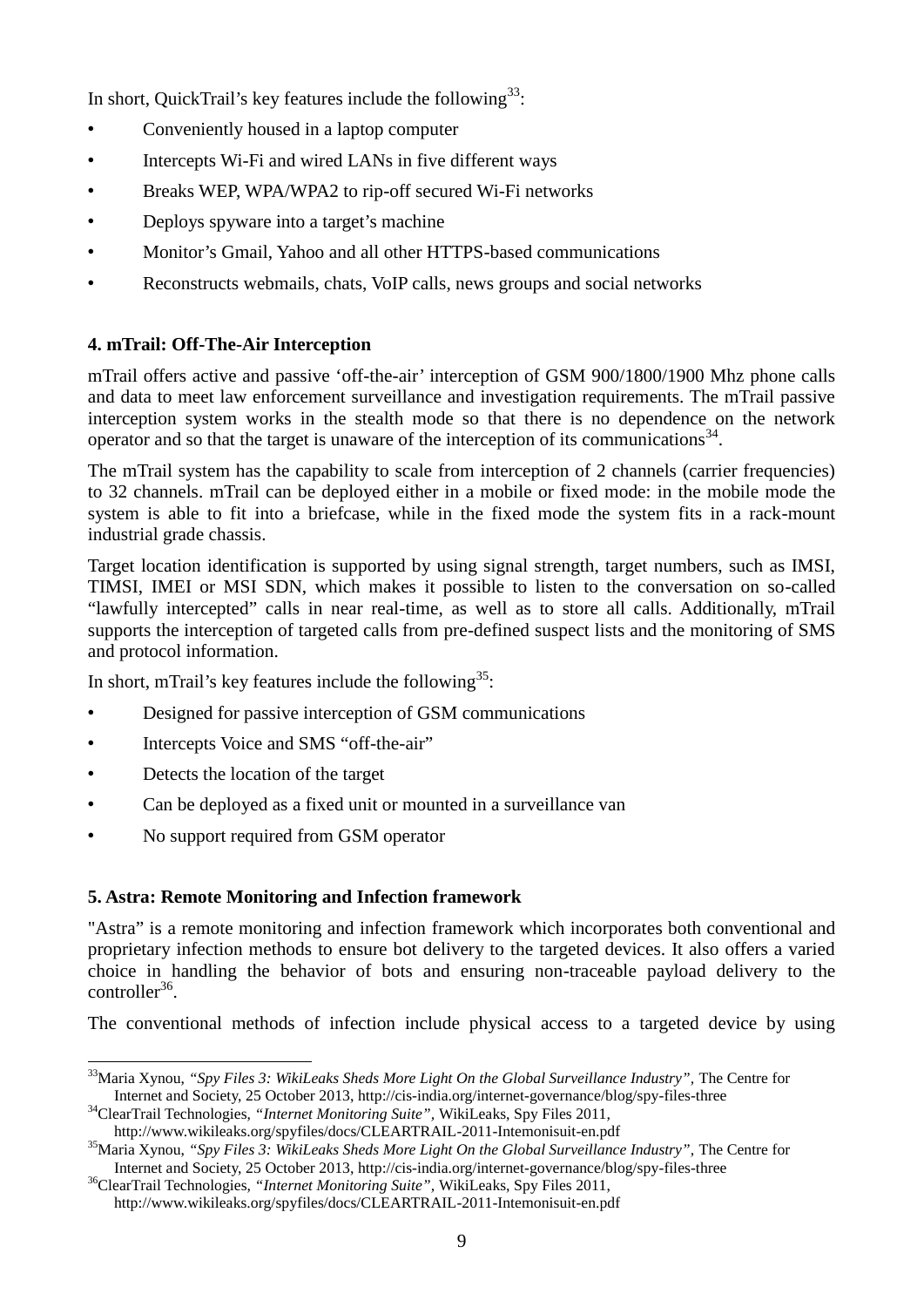In short, QuickTrail's key features include the following<sup>33</sup>:

- Conveniently housed in a laptop computer
- Intercepts Wi-Fi and wired LANs in five different ways
- Breaks WEP, WPA/WPA2 to rip-off secured Wi-Fi networks
- Deploys spyware into a target's machine
- Monitor's Gmail, Yahoo and all other HTTPS-based communications
- Reconstructs webmails, chats, VoIP calls, news groups and social networks

#### **4. mTrail: Off-The-Air Interception**

mTrail offers active and passive 'off-the-air' interception of GSM 900/1800/1900 Mhz phone calls and data to meet law enforcement surveillance and investigation requirements. The mTrail passive interception system works in the stealth mode so that there is no dependence on the network operator and so that the target is unaware of the interception of its communications<sup>34</sup>.

The mTrail system has the capability to scale from interception of 2 channels (carrier frequencies) to 32 channels. mTrail can be deployed either in a mobile or fixed mode: in the mobile mode the system is able to fit into a briefcase, while in the fixed mode the system fits in a rack-mount industrial grade chassis.

Target location identification is supported by using signal strength, target numbers, such as IMSI, TIMSI, IMEI or MSI SDN, which makes it possible to listen to the conversation on so-called "lawfully intercepted" calls in near real-time, as well as to store all calls. Additionally, mTrail supports the interception of targeted calls from pre-defined suspect lists and the monitoring of SMS and protocol information.

In short, mTrail's key features include the following<sup>35</sup>:

- Designed for passive interception of GSM communications
- Intercepts Voice and SMS "off-the-air"
- Detects the location of the target

<u>.</u>

- Can be deployed as a fixed unit or mounted in a surveillance van
- No support required from GSM operator

#### **5. Astra: Remote Monitoring and Infection framework**

"Astra" is a remote monitoring and infection framework which incorporates both conventional and proprietary infection methods to ensure bot delivery to the targeted devices. It also offers a varied choice in handling the behavior of bots and ensuring non-traceable payload delivery to the controller<sup>36</sup>.

The conventional methods of infection include physical access to a targeted device by using

<sup>&</sup>lt;sup>33</sup>Maria Xynou, "Spy Files 3: WikiLeaks Sheds More Light On the Global Surveillance Industry", The Centre for Internet and Society, 25 October 2013[, http://cis-india.org/internet-governance/blog/spy-files-three](http://cis-india.org/internet-governance/blog/spy-files-three) 

<sup>&</sup>lt;sup>34</sup>ClearTrail Technologies, "Internet Monitoring Suite", WikiLeaks, Spy Files 2011, <http://www.wikileaks.org/spyfiles/docs/CLEARTRAIL-2011-Intemonisuit-en.pdf>

<sup>&</sup>lt;sup>35</sup>Maria Xynou, "Spy Files 3: WikiLeaks Sheds More Light On the Global Surveillance Industry", The Centre for Internet and Society, 25 October 2013[, http://cis-india.org/internet-governance/blog/spy-files-three](http://cis-india.org/internet-governance/blog/spy-files-three) 

<sup>36</sup>ClearTrail Technologies, *"Internet Monitoring Suite",* WikiLeaks, Spy Files 2011,

<http://www.wikileaks.org/spyfiles/docs/CLEARTRAIL-2011-Intemonisuit-en.pdf>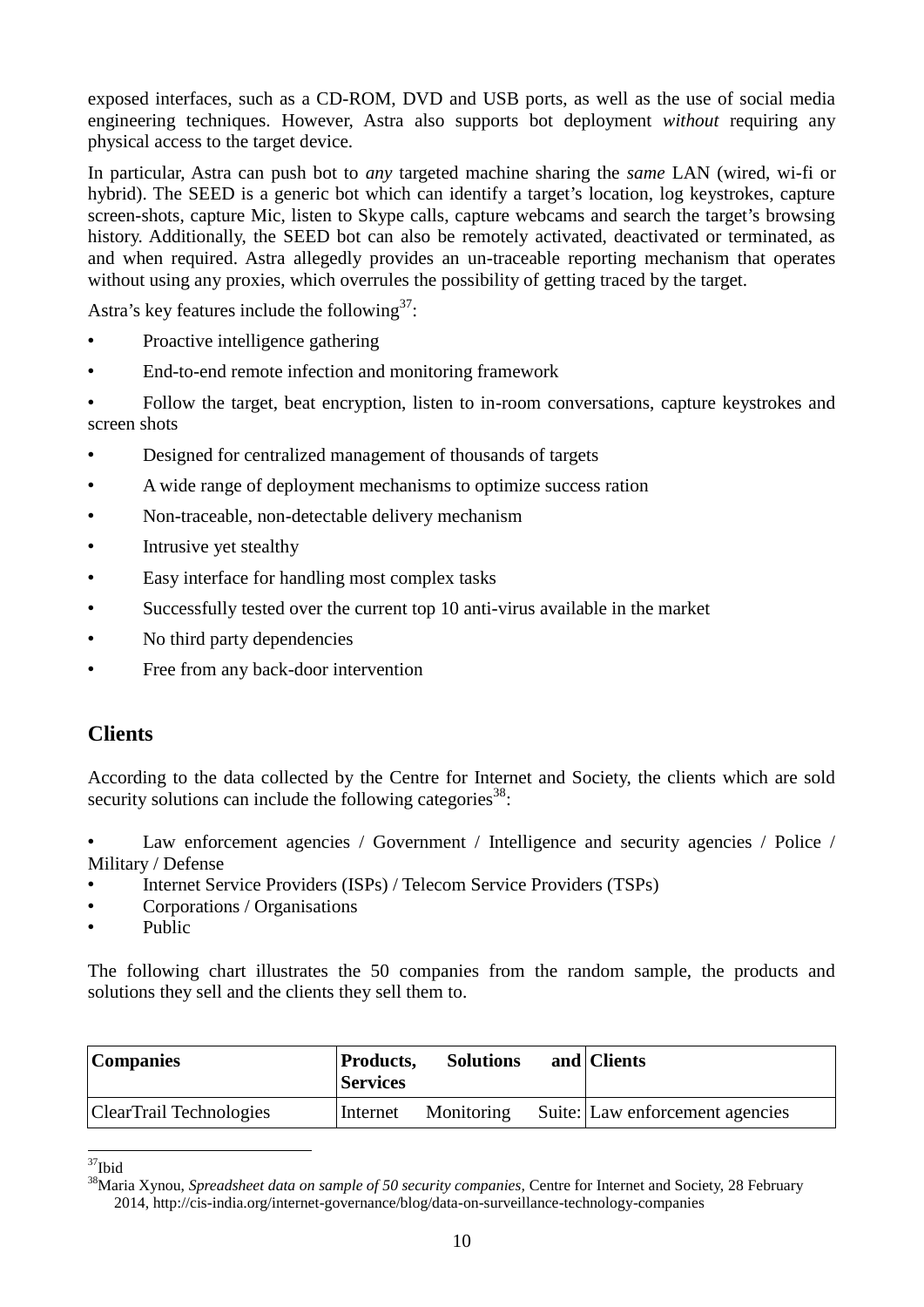exposed interfaces, such as a CD-ROM, DVD and USB ports, as well as the use of social media engineering techniques. However, Astra also supports bot deployment *without* requiring any physical access to the target device.

In particular, Astra can push bot to *any* targeted machine sharing the *same* LAN (wired, wi-fi or hybrid). The SEED is a generic bot which can identify a target's location, log keystrokes, capture screen-shots, capture Mic, listen to Skype calls, capture webcams and search the target's browsing history. Additionally, the SEED bot can also be remotely activated, deactivated or terminated, as and when required. Astra allegedly provides an un-traceable reporting mechanism that operates without using any proxies, which overrules the possibility of getting traced by the target.

Astra's key features include the following  $37$ :

- Proactive intelligence gathering
- End-to-end remote infection and monitoring framework
- Follow the target, beat encryption, listen to in-room conversations, capture keystrokes and screen shots
- Designed for centralized management of thousands of targets
- A wide range of deployment mechanisms to optimize success ration
- Non-traceable, non-detectable delivery mechanism
- Intrusive yet stealthy
- Easy interface for handling most complex tasks
- Successfully tested over the current top 10 anti-virus available in the market
- No third party dependencies
- Free from any back-door intervention

#### **Clients**

According to the data collected by the Centre for Internet and Society, the clients which are sold security solutions can include the following categories<sup>38</sup>:

Law enforcement agencies / Government / Intelligence and security agencies / Police / Military / Defense

- Internet Service Providers (ISPs) / Telecom Service Providers (TSPs)
- Corporations / Organisations
- Public

The following chart illustrates the 50 companies from the random sample, the products and solutions they sell and the clients they sell them to.

| Companies               | <b>Products,</b><br><b>Services</b> | <b>Solutions</b> | and Clients                     |
|-------------------------|-------------------------------------|------------------|---------------------------------|
| ClearTrail Technologies | Internet                            | Monitoring       | Suite: Law enforcement agencies |

 $\overline{a}$  $37$ Ibid

<sup>38</sup>Maria Xynou, *Spreadsheet data on sample of 50 security companies,* Centre for Internet and Society, 28 February 2014[, http://cis-india.org/internet-governance/blog/data-on-surveillance-technology-companies](http://cis-india.org/internet-governance/blog/data-on-surveillance-technology-companies)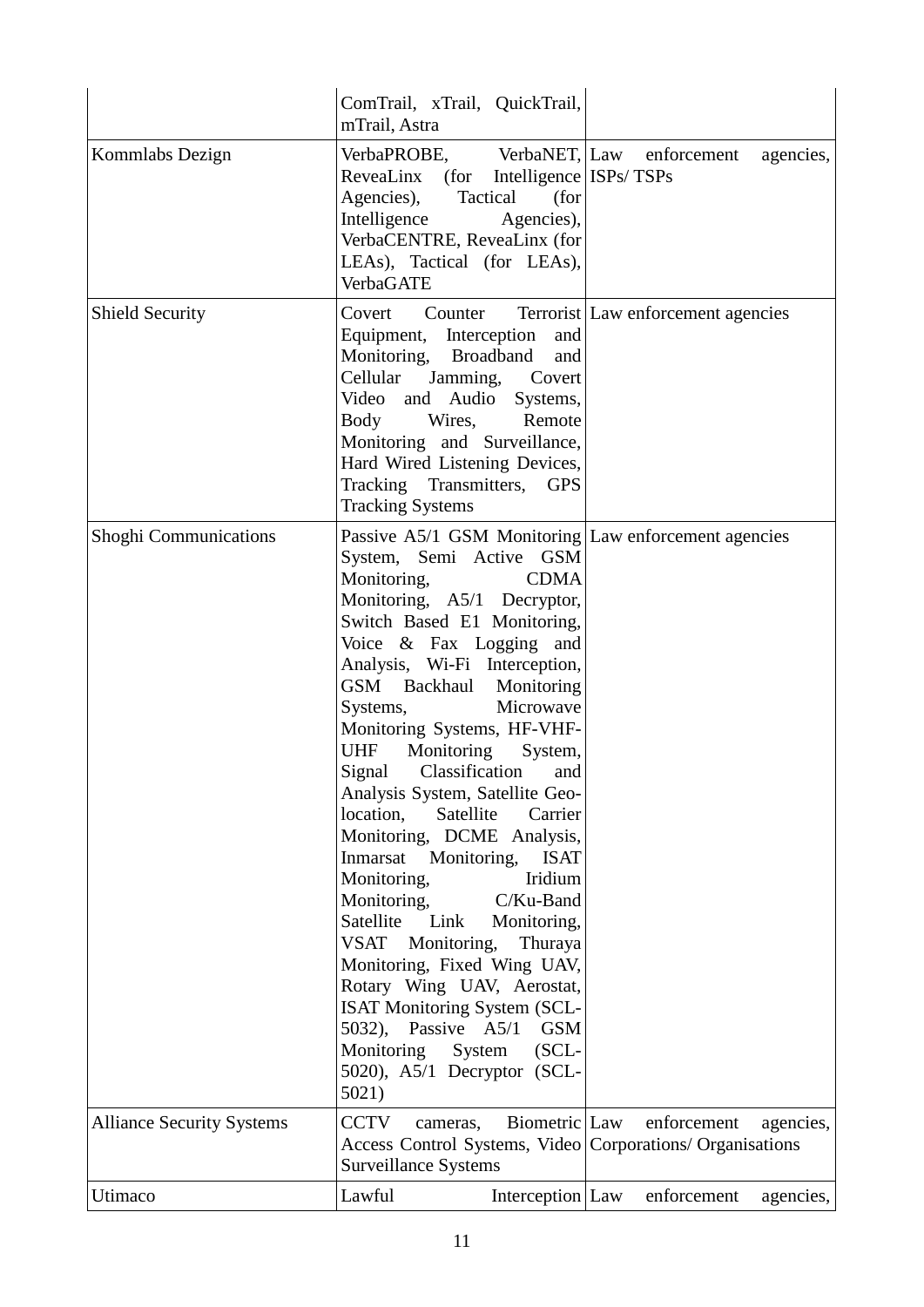|                                  | ComTrail, xTrail, QuickTrail,<br>mTrail, Astra                                                                                                                                                                                                                                                                                                                                                                                                                                                                                                                                                                                                                                                                                                                                                                                                                                                             |                                    |
|----------------------------------|------------------------------------------------------------------------------------------------------------------------------------------------------------------------------------------------------------------------------------------------------------------------------------------------------------------------------------------------------------------------------------------------------------------------------------------------------------------------------------------------------------------------------------------------------------------------------------------------------------------------------------------------------------------------------------------------------------------------------------------------------------------------------------------------------------------------------------------------------------------------------------------------------------|------------------------------------|
| Kommlabs Dezign                  | VerbaPROBE, VerbaNET, Law enforcement<br>ReveaLinx (for Intelligence ISPs/TSPs<br>Agencies),<br>(for<br>Tactical<br>Intelligence<br>Agencies),<br>VerbaCENTRE, ReveaLinx (for<br>LEAs), Tactical (for LEAs),<br><b>VerbaGATE</b>                                                                                                                                                                                                                                                                                                                                                                                                                                                                                                                                                                                                                                                                           | agencies,                          |
| <b>Shield Security</b>           | Covert<br>Counter<br>Equipment, Interception<br>and<br>Monitoring, Broadband<br>and<br>Jamming,<br>Cellular<br>Covert<br>Video and Audio Systems,<br>Body<br>Wires,<br>Remote<br>Monitoring and Surveillance,<br>Hard Wired Listening Devices,<br>Tracking Transmitters,<br><b>GPS</b><br><b>Tracking Systems</b>                                                                                                                                                                                                                                                                                                                                                                                                                                                                                                                                                                                          | Terrorist Law enforcement agencies |
| <b>Shoghi Communications</b>     | Passive A5/1 GSM Monitoring Law enforcement agencies<br>System, Semi Active GSM<br><b>CDMA</b><br>Monitoring,<br>Monitoring, A5/1 Decryptor,<br>Switch Based E1 Monitoring,<br>Voice & Fax Logging and<br>Analysis, Wi-Fi Interception,<br>GSM Backhaul<br>Monitoring<br>Microwave<br>Systems,<br>Monitoring Systems, HF-VHF-<br>Monitoring<br><b>UHF</b><br>System,<br>Classification<br>Signal<br>and<br>Analysis System, Satellite Geo-<br>location,<br>Satellite<br>Carrier<br>Monitoring, DCME Analysis,<br>Inmarsat Monitoring,<br><b>ISAT</b><br>Monitoring,<br>Iridium<br>C/Ku-Band<br>Monitoring,<br>Satellite<br>Link<br>Monitoring,<br>VSAT<br>Monitoring,<br>Thuraya<br>Monitoring, Fixed Wing UAV,<br>Rotary Wing UAV, Aerostat,<br><b>ISAT Monitoring System (SCL-</b><br>$5032$ ),<br>Passive A5/1<br><b>GSM</b><br>Monitoring<br>System<br>$(SCL-$<br>5020), A5/1 Decryptor (SCL-<br>5021) |                                    |
| <b>Alliance Security Systems</b> | <b>CCTV</b><br>Biometric Law<br>cameras,<br>Access Control Systems, Video Corporations/ Organisations<br><b>Surveillance Systems</b>                                                                                                                                                                                                                                                                                                                                                                                                                                                                                                                                                                                                                                                                                                                                                                       | enforcement<br>agencies,           |
| Utimaco                          | Lawful<br>Interception   Law                                                                                                                                                                                                                                                                                                                                                                                                                                                                                                                                                                                                                                                                                                                                                                                                                                                                               | enforcement<br>agencies,           |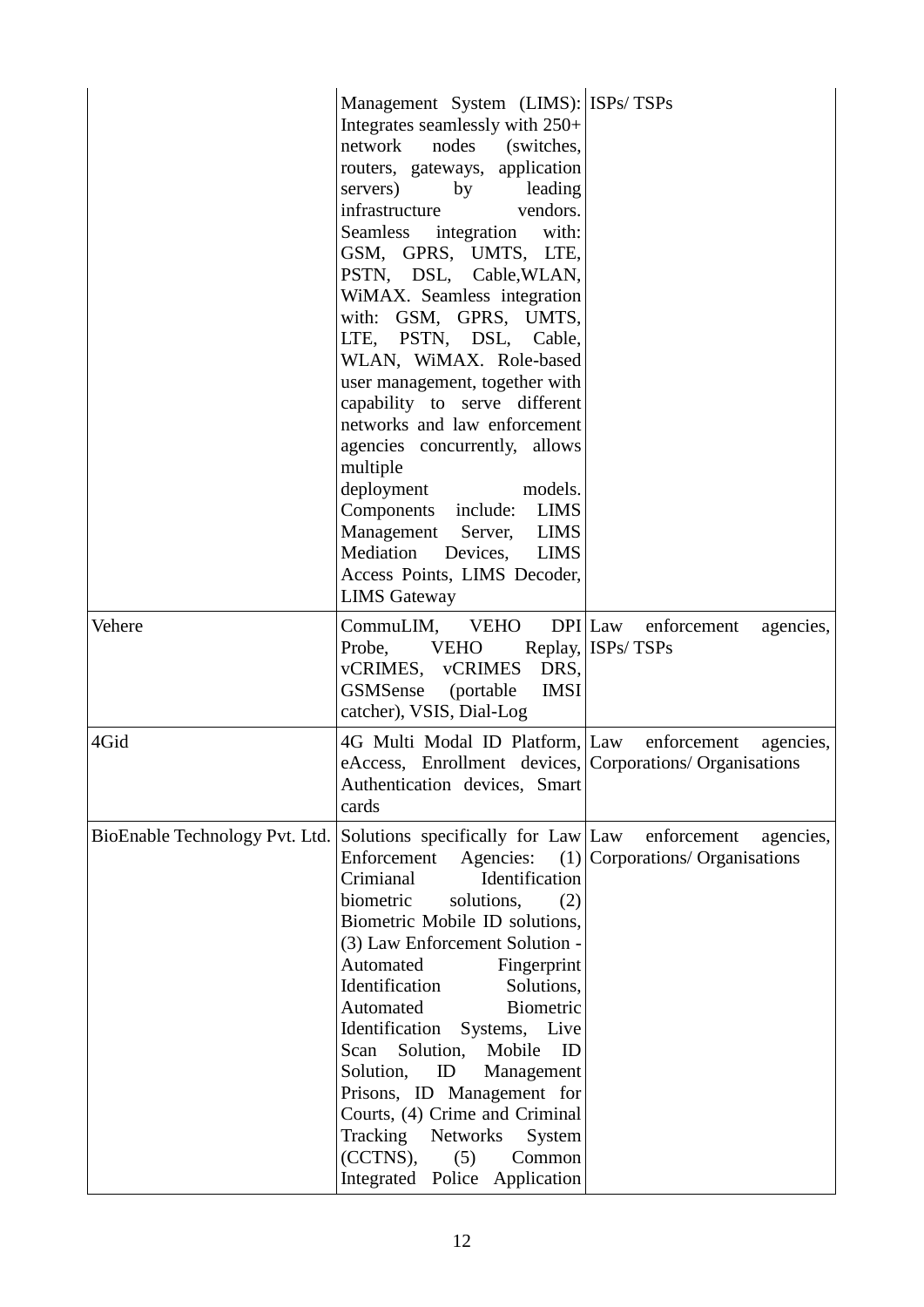|                                | Management System (LIMS): ISPs/TSPs<br>Integrates seamlessly with 250+<br>network nodes (switches,<br>routers, gateways, application<br>servers) by leading<br>vendors.<br>infrastructure<br>Seamless integration<br>with:<br>GSM, GPRS, UMTS, LTE,<br>PSTN, DSL, Cable, WLAN,<br>WiMAX. Seamless integration<br>with: GSM, GPRS, UMTS,<br>LTE, PSTN, DSL, Cable,<br>WLAN, WiMAX. Role-based<br>user management, together with<br>capability to serve different<br>networks and law enforcement<br>agencies concurrently, allows<br>multiple<br>deployment<br>models.<br>Components include:<br><b>LIMS</b><br>Management Server,<br>LIMS<br>Mediation Devices, LIMS<br>Access Points, LIMS Decoder,<br><b>LIMS Gateway</b> |                                                               |
|--------------------------------|-----------------------------------------------------------------------------------------------------------------------------------------------------------------------------------------------------------------------------------------------------------------------------------------------------------------------------------------------------------------------------------------------------------------------------------------------------------------------------------------------------------------------------------------------------------------------------------------------------------------------------------------------------------------------------------------------------------------------------|---------------------------------------------------------------|
| Vehere                         | CommuLIM, VEHO<br><b>VEHO</b><br>Probe,<br>vCRIMES, vCRIMES<br>DRS,<br>GSMSense (portable<br><b>IMSI</b><br>catcher), VSIS, Dial-Log                                                                                                                                                                                                                                                                                                                                                                                                                                                                                                                                                                                        | DPI Law enforcement<br>agencies,<br>Replay, ISPs/TSPs         |
| 4Gid                           | 4G Multi Modal ID Platform, Law<br>eAccess, Enrollment devices, Corporations/Organisations<br>Authentication devices, Smart<br>cards                                                                                                                                                                                                                                                                                                                                                                                                                                                                                                                                                                                        | enforcement<br>agencies,                                      |
| BioEnable Technology Pvt. Ltd. | Solutions specifically for Law Law<br>Enforcement<br>Agencies:<br>Crimianal<br>Identification<br>biometric<br>solutions,<br>(2)<br>Biometric Mobile ID solutions,<br>(3) Law Enforcement Solution -<br>Automated<br>Fingerprint<br>Identification<br>Solutions,<br>Automated<br>Biometric<br>Identification Systems, Live<br>Mobile<br>Scan<br>Solution,<br>ID<br>Solution,<br>ID<br>Management<br>Prisons, ID Management for<br>Courts, (4) Crime and Criminal<br>Tracking<br>Networks<br>System<br>(CCTNS),<br>(5)<br>Common<br>Integrated Police Application                                                                                                                                                             | enforcement<br>agencies,<br>$(1)$ Corporations/ Organisations |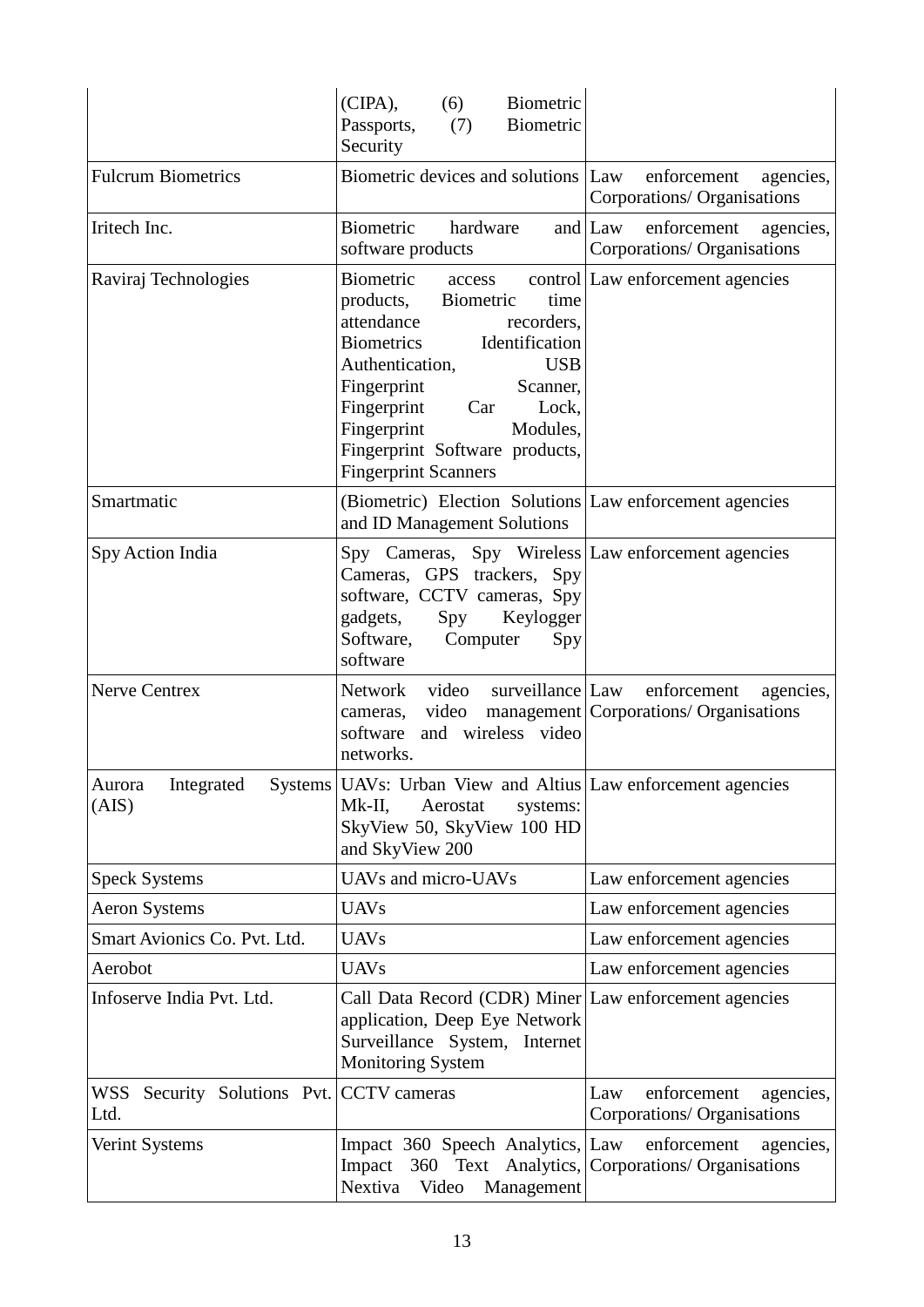|                                                 | $(CIPA)$ ,<br>(6)<br>Biometric<br>Biometric<br>Passports,<br>(7)<br>Security                                                                                                                                                                                                                                 |                                                                             |
|-------------------------------------------------|--------------------------------------------------------------------------------------------------------------------------------------------------------------------------------------------------------------------------------------------------------------------------------------------------------------|-----------------------------------------------------------------------------|
| <b>Fulcrum Biometrics</b>                       | Biometric devices and solutions Law                                                                                                                                                                                                                                                                          | enforcement<br>agencies,<br>Corporations/ Organisations                     |
| Iritech Inc.                                    | <b>Biometric</b><br>hardware<br>software products                                                                                                                                                                                                                                                            | and $\vert$ Law<br>enforcement<br>agencies,<br>Corporations/ Organisations  |
| Raviraj Technologies                            | <b>Biometric</b><br>Biometric<br>products,<br>time<br>attendance<br>recorders,<br>Identification<br><b>Biometrics</b><br><b>USB</b><br>Authentication,<br>Fingerprint<br>Scanner,<br>Fingerprint<br>Lock,<br>Car<br>Fingerprint<br>Modules,<br>Fingerprint Software products,<br><b>Fingerprint Scanners</b> | access control Law enforcement agencies                                     |
| Smartmatic                                      | (Biometric) Election Solutions Law enforcement agencies<br>and ID Management Solutions                                                                                                                                                                                                                       |                                                                             |
| Spy Action India                                | Spy Cameras, Spy Wireless Law enforcement agencies<br>Cameras, GPS trackers, Spy<br>software, CCTV cameras, Spy<br>gadgets,<br>Spy<br>Keylogger<br>Software, Computer<br>Spy<br>software                                                                                                                     |                                                                             |
| <b>Nerve Centrex</b>                            | video surveillance Law<br>Network<br>video<br>cameras,<br>software and wireless video<br>networks.                                                                                                                                                                                                           | enforcement<br>agencies,<br>management   Corporations/ Organisations        |
| Integrated<br><b>Systems</b><br>Aurora<br>(AIS) | UAVs: Urban View and Altius Law enforcement agencies<br>Aerostat<br>Mk-II,<br>systems:<br>SkyView 50, SkyView 100 HD<br>and SkyView 200                                                                                                                                                                      |                                                                             |
| <b>Speck Systems</b>                            | UAVs and micro-UAVs                                                                                                                                                                                                                                                                                          | Law enforcement agencies                                                    |
| <b>Aeron Systems</b>                            | <b>UAVs</b>                                                                                                                                                                                                                                                                                                  | Law enforcement agencies                                                    |
| Smart Avionics Co. Pvt. Ltd.                    | <b>UAVs</b>                                                                                                                                                                                                                                                                                                  | Law enforcement agencies                                                    |
| Aerobot                                         | <b>UAVs</b>                                                                                                                                                                                                                                                                                                  | Law enforcement agencies                                                    |
| Infoserve India Pvt. Ltd.                       | Call Data Record (CDR) Miner Law enforcement agencies<br>application, Deep Eye Network<br>Surveillance System, Internet<br><b>Monitoring System</b>                                                                                                                                                          |                                                                             |
| WSS Security Solutions Pvt.<br>Ltd.             | <b>CCTV</b> cameras                                                                                                                                                                                                                                                                                          | enforcement<br>agencies,<br>Law<br>Corporations/ Organisations              |
| <b>Verint Systems</b>                           | Impact 360 Speech Analytics, Law<br>Impact<br>Nextiva<br>Video<br>Management                                                                                                                                                                                                                                 | enforcement<br>agencies,<br>360 Text Analytics, Corporations/ Organisations |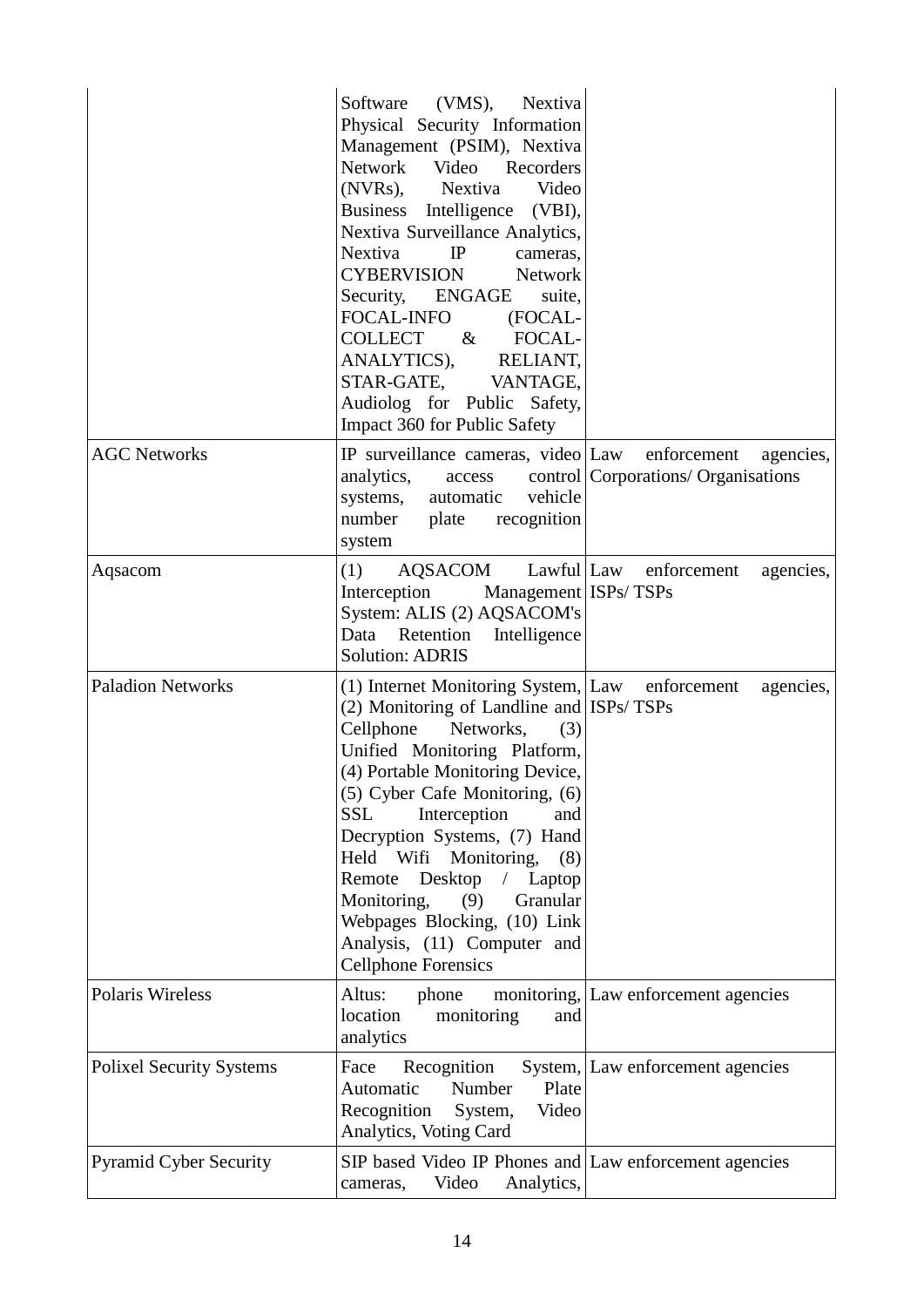|                                 | (VMS), Nextiva<br>Software<br>Physical Security Information<br>Management (PSIM), Nextiva<br>Network Video Recorders<br>(NVRs), Nextiva<br>Video<br>Business Intelligence (VBI),<br>Nextiva Surveillance Analytics,<br>Nextiva<br>IP<br>cameras,<br><b>CYBERVISION</b><br><b>Network</b><br>Security, ENGAGE<br>suite,<br>FOCAL-INFO<br>(FOCAL-<br><b>COLLECT</b><br>$\alpha$<br>FOCAL-<br>ANALYTICS), RELIANT,<br>STAR-GATE, VANTAGE,<br>Audiolog for Public Safety,<br>Impact 360 for Public Safety              |                                                                   |
|---------------------------------|--------------------------------------------------------------------------------------------------------------------------------------------------------------------------------------------------------------------------------------------------------------------------------------------------------------------------------------------------------------------------------------------------------------------------------------------------------------------------------------------------------------------|-------------------------------------------------------------------|
| <b>AGC Networks</b>             | IP surveillance cameras, video Law<br>analytics,<br>access<br>vehicle<br>systems,<br>automatic<br>number<br>plate<br>recognition<br>system                                                                                                                                                                                                                                                                                                                                                                         | enforcement<br>agencies,<br>control   Corporations/ Organisations |
| Aqsacom                         | (1)<br>AQSACOM<br>Interception<br>Management ISPs/TSPs<br>System: ALIS (2) AQSACOM's<br>Data Retention<br>Intelligence<br><b>Solution: ADRIS</b>                                                                                                                                                                                                                                                                                                                                                                   | Lawful Law enforcement<br>agencies,                               |
| <b>Paladion Networks</b>        | (1) Internet Monitoring System, Law enforcement<br>(2) Monitoring of Landline and ISPs/TSPs<br>Cellphone<br>Networks,<br>(3)<br>Unified Monitoring Platform,<br>(4) Portable Monitoring Device,<br>(5) Cyber Cafe Monitoring, (6)<br>Interception<br><b>SSL</b><br>and<br>Decryption Systems, (7) Hand<br>Held Wifi Monitoring,<br>(8)<br>Desktop<br>Remote<br>$\sqrt{2}$<br>Laptop<br>Monitoring,<br>(9)<br>Granular<br>Webpages Blocking, (10) Link<br>Analysis, (11) Computer and<br><b>Cellphone Forensics</b> | agencies,                                                         |
| <b>Polaris Wireless</b>         | Altus:<br>phone<br>location<br>monitoring<br>and<br>analytics                                                                                                                                                                                                                                                                                                                                                                                                                                                      | monitoring, Law enforcement agencies                              |
| <b>Polixel Security Systems</b> | Face<br>Recognition<br>Plate<br>Number<br>Automatic<br>Video<br>Recognition<br>System,<br>Analytics, Voting Card                                                                                                                                                                                                                                                                                                                                                                                                   | System, Law enforcement agencies                                  |
| <b>Pyramid Cyber Security</b>   | SIP based Video IP Phones and Law enforcement agencies<br>Video<br>Analytics,<br>cameras,                                                                                                                                                                                                                                                                                                                                                                                                                          |                                                                   |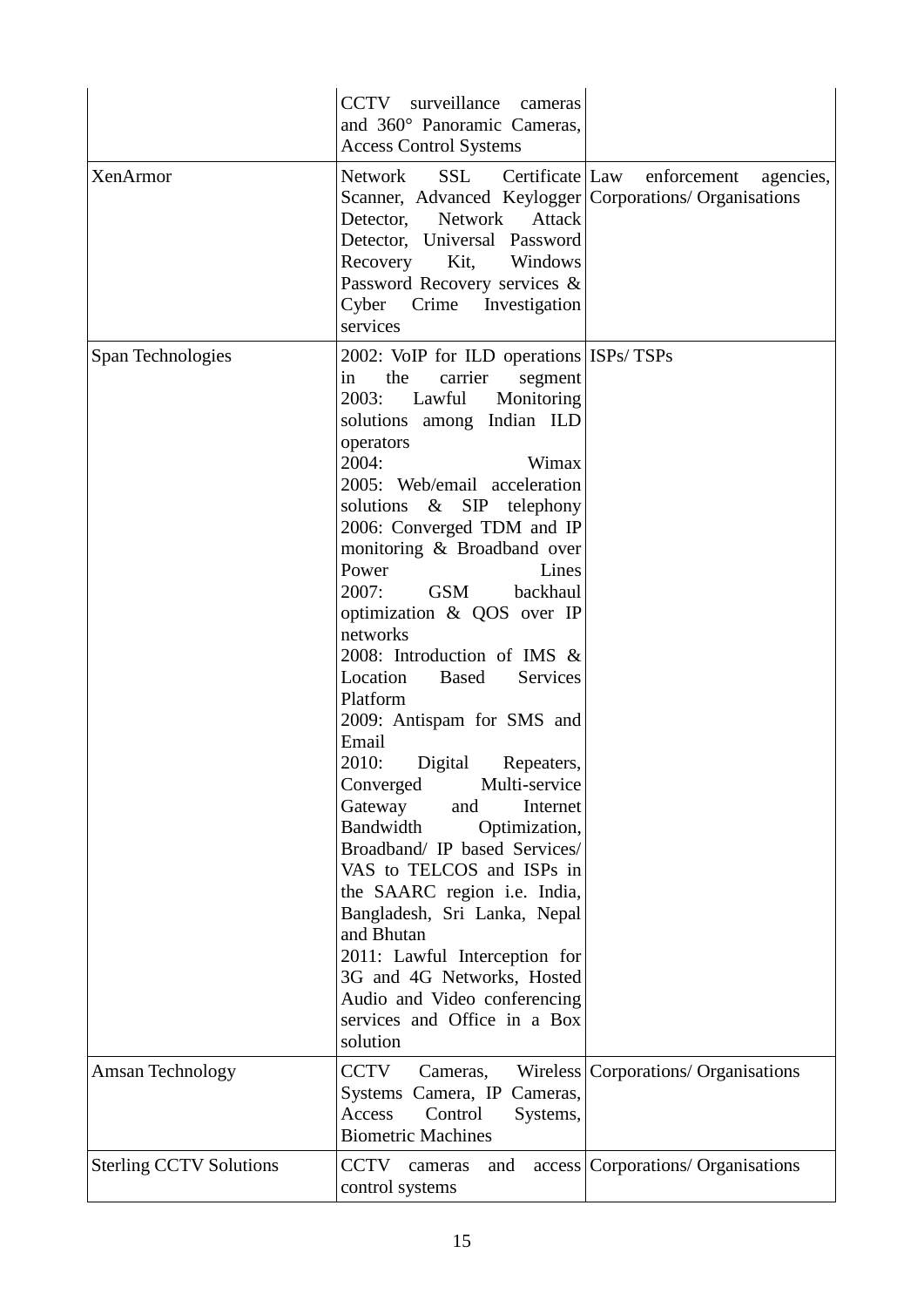|                                | CCTV surveillance<br>cameras<br>and 360° Panoramic Cameras,<br><b>Access Control Systems</b>                                                                                                                                                                                                                                                                                                                                                                                                                                                                                                                                                                                                                                                                                                                                                                                                                                                                 |                                        |
|--------------------------------|--------------------------------------------------------------------------------------------------------------------------------------------------------------------------------------------------------------------------------------------------------------------------------------------------------------------------------------------------------------------------------------------------------------------------------------------------------------------------------------------------------------------------------------------------------------------------------------------------------------------------------------------------------------------------------------------------------------------------------------------------------------------------------------------------------------------------------------------------------------------------------------------------------------------------------------------------------------|----------------------------------------|
| XenArmor                       | SSL Certificate Law<br>Network<br>Scanner, Advanced Keylogger Corporations/ Organisations<br>Network<br>Attack<br>Detector,<br>Detector, Universal Password<br>Recovery Kit,<br>Windows<br>Password Recovery services &<br>Cyber Crime Investigation<br>services                                                                                                                                                                                                                                                                                                                                                                                                                                                                                                                                                                                                                                                                                             | enforcement<br>agencies,               |
| Span Technologies              | 2002: VoIP for ILD operations ISPs/TSPs<br>carrier<br>the<br>segment<br>in<br>Lawful<br>2003:<br>Monitoring<br>solutions among Indian ILD<br>operators<br>2004:<br>Wimax<br>2005: Web/email acceleration<br>solutions & SIP telephony<br>2006: Converged TDM and IP<br>monitoring & Broadband over<br>Power<br>Lines<br><b>GSM</b><br>2007:<br>backhaul<br>optimization & QOS over IP<br>networks<br>2008: Introduction of IMS &<br><b>Based</b><br><b>Services</b><br>Location<br>Platform<br>2009: Antispam for SMS and<br>Email<br>2010:<br>Digital<br>Repeaters,<br>Converged<br>Multi-service<br>Gateway<br>and<br>Internet<br><b>Bandwidth</b><br>Optimization,<br>Broadband/ IP based Services/<br>VAS to TELCOS and ISPs in<br>the SAARC region i.e. India,<br>Bangladesh, Sri Lanka, Nepal<br>and Bhutan<br>2011: Lawful Interception for<br>3G and 4G Networks, Hosted<br>Audio and Video conferencing<br>services and Office in a Box<br>solution |                                        |
| Amsan Technology               | CCTV<br>Cameras,<br>Systems Camera, IP Cameras,<br>Access<br>Control<br>Systems,<br><b>Biometric Machines</b>                                                                                                                                                                                                                                                                                                                                                                                                                                                                                                                                                                                                                                                                                                                                                                                                                                                | Wireless   Corporations/ Organisations |
| <b>Sterling CCTV Solutions</b> | CCTV cameras<br>and<br>control systems                                                                                                                                                                                                                                                                                                                                                                                                                                                                                                                                                                                                                                                                                                                                                                                                                                                                                                                       | access   Corporations/ Organisations   |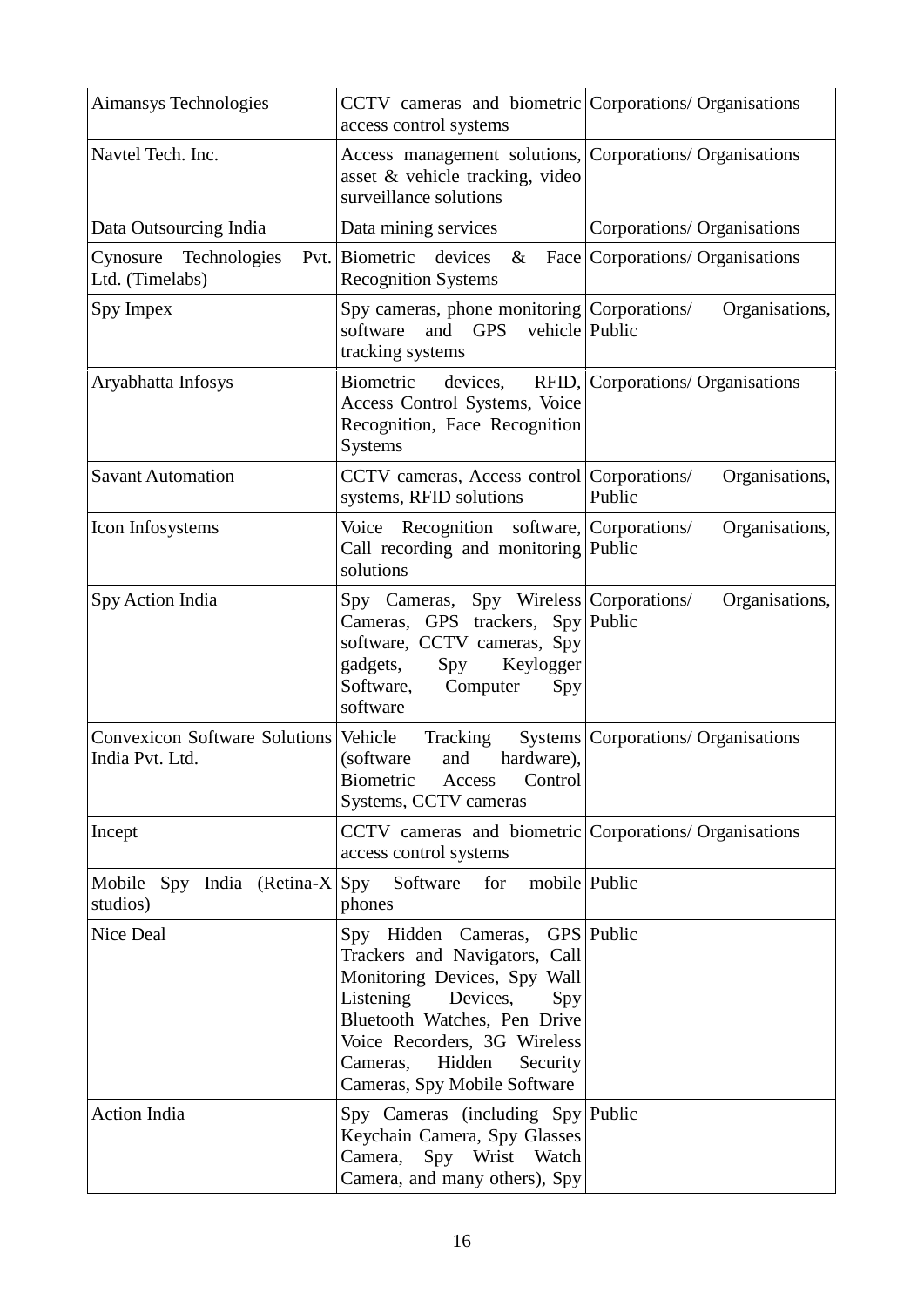| Aimansys Technologies                                    | CCTV cameras and biometric Corporations/ Organisations<br>access control systems                                                                                                                                                                                  |                                       |
|----------------------------------------------------------|-------------------------------------------------------------------------------------------------------------------------------------------------------------------------------------------------------------------------------------------------------------------|---------------------------------------|
| Navtel Tech. Inc.                                        | Access management solutions, Corporations/ Organisations<br>asset & vehicle tracking, video<br>surveillance solutions                                                                                                                                             |                                       |
| Data Outsourcing India                                   | Data mining services                                                                                                                                                                                                                                              | Corporations/ Organisations           |
| Technologies<br>Cynosure<br>Ltd. (Timelabs)              | Pvt. Biometric<br>devices<br>$\&$<br><b>Recognition Systems</b>                                                                                                                                                                                                   | Face Corporations/ Organisations      |
| Spy Impex                                                | Spy cameras, phone monitoring Corporations/<br>software<br>and<br><b>GPS</b><br>vehicle Public<br>tracking systems                                                                                                                                                | Organisations,                        |
| Aryabhatta Infosys                                       | Biometric<br>devices,<br>Access Control Systems, Voice<br>Recognition, Face Recognition<br>Systems                                                                                                                                                                | RFID, Corporations/ Organisations     |
| <b>Savant Automation</b>                                 | CCTV cameras, Access control Corporations/<br>systems, RFID solutions                                                                                                                                                                                             | Organisations,<br>Public              |
| Icon Infosystems                                         | Voice Recognition software, Corporations/<br>Call recording and monitoring Public<br>solutions                                                                                                                                                                    | Organisations,                        |
| Spy Action India                                         | Spy Cameras, Spy Wireless Corporations/<br>Cameras, GPS trackers, Spy Public<br>software, CCTV cameras, Spy<br>Keylogger<br>gadgets,<br>Spy<br>Software,<br>Computer<br>Spy<br>software                                                                           | Organisations,                        |
| Convexicon Software Solutions Vehicle<br>India Pvt. Ltd. | <b>Tracking</b><br>hardware),<br>(software<br>and<br>Biometric Access Control<br>Systems, CCTV cameras                                                                                                                                                            | Systems   Corporations/ Organisations |
| Incept                                                   | CCTV cameras and biometric Corporations/ Organisations<br>access control systems                                                                                                                                                                                  |                                       |
| Mobile Spy India (Retina-X $ $ Spy<br>studios)           | Software for mobile Public<br>phones                                                                                                                                                                                                                              |                                       |
| <b>Nice Deal</b>                                         | Spy Hidden Cameras, GPS Public<br>Trackers and Navigators, Call<br>Monitoring Devices, Spy Wall<br>Listening<br>Devices,<br>Spy<br>Bluetooth Watches, Pen Drive<br>Voice Recorders, 3G Wireless<br>Hidden<br>Cameras,<br>Security<br>Cameras, Spy Mobile Software |                                       |
| <b>Action India</b>                                      | Spy Cameras (including Spy Public<br>Keychain Camera, Spy Glasses<br>Spy Wrist<br>Watch<br>Camera,<br>Camera, and many others), Spy                                                                                                                               |                                       |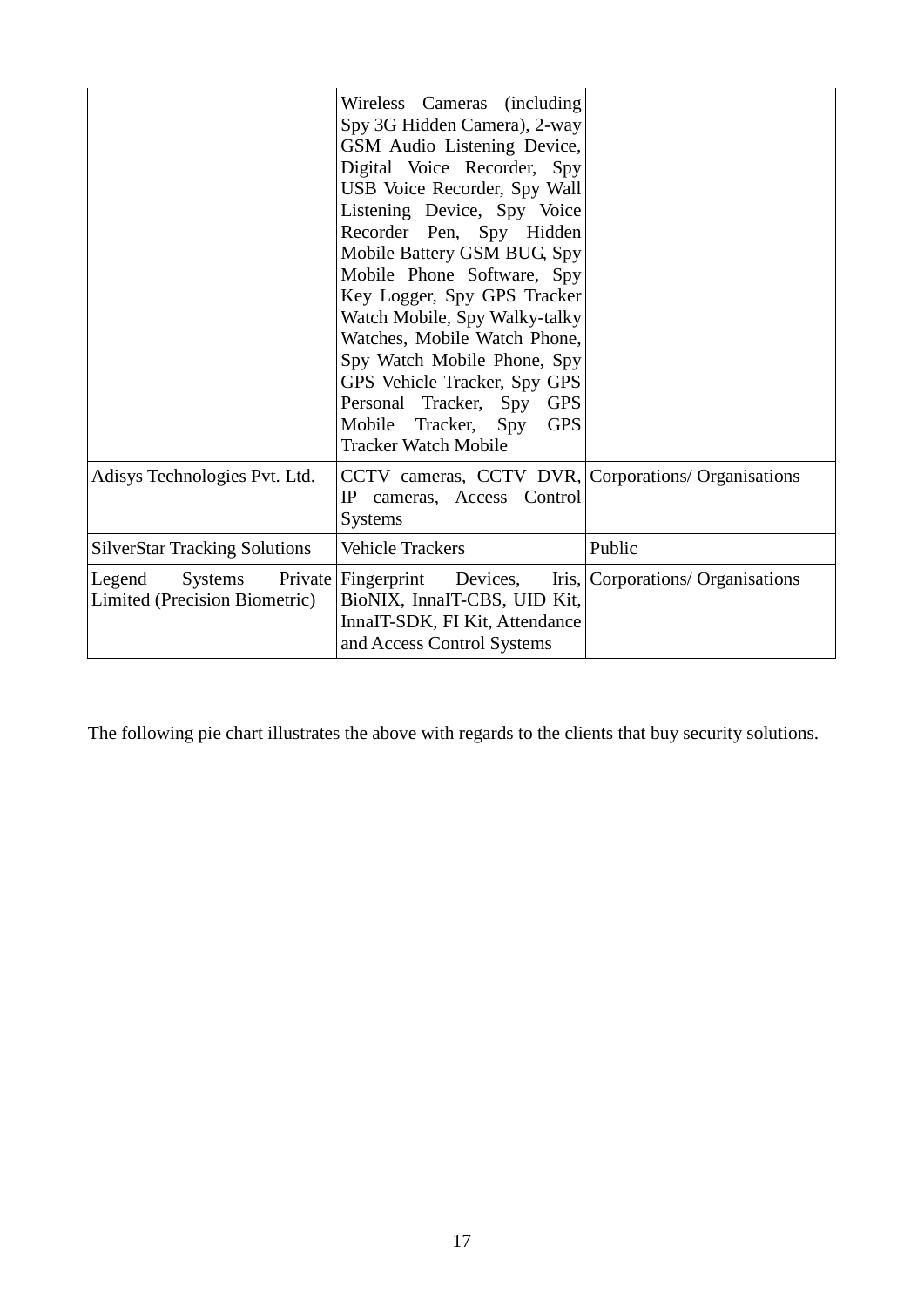|                                                    | Wireless Cameras (including<br>Spy 3G Hidden Camera), 2-way<br>GSM Audio Listening Device,<br>Digital Voice Recorder, Spy<br>USB Voice Recorder, Spy Wall<br>Listening Device, Spy Voice<br>Recorder Pen, Spy Hidden<br>Mobile Battery GSM BUG, Spy<br>Mobile Phone Software, Spy<br>Key Logger, Spy GPS Tracker<br>Watch Mobile, Spy Walky-talky<br>Watches, Mobile Watch Phone,<br>Spy Watch Mobile Phone, Spy<br>GPS Vehicle Tracker, Spy GPS<br>Personal Tracker, Spy<br><b>GPS</b><br>Mobile Tracker, Spy<br><b>GPS</b><br><b>Tracker Watch Mobile</b> |                                   |
|----------------------------------------------------|-------------------------------------------------------------------------------------------------------------------------------------------------------------------------------------------------------------------------------------------------------------------------------------------------------------------------------------------------------------------------------------------------------------------------------------------------------------------------------------------------------------------------------------------------------------|-----------------------------------|
| Adisys Technologies Pvt. Ltd.                      | CCTV cameras, CCTV DVR, Corporations/ Organisations<br>cameras, Access Control<br>IP.<br>Systems                                                                                                                                                                                                                                                                                                                                                                                                                                                            |                                   |
| <b>SilverStar Tracking Solutions</b>               | <b>Vehicle Trackers</b>                                                                                                                                                                                                                                                                                                                                                                                                                                                                                                                                     | Public                            |
| Systems<br>Legend<br>Limited (Precision Biometric) | Private   Fingerprint<br>Devices,<br>BioNIX, InnaIT-CBS, UID Kit,<br>InnaIT-SDK, FI Kit, Attendance<br>and Access Control Systems                                                                                                                                                                                                                                                                                                                                                                                                                           | Iris, Corporations/ Organisations |

The following pie chart illustrates the above with regards to the clients that buy security solutions.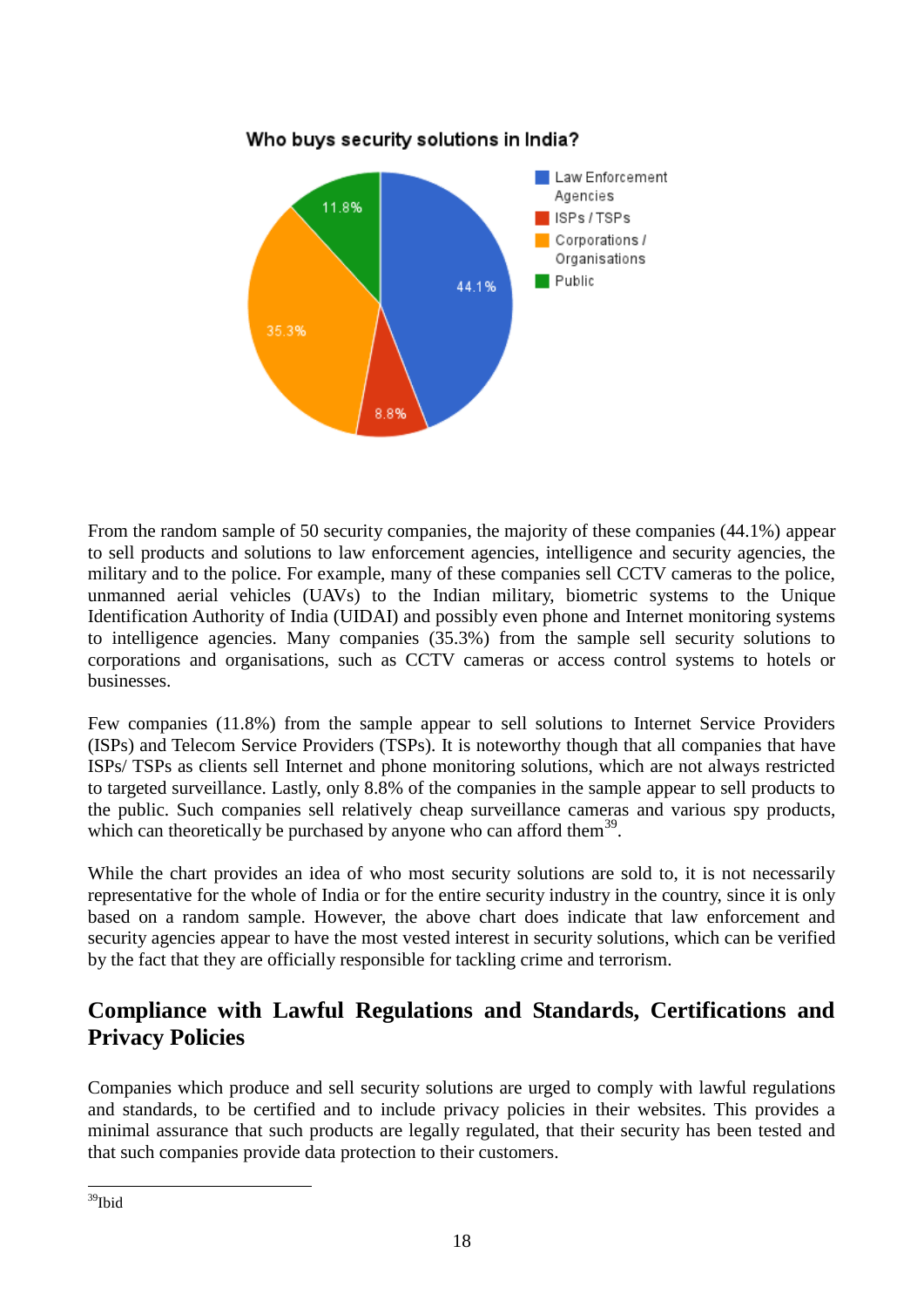

From the random sample of 50 security companies, the majority of these companies (44.1%) appear to sell products and solutions to law enforcement agencies, intelligence and security agencies, the military and to the police. For example, many of these companies sell CCTV cameras to the police, unmanned aerial vehicles (UAVs) to the Indian military, biometric systems to the Unique Identification Authority of India (UIDAI) and possibly even phone and Internet monitoring systems to intelligence agencies. Many companies (35.3%) from the sample sell security solutions to corporations and organisations, such as CCTV cameras or access control systems to hotels or businesses.

Few companies (11.8%) from the sample appear to sell solutions to Internet Service Providers (ISPs) and Telecom Service Providers (TSPs). It is noteworthy though that all companies that have ISPs/ TSPs as clients sell Internet and phone monitoring solutions, which are not always restricted to targeted surveillance. Lastly, only 8.8% of the companies in the sample appear to sell products to the public. Such companies sell relatively cheap surveillance cameras and various spy products, which can theoretically be purchased by anyone who can afford them $^{39}$ .

While the chart provides an idea of who most security solutions are sold to, it is not necessarily representative for the whole of India or for the entire security industry in the country, since it is only based on a random sample. However, the above chart does indicate that law enforcement and security agencies appear to have the most vested interest in security solutions, which can be verified by the fact that they are officially responsible for tackling crime and terrorism.

## **Compliance with Lawful Regulations and Standards, Certifications and Privacy Policies**

Companies which produce and sell security solutions are urged to comply with lawful regulations and standards, to be certified and to include privacy policies in their websites. This provides a minimal assurance that such products are legally regulated, that their security has been tested and that such companies provide data protection to their customers.

 $\overline{a}$ <sup>39</sup>Ibid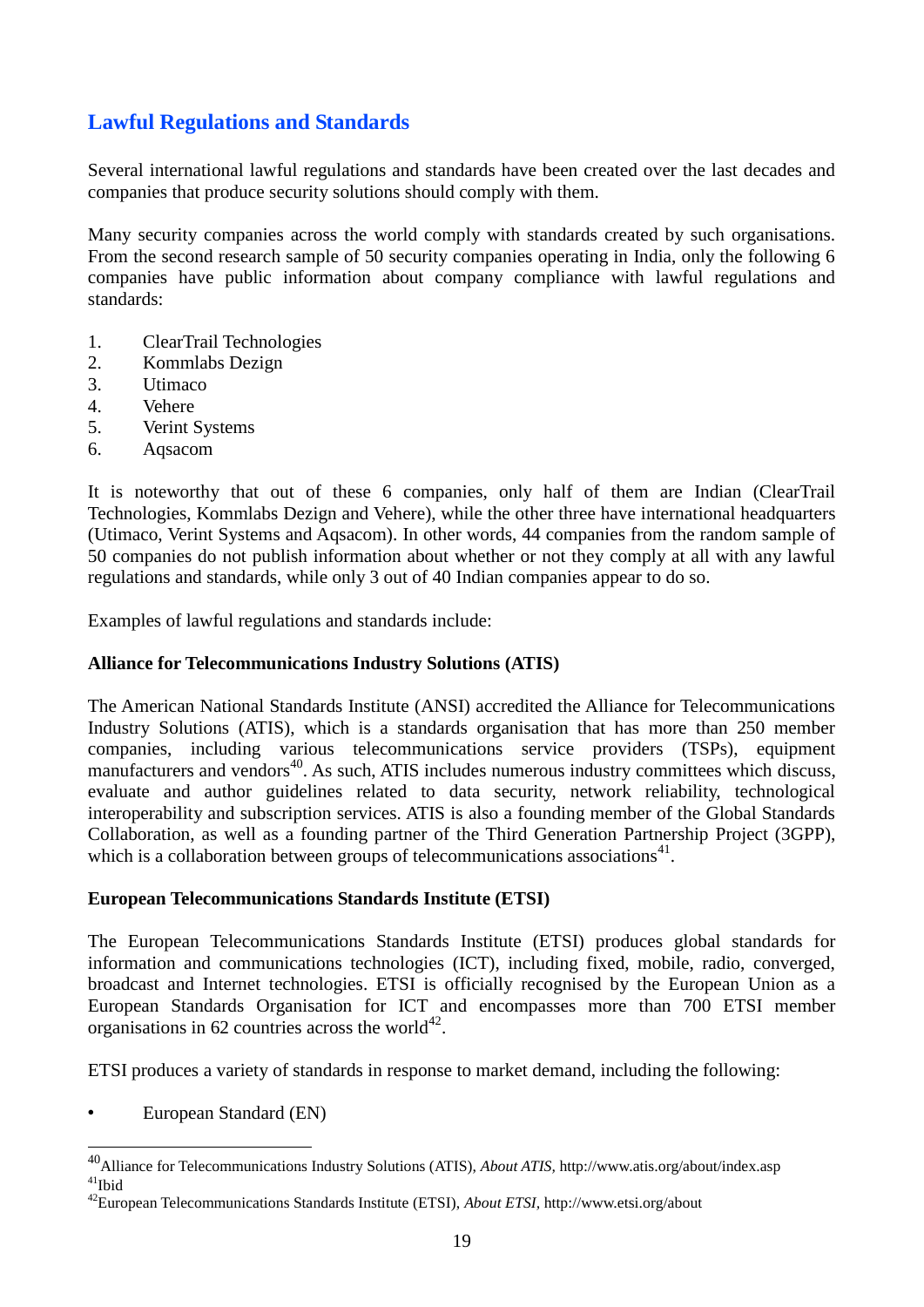## **Lawful Regulations and Standards**

Several international lawful regulations and standards have been created over the last decades and companies that produce security solutions should comply with them.

Many security companies across the world comply with standards created by such organisations. From the second research sample of 50 security companies operating in India, only the following 6 companies have public information about company compliance with lawful regulations and standards:

- 1. ClearTrail Technologies
- 2. Kommlabs Dezign
- 3. Utimaco
- 4. Vehere
- 5. Verint Systems
- 6. Aqsacom

It is noteworthy that out of these 6 companies, only half of them are Indian (ClearTrail Technologies, Kommlabs Dezign and Vehere), while the other three have international headquarters (Utimaco, Verint Systems and Aqsacom). In other words, 44 companies from the random sample of 50 companies do not publish information about whether or not they comply at all with any lawful regulations and standards, while only 3 out of 40 Indian companies appear to do so.

Examples of lawful regulations and standards include:

#### **Alliance for Telecommunications Industry Solutions (ATIS)**

The American National Standards Institute (ANSI) accredited the Alliance for Telecommunications Industry Solutions (ATIS), which is a standards organisation that has more than 250 member companies, including various telecommunications service providers (TSPs), equipment manufacturers and vendors<sup>40</sup>. As such, ATIS includes numerous industry committees which discuss, evaluate and author guidelines related to data security, network reliability, technological interoperability and subscription services. ATIS is also a founding member of the Global Standards Collaboration, as well as a founding partner of the Third Generation Partnership Project (3GPP), which is a collaboration between groups of telecommunications associations<sup>41</sup>.

#### **European Telecommunications Standards Institute (ETSI)**

The European Telecommunications Standards Institute (ETSI) produces global standards for information and communications technologies (ICT), including fixed, mobile, radio, converged, broadcast and Internet technologies. ETSI is officially recognised by the European Union as a European Standards Organisation for ICT and encompasses more than 700 ETSI member organisations in 62 countries across the world $42$ .

ETSI produces a variety of standards in response to market demand, including the following:

• European Standard (EN)

<u>.</u>

<sup>40</sup>Alliance for Telecommunications Industry Solutions (ATIS), *About ATIS,* <http://www.atis.org/about/index.asp>  $41$ Ibid

<sup>42</sup>European Telecommunications Standards Institute (ETSI), *About ETSI,* <http://www.etsi.org/about>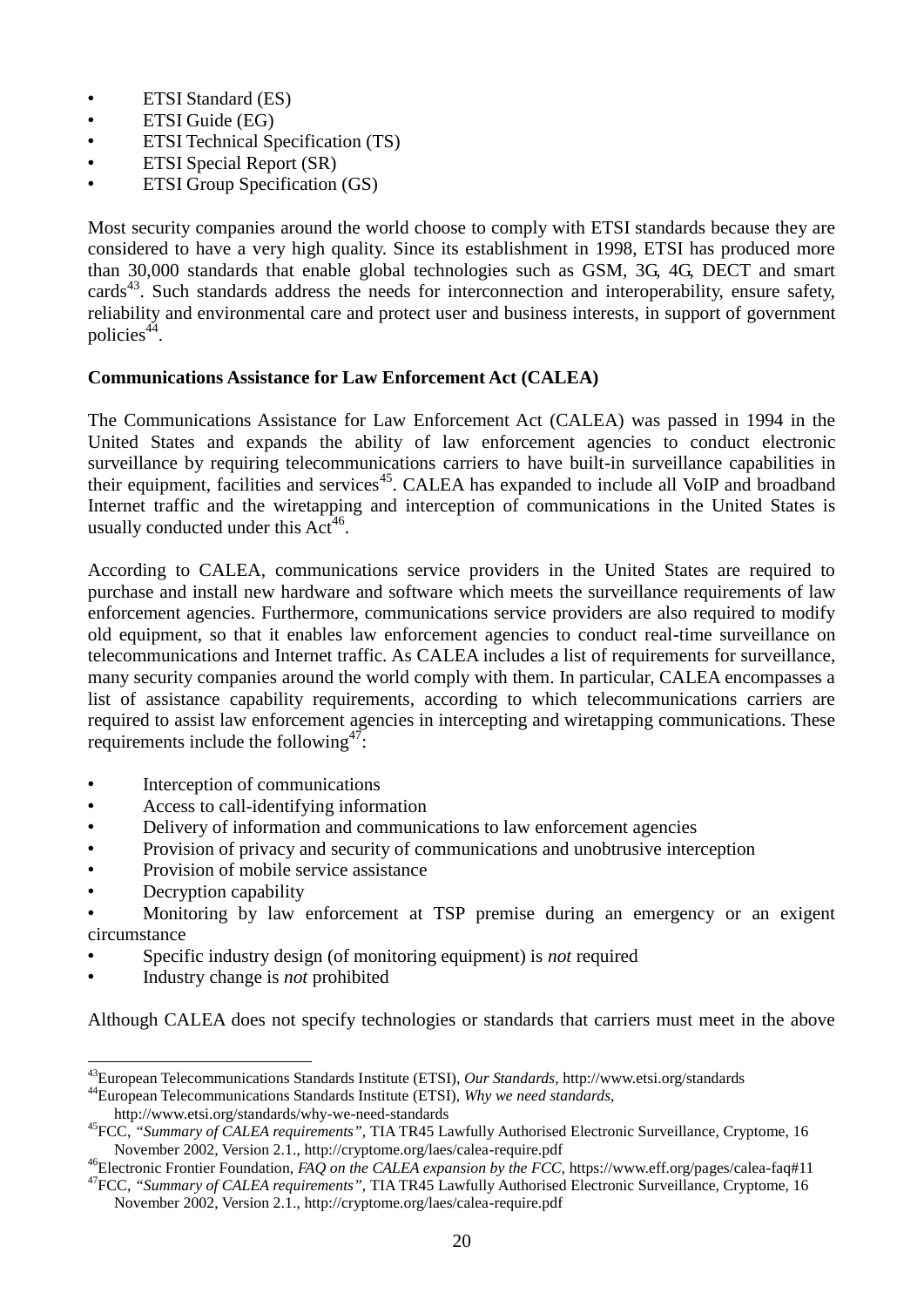- ETSI Standard (ES)
- ETSI Guide (EG)
- ETSI Technical Specification (TS)
- ETSI Special Report (SR)
- **ETSI Group Specification (GS)**

Most security companies around the world choose to comply with ETSI standards because they are considered to have a very high quality. Since its establishment in 1998, ETSI has produced more than 30,000 standards that enable global technologies such as GSM, 3G, 4G, DECT and smart cards<sup>43</sup>. Such standards address the needs for interconnection and interoperability, ensure safety, reliability and environmental care and protect user and business interests, in support of government policies<sup>44</sup>.

#### **Communications Assistance for Law Enforcement Act (CALEA)**

The Communications Assistance for Law Enforcement Act (CALEA) was passed in 1994 in the United States and expands the ability of law enforcement agencies to conduct electronic surveillance by requiring telecommunications carriers to have built-in surveillance capabilities in their equipment, facilities and services<sup>45</sup>. CALEA has expanded to include all VoIP and broadband Internet traffic and the wiretapping and interception of communications in the United States is usually conducted under this  $Act^{46}$ .

According to CALEA, communications service providers in the United States are required to purchase and install new hardware and software which meets the surveillance requirements of law enforcement agencies. Furthermore, communications service providers are also required to modify old equipment, so that it enables law enforcement agencies to conduct real-time surveillance on telecommunications and Internet traffic. As CALEA includes a list of requirements for surveillance, many security companies around the world comply with them. In particular, CALEA encompasses a list of assistance capability requirements, according to which telecommunications carriers are required to assist law enforcement agencies in intercepting and wiretapping communications. These requirements include the following<sup>47</sup>:

- Interception of communications
- Access to call-identifying information
- Delivery of information and communications to law enforcement agencies
- Provision of privacy and security of communications and unobtrusive interception
- Provision of mobile service assistance
- Decryption capability

<u>.</u>

- Monitoring by law enforcement at TSP premise during an emergency or an exigent circumstance
- Specific industry design (of monitoring equipment) is *not* required
- Industry change is *not* prohibited

Although CALEA does not specify technologies or standards that carriers must meet in the above

<http://www.etsi.org/standards/why-we-need-standards>

<sup>43</sup>European Telecommunications Standards Institute (ETSI), *Our Standards,* <http://www.etsi.org/standards> <sup>44</sup>European Telecommunications Standards Institute (ETSI), *Why we need standards,* 

<sup>45</sup>FCC, *"Summary of CALEA requirements",* TIA TR45 Lawfully Authorised Electronic Surveillance, Cryptome, 16 November 2002, Version 2.1.,<http://cryptome.org/laes/calea-require.pdf>

<sup>46</sup>Electronic Frontier Foundation, *FAQ on the CALEA expansion by the FCC,* <https://www.eff.org/pages/calea-faq#11> <sup>47</sup>FCC, *"Summary of CALEA requirements",* TIA TR45 Lawfully Authorised Electronic Surveillance, Cryptome, 16 November 2002, Version 2.1.,<http://cryptome.org/laes/calea-require.pdf>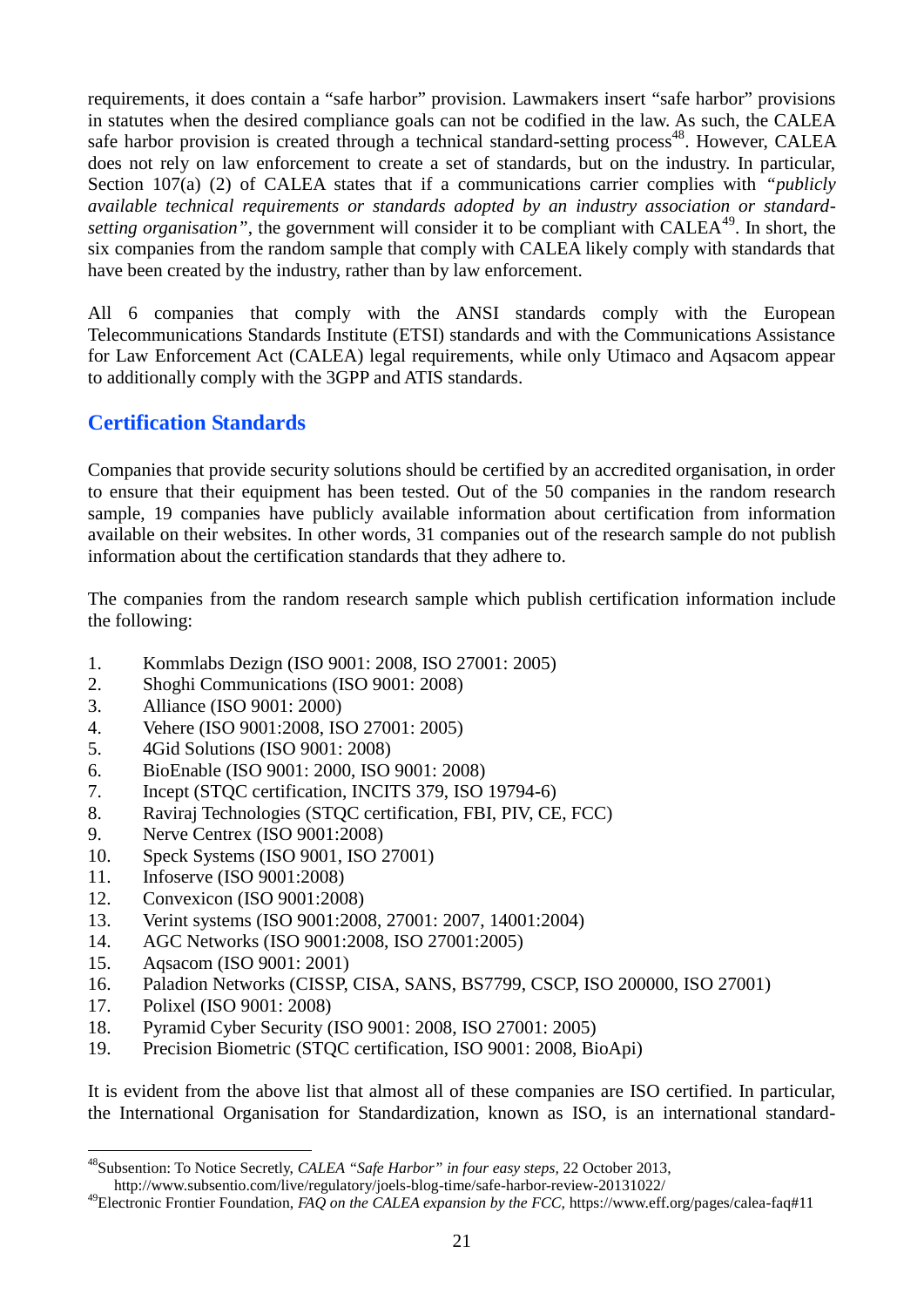requirements, it does contain a "safe harbor" provision. Lawmakers insert "safe harbor" provisions in statutes when the desired compliance goals can not be codified in the law. As such, the CALEA safe harbor provision is created through a technical standard-setting process<sup>48</sup>. However, CALEA does not rely on law enforcement to create a set of standards, but on the industry. In particular, Section 107(a) (2) of CALEA states that if a communications carrier complies with *"publicly available technical requirements or standards adopted by an industry association or standardsetting organisation"*, the government will consider it to be compliant with CALEA<sup>49</sup>. In short, the six companies from the random sample that comply with CALEA likely comply with standards that have been created by the industry, rather than by law enforcement.

All 6 companies that comply with the ANSI standards comply with the European Telecommunications Standards Institute (ETSI) standards and with the Communications Assistance for Law Enforcement Act (CALEA) legal requirements, while only Utimaco and Aqsacom appear to additionally comply with the 3GPP and ATIS standards.

## **Certification Standards**

Companies that provide security solutions should be certified by an accredited organisation, in order to ensure that their equipment has been tested. Out of the 50 companies in the random research sample, 19 companies have publicly available information about certification from information available on their websites. In other words, 31 companies out of the research sample do not publish information about the certification standards that they adhere to.

The companies from the random research sample which publish certification information include the following:

- 1. Kommlabs Dezign (ISO 9001: 2008, ISO 27001: 2005)
- 2. Shoghi Communications (ISO 9001: 2008)
- 3. Alliance (ISO 9001: 2000)
- 4. Vehere (ISO 9001:2008, ISO 27001: 2005)
- 5. 4Gid Solutions (ISO 9001: 2008)
- 6. BioEnable (ISO 9001: 2000, ISO 9001: 2008)
- 7. Incept (STQC certification, INCITS 379, ISO 19794-6)
- 8. Raviraj Technologies (STQC certification, FBI, PIV, CE, FCC)
- 9. Nerve Centrex (ISO 9001:2008)
- 10. Speck Systems (ISO 9001, ISO 27001)
- 11. Infoserve (ISO 9001:2008)
- 12. Convexicon (ISO 9001:2008)
- 13. Verint systems (ISO 9001:2008, 27001: 2007, 14001:2004)
- 14. AGC Networks (ISO 9001:2008, ISO 27001:2005)
- 15. Aqsacom (ISO 9001: 2001)
- 16. Paladion Networks (CISSP, CISA, SANS, BS7799, CSCP, ISO 200000, ISO 27001)
- 17. Polixel (ISO 9001: 2008)

 $\overline{a}$ 

- 18. Pyramid Cyber Security (ISO 9001: 2008, ISO 27001: 2005)
- 19. Precision Biometric (STQC certification, ISO 9001: 2008, BioApi)

It is evident from the above list that almost all of these companies are ISO certified. In particular, the International Organisation for Standardization, known as ISO, is an international standard-

<sup>48</sup>Subsention: To Notice Secretly, *CALEA "Safe Harbor" in four easy steps,* 22 October 2013,

<http://www.subsentio.com/live/regulatory/joels-blog-time/safe-harbor-review-20131022/>

<sup>49</sup>Electronic Frontier Foundation, *FAQ on the CALEA expansion by the FCC,* <https://www.eff.org/pages/calea-faq#11>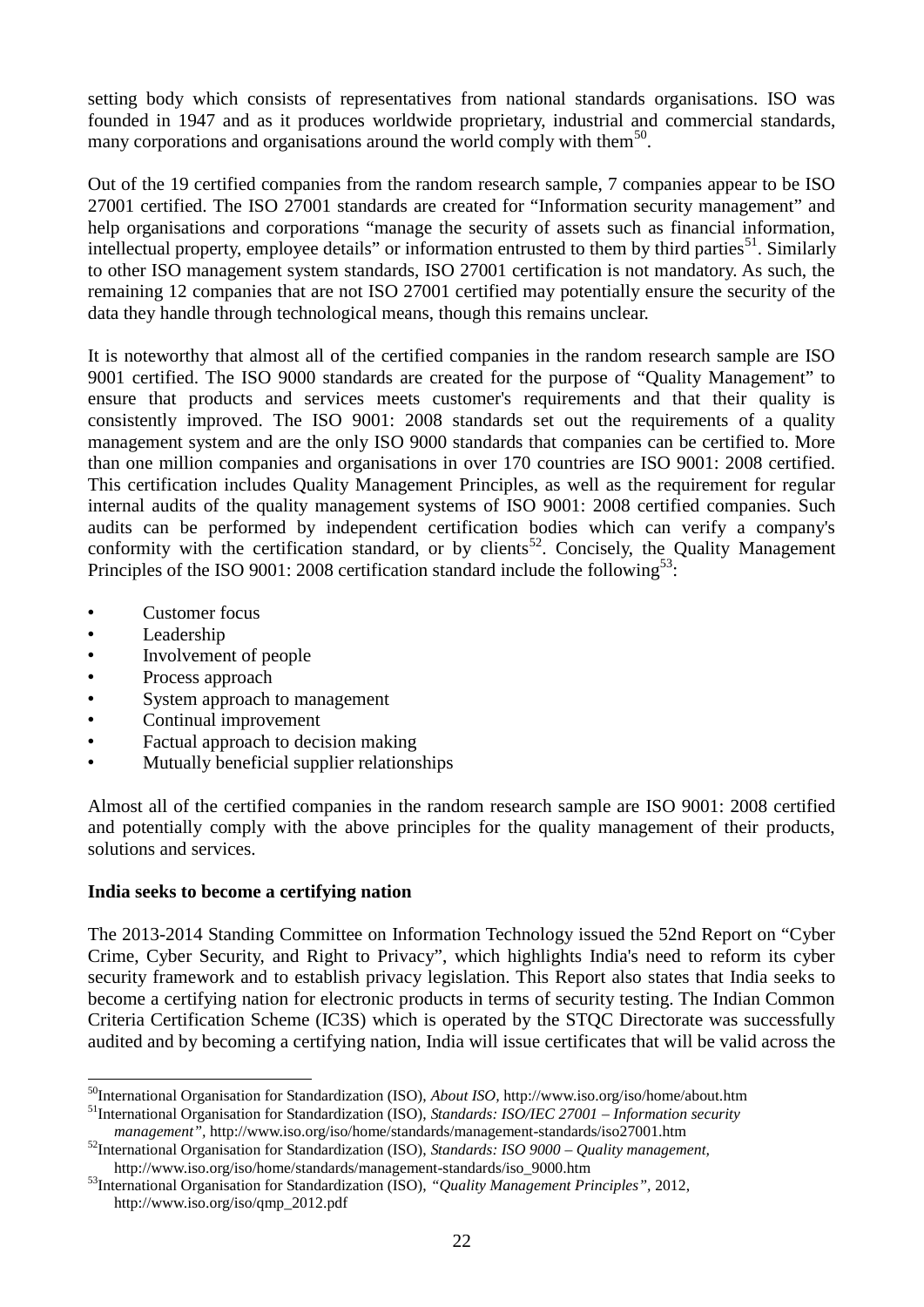setting body which consists of representatives from national standards organisations. ISO was founded in 1947 and as it produces worldwide proprietary, industrial and commercial standards, many corporations and organisations around the world comply with them $50$ .

Out of the 19 certified companies from the random research sample, 7 companies appear to be ISO 27001 certified. The ISO 27001 standards are created for "Information security management" and help organisations and corporations "manage the security of assets such as financial information, intellectual property, employee details" or information entrusted to them by third parties<sup>51</sup>. Similarly to other ISO management system standards, ISO 27001 certification is not mandatory. As such, the remaining 12 companies that are not ISO 27001 certified may potentially ensure the security of the data they handle through technological means, though this remains unclear.

It is noteworthy that almost all of the certified companies in the random research sample are ISO 9001 certified. The ISO 9000 standards are created for the purpose of "Quality Management" to ensure that products and services meets customer's requirements and that their quality is consistently improved. The ISO 9001: 2008 standards set out the requirements of a quality management system and are the only ISO 9000 standards that companies can be certified to. More than one million companies and organisations in over 170 countries are ISO 9001: 2008 certified. This certification includes Quality Management Principles, as well as the requirement for regular internal audits of the quality management systems of ISO 9001: 2008 certified companies. Such audits can be performed by independent certification bodies which can verify a company's conformity with the certification standard, or by clients<sup>52</sup>. Concisely, the Quality Management Principles of the ISO 9001: 2008 certification standard include the following<sup>53</sup>:

- Customer focus
- Leadership

 $\overline{a}$ 

- Involvement of people
- Process approach
- System approach to management
- Continual improvement
- Factual approach to decision making
- Mutually beneficial supplier relationships

Almost all of the certified companies in the random research sample are ISO 9001: 2008 certified and potentially comply with the above principles for the quality management of their products, solutions and services.

#### **India seeks to become a certifying nation**

The 2013-2014 Standing Committee on Information Technology issued the 52nd Report on "Cyber Crime, Cyber Security, and Right to Privacy", which highlights India's need to reform its cyber security framework and to establish privacy legislation. This Report also states that India seeks to become a certifying nation for electronic products in terms of security testing. The Indian Common Criteria Certification Scheme (IC3S) which is operated by the STQC Directorate was successfully audited and by becoming a certifying nation, India will issue certificates that will be valid across the

<sup>50</sup>International Organisation for Standardization (ISO), *About ISO,* <http://www.iso.org/iso/home/about.htm> <sup>51</sup>International Organisation for Standardization (ISO), *Standards: ISO/IEC 27001 – Information security* 

*management",* <http://www.iso.org/iso/home/standards/management-standards/iso27001.htm>

<sup>52</sup>International Organisation for Standardization (ISO), *Standards: ISO 9000 – Quality management,*  [http://www.iso.org/iso/home/standards/management-standards/iso\\_9000.htm](http://www.iso.org/iso/home/standards/management-standards/iso_9000.htm)

<sup>53</sup>International Organisation for Standardization (ISO), *"Quality Management Principles",* 2012, [http://www.iso.org/iso/qmp\\_2012.pdf](http://www.iso.org/iso/qmp_2012.pdf)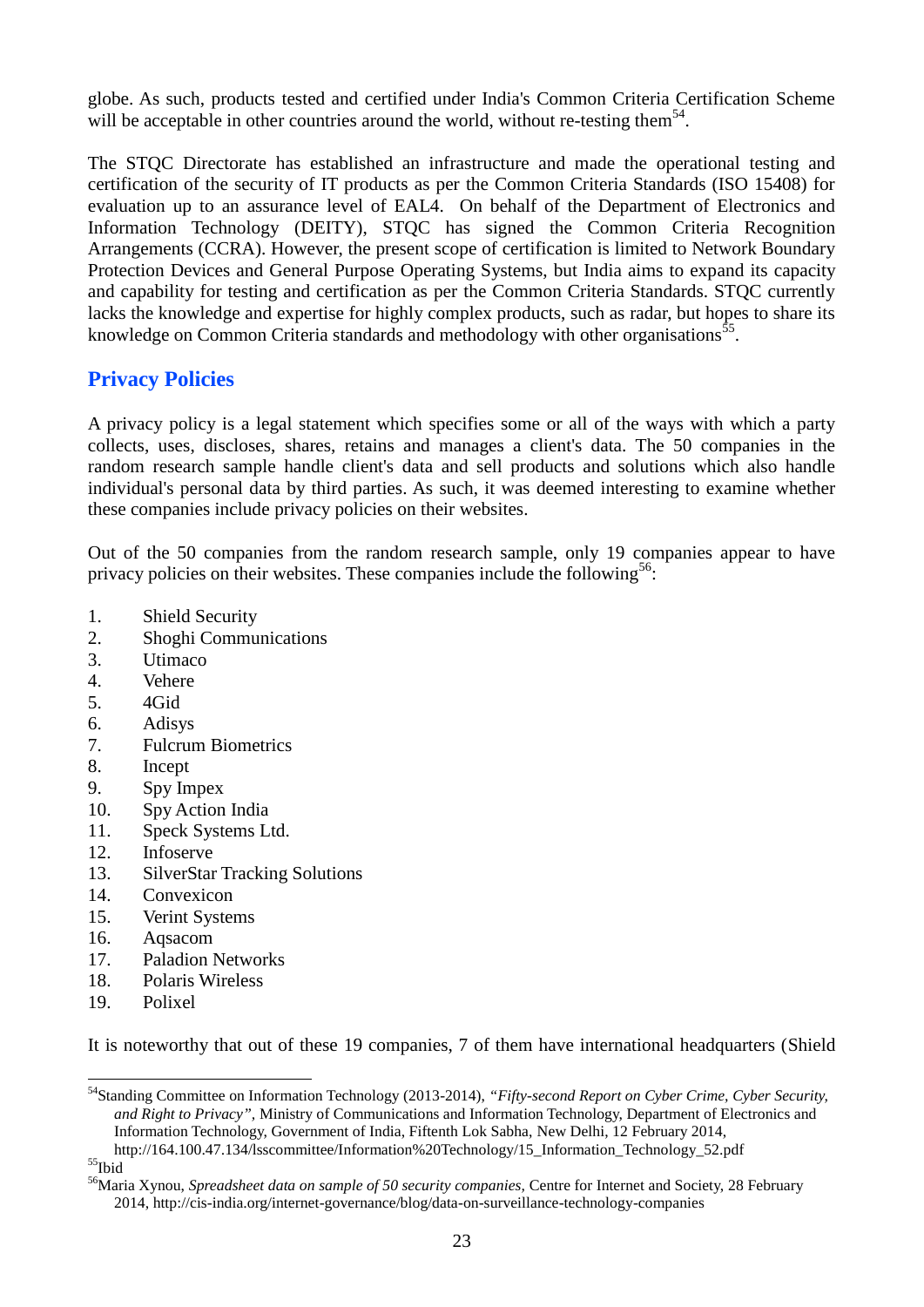globe. As such, products tested and certified under India's Common Criteria Certification Scheme will be acceptable in other countries around the world, without re-testing them<sup>54</sup>.

The STQC Directorate has established an infrastructure and made the operational testing and certification of the security of IT products as per the Common Criteria Standards (ISO 15408) for evaluation up to an assurance level of EAL4. On behalf of the Department of Electronics and Information Technology (DEITY), STQC has signed the Common Criteria Recognition Arrangements (CCRA). However, the present scope of certification is limited to Network Boundary Protection Devices and General Purpose Operating Systems, but India aims to expand its capacity and capability for testing and certification as per the Common Criteria Standards. STQC currently lacks the knowledge and expertise for highly complex products, such as radar, but hopes to share its knowledge on Common Criteria standards and methodology with other organisations<sup>55</sup>.

#### **Privacy Policies**

A privacy policy is a legal statement which specifies some or all of the ways with which a party collects, uses, discloses, shares, retains and manages a client's data. The 50 companies in the random research sample handle client's data and sell products and solutions which also handle individual's personal data by third parties. As such, it was deemed interesting to examine whether these companies include privacy policies on their websites.

Out of the 50 companies from the random research sample, only 19 companies appear to have privacy policies on their websites. These companies include the following<sup>56</sup>:

- 1. Shield Security
- 2. Shoghi Communications
- 3. Utimaco
- 4. Vehere
- 5. 4Gid
- 6. Adisys
- 7. Fulcrum Biometrics
- 8. Incept
- 9. Spy Impex
- 10. Spy Action India
- 11. Speck Systems Ltd.
- 12. Infoserve
- 13. SilverStar Tracking Solutions
- 14. Convexicon
- 15. Verint Systems
- 16. Aqsacom
- 17. Paladion Networks
- 18. Polaris Wireless
- 19. Polixel

It is noteworthy that out of these 19 companies, 7 of them have international headquarters (Shield

 $\mathrm{^{55}Hbid}$ 

 $\overline{a}$ 

<sup>54</sup>Standing Committee on Information Technology (2013-2014), *"Fifty-second Report on Cyber Crime, Cyber Security, and Right to Privacy",* Ministry of Communications and Information Technology, Department of Electronics and Information Technology, Government of India, Fiftenth Lok Sabha, New Delhi, 12 February 2014, [http://164.100.47.134/lsscommittee/Information%20Technology/15\\_Information\\_Technology\\_52.pdf](http://164.100.47.134/lsscommittee/Information%20Technology/15_Information_Technology_52.pdf)

<sup>&</sup>lt;sup>56</sup>Maria Xynou, *Spreadsheet data on sample of 50 security companies*. Centre for Internet and Society, 28 February 2014[, http://cis-india.org/internet-governance/blog/data-on-surveillance-technology-companies](http://cis-india.org/internet-governance/blog/data-on-surveillance-technology-companies)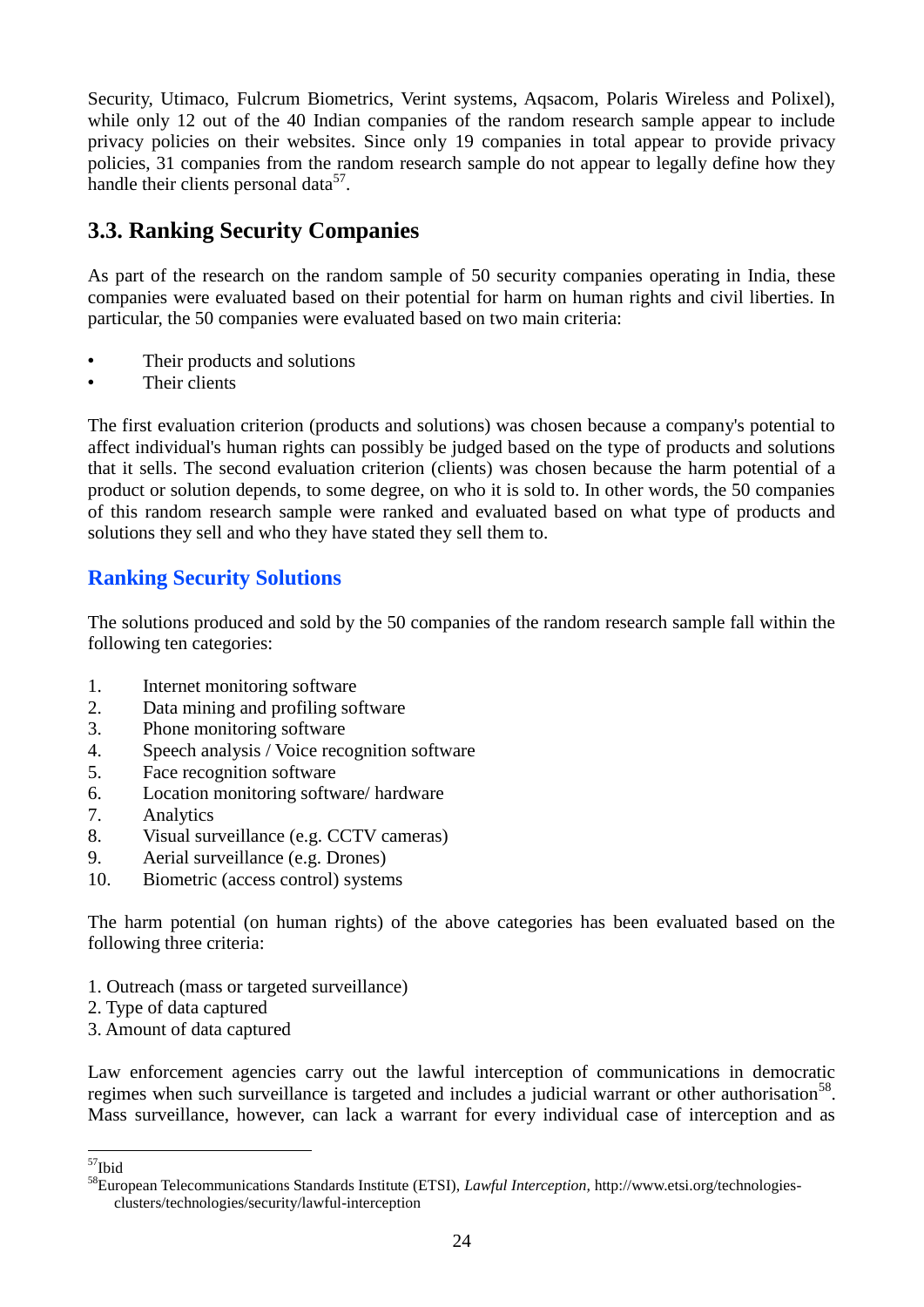Security, Utimaco, Fulcrum Biometrics, Verint systems, Aqsacom, Polaris Wireless and Polixel), while only 12 out of the 40 Indian companies of the random research sample appear to include privacy policies on their websites. Since only 19 companies in total appear to provide privacy policies, 31 companies from the random research sample do not appear to legally define how they handle their clients personal data<sup>57</sup>.

# **3.3. Ranking Security Companies**

As part of the research on the random sample of 50 security companies operating in India, these companies were evaluated based on their potential for harm on human rights and civil liberties. In particular, the 50 companies were evaluated based on two main criteria:

- Their products and solutions
- Their clients

The first evaluation criterion (products and solutions) was chosen because a company's potential to affect individual's human rights can possibly be judged based on the type of products and solutions that it sells. The second evaluation criterion (clients) was chosen because the harm potential of a product or solution depends, to some degree, on who it is sold to. In other words, the 50 companies of this random research sample were ranked and evaluated based on what type of products and solutions they sell and who they have stated they sell them to.

## **Ranking Security Solutions**

The solutions produced and sold by the 50 companies of the random research sample fall within the following ten categories:

- 1. Internet monitoring software
- 2. Data mining and profiling software
- 3. Phone monitoring software
- 4. Speech analysis / Voice recognition software
- 5. Face recognition software
- 6. Location monitoring software/ hardware
- 7. Analytics
- 8. Visual surveillance (e.g. CCTV cameras)
- 9. Aerial surveillance (e.g. Drones)
- 10. Biometric (access control) systems

The harm potential (on human rights) of the above categories has been evaluated based on the following three criteria:

- 1. Outreach (mass or targeted surveillance)
- 2. Type of data captured
- 3. Amount of data captured

Law enforcement agencies carry out the lawful interception of communications in democratic regimes when such surveillance is targeted and includes a judicial warrant or other authorisation<sup>58</sup>. Mass surveillance, however, can lack a warrant for every individual case of interception and as

 $\overline{a}$ 

<sup>&</sup>lt;sup>57</sup>Ibid

<sup>58</sup>European Telecommunications Standards Institute (ETSI), *Lawful Interception,* [http://www.etsi.org/technologies](http://www.etsi.org/technologies-clusters/technologies/security/lawful-interception)[clusters/technologies/security/lawful-interception](http://www.etsi.org/technologies-clusters/technologies/security/lawful-interception)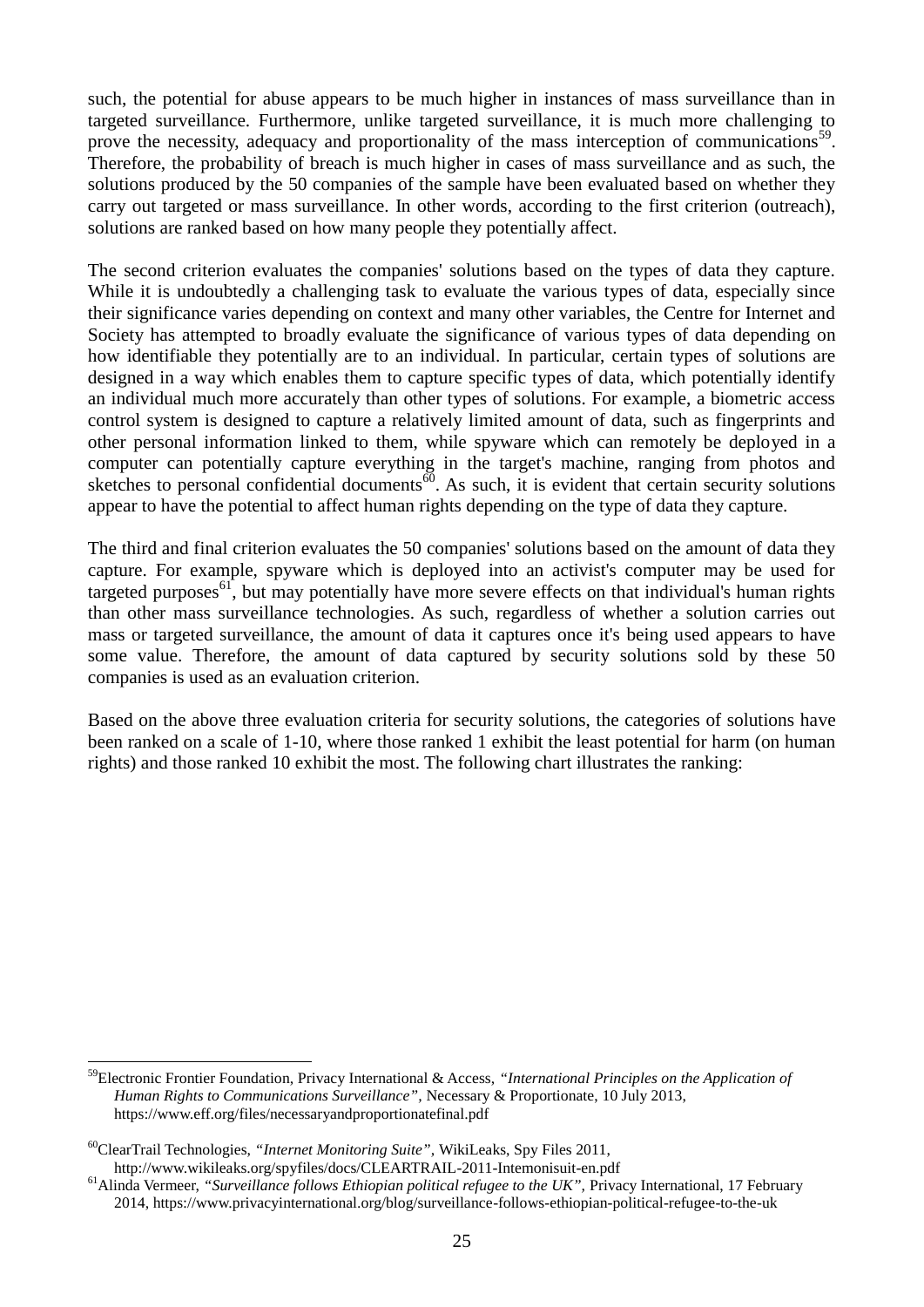such, the potential for abuse appears to be much higher in instances of mass surveillance than in targeted surveillance. Furthermore, unlike targeted surveillance, it is much more challenging to prove the necessity, adequacy and proportionality of the mass interception of communications<sup>59</sup>. Therefore, the probability of breach is much higher in cases of mass surveillance and as such, the solutions produced by the 50 companies of the sample have been evaluated based on whether they carry out targeted or mass surveillance. In other words, according to the first criterion (outreach), solutions are ranked based on how many people they potentially affect.

The second criterion evaluates the companies' solutions based on the types of data they capture. While it is undoubtedly a challenging task to evaluate the various types of data, especially since their significance varies depending on context and many other variables, the Centre for Internet and Society has attempted to broadly evaluate the significance of various types of data depending on how identifiable they potentially are to an individual. In particular, certain types of solutions are designed in a way which enables them to capture specific types of data, which potentially identify an individual much more accurately than other types of solutions. For example, a biometric access control system is designed to capture a relatively limited amount of data, such as fingerprints and other personal information linked to them, while spyware which can remotely be deployed in a computer can potentially capture everything in the target's machine, ranging from photos and sketches to personal confidential documents<sup>60</sup>. As such, it is evident that certain security solutions appear to have the potential to affect human rights depending on the type of data they capture.

The third and final criterion evaluates the 50 companies' solutions based on the amount of data they capture. For example, spyware which is deployed into an activist's computer may be used for targeted purposes $61$ , but may potentially have more severe effects on that individual's human rights than other mass surveillance technologies. As such, regardless of whether a solution carries out mass or targeted surveillance, the amount of data it captures once it's being used appears to have some value. Therefore, the amount of data captured by security solutions sold by these 50 companies is used as an evaluation criterion.

Based on the above three evaluation criteria for security solutions, the categories of solutions have been ranked on a scale of 1-10, where those ranked 1 exhibit the least potential for harm (on human rights) and those ranked 10 exhibit the most. The following chart illustrates the ranking:

<u>.</u>

<sup>59</sup>Electronic Frontier Foundation, Privacy International & Access, *"International Principles on the Application of Human Rights to Communications Surveillance",* Necessary & Proportionate, 10 July 2013, <https://www.eff.org/files/necessaryandproportionatefinal.pdf>

<sup>60</sup>ClearTrail Technologies, *"Internet Monitoring Suite",* WikiLeaks, Spy Files 2011, <http://www.wikileaks.org/spyfiles/docs/CLEARTRAIL-2011-Intemonisuit-en.pdf>

<sup>&</sup>lt;sup>61</sup>Alinda Vermeer, "Surveillance follows Ethiopian political refugee to the UK", Privacy International, 17 February 2014[, https://www.privacyinternational.org/blog/surveillance-follows-ethiopian-political-refugee-to-the-uk](https://www.privacyinternational.org/blog/surveillance-follows-ethiopian-political-refugee-to-the-uk)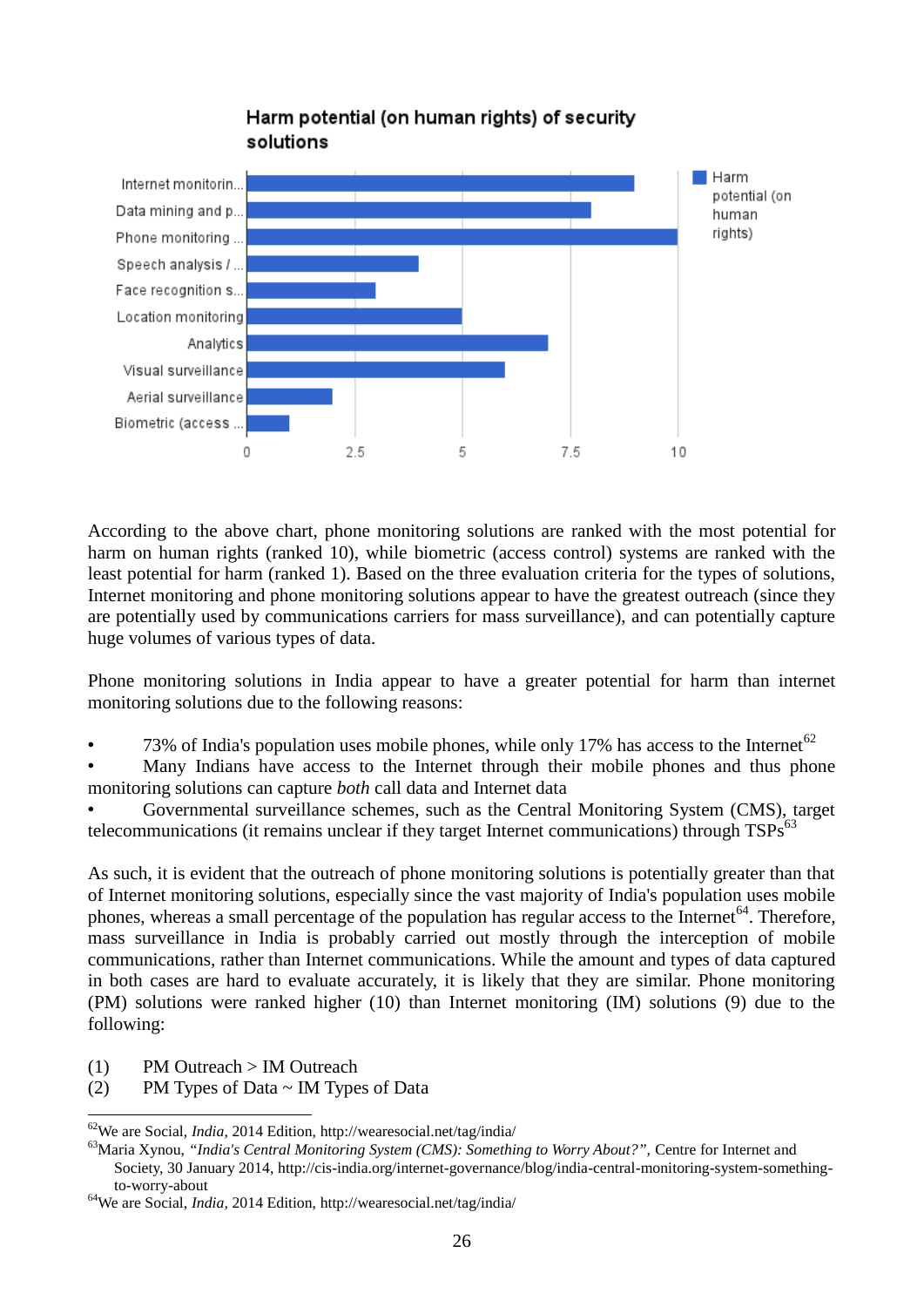

## Harm potential (on human rights) of security solutions

According to the above chart, phone monitoring solutions are ranked with the most potential for harm on human rights (ranked 10), while biometric (access control) systems are ranked with the least potential for harm (ranked 1). Based on the three evaluation criteria for the types of solutions, Internet monitoring and phone monitoring solutions appear to have the greatest outreach (since they are potentially used by communications carriers for mass surveillance), and can potentially capture huge volumes of various types of data.

Phone monitoring solutions in India appear to have a greater potential for harm than internet monitoring solutions due to the following reasons:

73% of India's population uses mobile phones, while only 17% has access to the Internet<sup>62</sup>

Many Indians have access to the Internet through their mobile phones and thus phone monitoring solutions can capture *both* call data and Internet data

• Governmental surveillance schemes, such as the Central Monitoring System (CMS), target telecommunications (it remains unclear if they target Internet communications) through  $TSPs^{63}$ 

As such, it is evident that the outreach of phone monitoring solutions is potentially greater than that of Internet monitoring solutions, especially since the vast majority of India's population uses mobile phones, whereas a small percentage of the population has regular access to the Internet<sup>64</sup>. Therefore, mass surveillance in India is probably carried out mostly through the interception of mobile communications, rather than Internet communications. While the amount and types of data captured in both cases are hard to evaluate accurately, it is likely that they are similar. Phone monitoring (PM) solutions were ranked higher (10) than Internet monitoring (IM) solutions (9) due to the following:

(1) PM Outreach > IM Outreach

<u>.</u>

(2) PM Types of Data  $\sim$  IM Types of Data

<sup>62</sup>We are Social, *India,* 2014 Edition,<http://wearesocial.net/tag/india/>

<sup>&</sup>lt;sup>63</sup>Maria Xynou, *"India's Central Monitoring System (CMS): Something to Worry About?", Centre for Internet and* Society, 30 January 2014, [http://cis-india.org/internet-governance/blog/india-central-monitoring-system-something](http://cis-india.org/internet-governance/blog/india-central-monitoring-system-something-to-worry-about)[to-worry-about](http://cis-india.org/internet-governance/blog/india-central-monitoring-system-something-to-worry-about)

<sup>64</sup>We are Social, *India,* 2014 Edition,<http://wearesocial.net/tag/india/>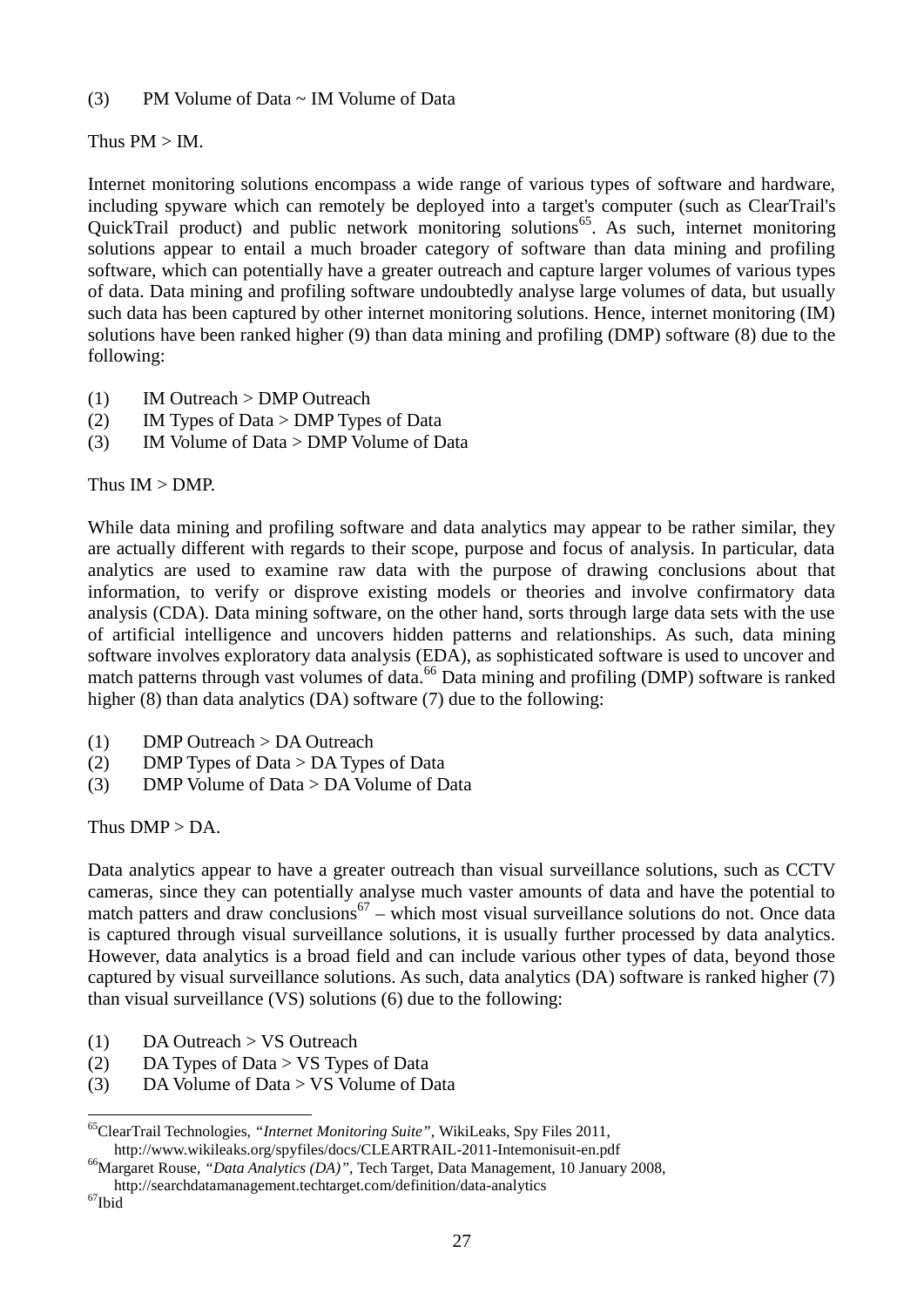(3) PM Volume of Data  $\sim$  IM Volume of Data

Thus PM > IM.

Internet monitoring solutions encompass a wide range of various types of software and hardware, including spyware which can remotely be deployed into a target's computer (such as ClearTrail's QuickTrail product) and public network monitoring solutions<sup>65</sup>. As such, internet monitoring solutions appear to entail a much broader category of software than data mining and profiling software, which can potentially have a greater outreach and capture larger volumes of various types of data. Data mining and profiling software undoubtedly analyse large volumes of data, but usually such data has been captured by other internet monitoring solutions. Hence, internet monitoring (IM) solutions have been ranked higher (9) than data mining and profiling (DMP) software (8) due to the following:

- (1) IM Outreach > DMP Outreach
- (2) IM Types of Data > DMP Types of Data
- (3) IM Volume of Data > DMP Volume of Data

Thus IM > DMP.

While data mining and profiling software and data analytics may appear to be rather similar, they are actually different with regards to their scope, purpose and focus of analysis. In particular, data analytics are used to examine raw data with the purpose of drawing conclusions about that information, to verify or disprove existing models or theories and involve confirmatory data analysis (CDA). Data mining software, on the other hand, sorts through large data sets with the use of artificial intelligence and uncovers hidden patterns and relationships. As such, data mining software involves exploratory data analysis (EDA), as sophisticated software is used to uncover and match patterns through vast volumes of data.<sup>66</sup> Data mining and profiling (DMP) software is ranked higher (8) than data analytics (DA) software (7) due to the following:

- (1) DMP Outreach > DA Outreach
- (2) DMP Types of Data > DA Types of Data
- (3) DMP Volume of Data > DA Volume of Data

Thus  $DMP > DA$ .

Data analytics appear to have a greater outreach than visual surveillance solutions, such as CCTV cameras, since they can potentially analyse much vaster amounts of data and have the potential to match patters and draw conclusions<sup>67</sup> – which most visual surveillance solutions do not. Once data is captured through visual surveillance solutions, it is usually further processed by data analytics. However, data analytics is a broad field and can include various other types of data, beyond those captured by visual surveillance solutions. As such, data analytics (DA) software is ranked higher (7) than visual surveillance (VS) solutions (6) due to the following:

- (1) DA Outreach > VS Outreach
- (2) DA Types of Data > VS Types of Data
- (3) DA Volume of Data > VS Volume of Data

 $^{67}\mathrm{Ibid}$ 

<u>.</u>

<sup>65</sup>ClearTrail Technologies, *"Internet Monitoring Suite",* WikiLeaks, Spy Files 2011, <http://www.wikileaks.org/spyfiles/docs/CLEARTRAIL-2011-Intemonisuit-en.pdf>

<sup>66</sup>Margaret Rouse, *"Data Analytics (DA)",* Tech Target, Data Management, 10 January 2008,

<http://searchdatamanagement.techtarget.com/definition/data-analytics>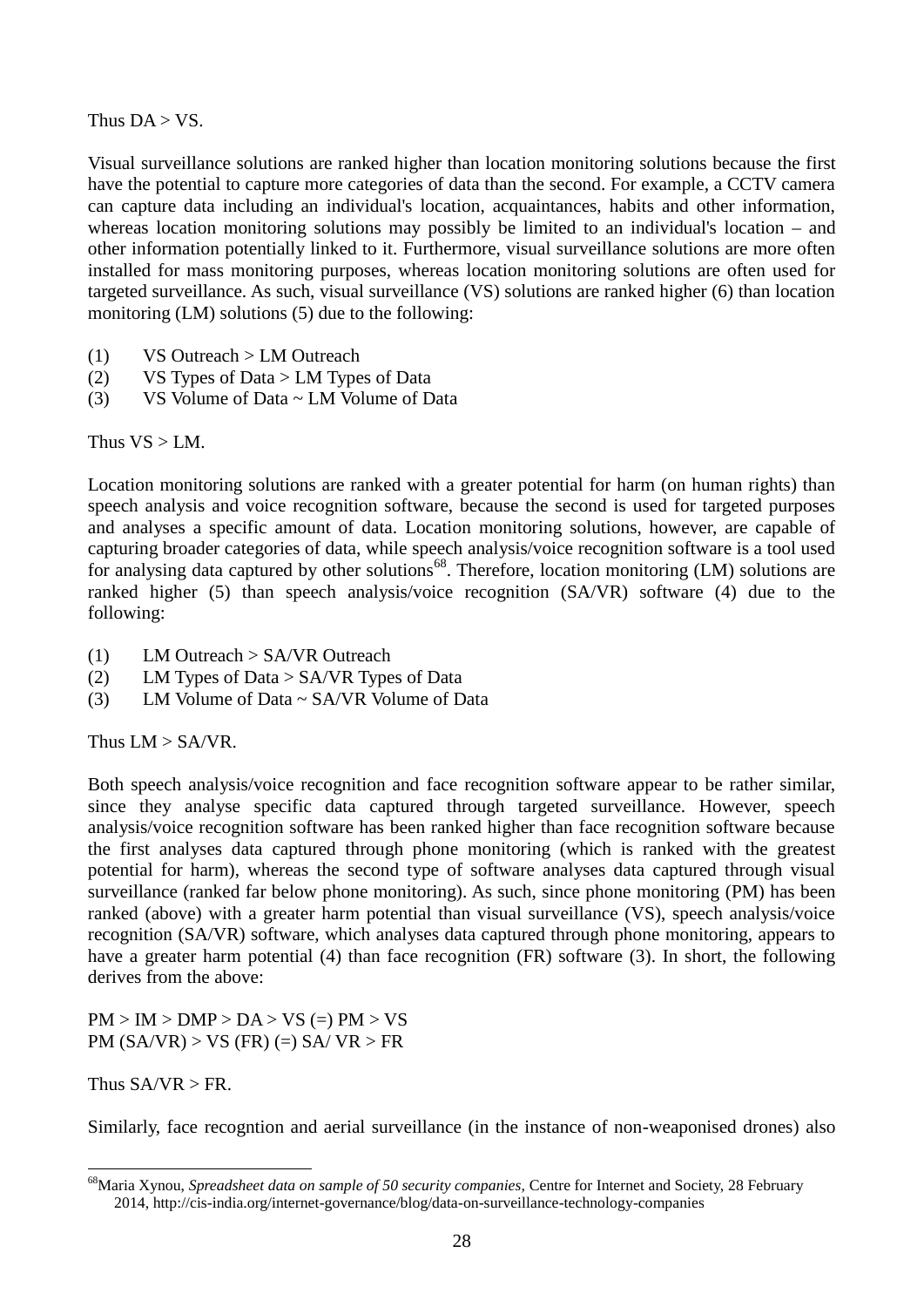Thus  $DA > VS$ .

Visual surveillance solutions are ranked higher than location monitoring solutions because the first have the potential to capture more categories of data than the second. For example, a CCTV camera can capture data including an individual's location, acquaintances, habits and other information, whereas location monitoring solutions may possibly be limited to an individual's location – and other information potentially linked to it. Furthermore, visual surveillance solutions are more often installed for mass monitoring purposes, whereas location monitoring solutions are often used for targeted surveillance. As such, visual surveillance (VS) solutions are ranked higher (6) than location monitoring (LM) solutions (5) due to the following:

- (1) VS Outreach > LM Outreach
- (2) VS Types of Data > LM Types of Data
- (3) VS Volume of Data  $\sim$  LM Volume of Data

Thus  $VS > LM$ .

Location monitoring solutions are ranked with a greater potential for harm (on human rights) than speech analysis and voice recognition software, because the second is used for targeted purposes and analyses a specific amount of data. Location monitoring solutions, however, are capable of capturing broader categories of data, while speech analysis/voice recognition software is a tool used for analysing data captured by other solutions<sup>68</sup>. Therefore, location monitoring (LM) solutions are ranked higher (5) than speech analysis/voice recognition (SA/VR) software (4) due to the following:

- (1) LM Outreach > SA/VR Outreach
- (2) LM Types of Data > SA/VR Types of Data
- (3) LM Volume of Data  $\sim$  SA/VR Volume of Data

Thus LM > SA/VR.

Both speech analysis/voice recognition and face recognition software appear to be rather similar, since they analyse specific data captured through targeted surveillance. However, speech analysis/voice recognition software has been ranked higher than face recognition software because the first analyses data captured through phone monitoring (which is ranked with the greatest potential for harm), whereas the second type of software analyses data captured through visual surveillance (ranked far below phone monitoring). As such, since phone monitoring (PM) has been ranked (above) with a greater harm potential than visual surveillance (VS), speech analysis/voice recognition (SA/VR) software, which analyses data captured through phone monitoring, appears to have a greater harm potential (4) than face recognition (FR) software (3). In short, the following derives from the above:

 $PM > IM > DMP > DA > VS$  (=)  $PM > VS$ PM  $(SA/VR)$  > VS  $(FR)$  (=) SA/ VR > FR

Thus  $SA/VR > FR$ .

<u>.</u>

Similarly, face recogntion and aerial surveillance (in the instance of non-weaponised drones) also

<sup>68</sup>Maria Xynou, *Spreadsheet data on sample of 50 security companies,* Centre for Internet and Society, 28 February 2014[, http://cis-india.org/internet-governance/blog/data-on-surveillance-technology-companies](http://cis-india.org/internet-governance/blog/data-on-surveillance-technology-companies)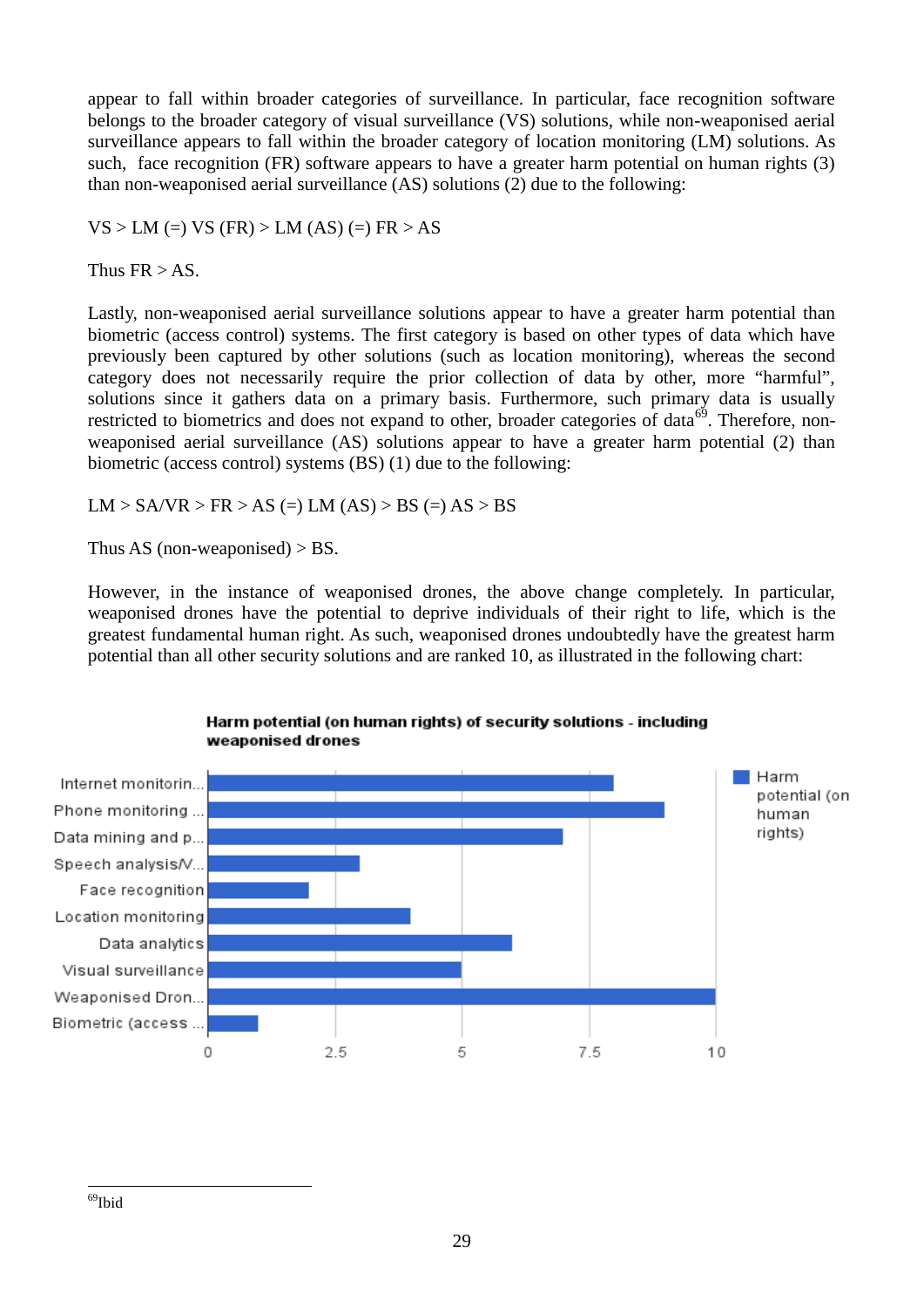appear to fall within broader categories of surveillance. In particular, face recognition software belongs to the broader category of visual surveillance (VS) solutions, while non-weaponised aerial surveillance appears to fall within the broader category of location monitoring (LM) solutions. As such, face recognition (FR) software appears to have a greater harm potential on human rights (3) than non-weaponised aerial surveillance (AS) solutions (2) due to the following:

 $VS > LM (=) VS (FR) > LM (AS) (=) FR > AS$ 

Thus  $FR > AS$ .

Lastly, non-weaponised aerial surveillance solutions appear to have a greater harm potential than biometric (access control) systems. The first category is based on other types of data which have previously been captured by other solutions (such as location monitoring), whereas the second category does not necessarily require the prior collection of data by other, more "harmful", solutions since it gathers data on a primary basis. Furthermore, such primary data is usually restricted to biometrics and does not expand to other, broader categories of data<sup>69</sup>. Therefore, nonweaponised aerial surveillance (AS) solutions appear to have a greater harm potential (2) than biometric (access control) systems (BS) (1) due to the following:

 $LM > SA/VR > FR > AS (=) LM(AS) > BS (=) AS > BS$ 

Thus AS (non-weaponised) > BS.

However, in the instance of weaponised drones, the above change completely. In particular, weaponised drones have the potential to deprive individuals of their right to life, which is the greatest fundamental human right. As such, weaponised drones undoubtedly have the greatest harm potential than all other security solutions and are ranked 10, as illustrated in the following chart:



#### Harm potential (on human rights) of security solutions - including weaponised drones

 $\overline{a}$ <sup>69</sup>Ibid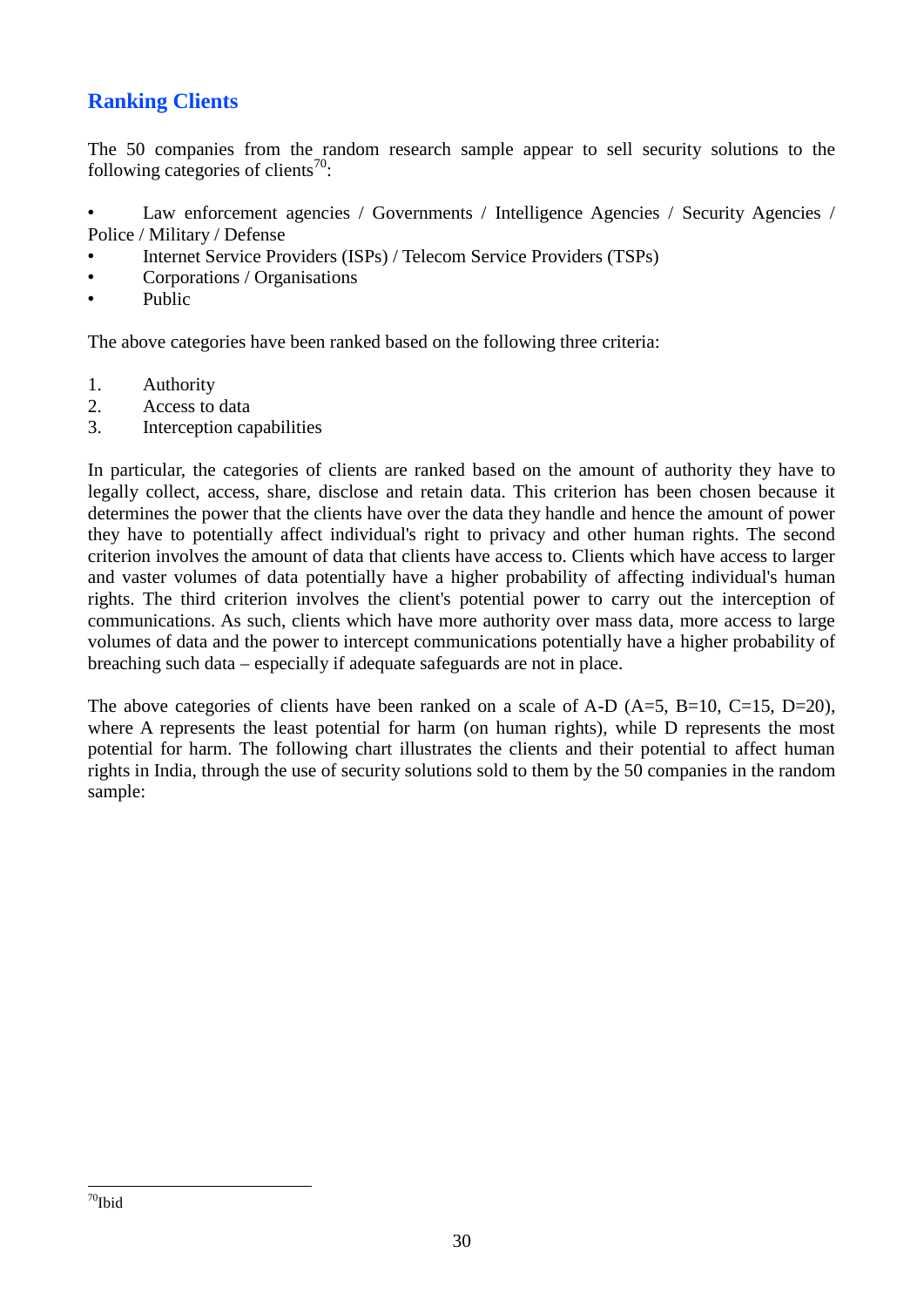## **Ranking Clients**

The 50 companies from the random research sample appear to sell security solutions to the following categories of clients<sup>70</sup>:

• Law enforcement agencies / Governments / Intelligence Agencies / Security Agencies / Police / Military / Defense

- Internet Service Providers (ISPs) / Telecom Service Providers (TSPs)
- Corporations / Organisations
- Public

The above categories have been ranked based on the following three criteria:

- 1. Authority
- 2. Access to data
- 3. Interception capabilities

In particular, the categories of clients are ranked based on the amount of authority they have to legally collect, access, share, disclose and retain data. This criterion has been chosen because it determines the power that the clients have over the data they handle and hence the amount of power they have to potentially affect individual's right to privacy and other human rights. The second criterion involves the amount of data that clients have access to. Clients which have access to larger and vaster volumes of data potentially have a higher probability of affecting individual's human rights. The third criterion involves the client's potential power to carry out the interception of communications. As such, clients which have more authority over mass data, more access to large volumes of data and the power to intercept communications potentially have a higher probability of breaching such data – especially if adequate safeguards are not in place.

The above categories of clients have been ranked on a scale of A-D  $(A=5, B=10, C=15, D=20)$ , where A represents the least potential for harm (on human rights), while D represents the most potential for harm. The following chart illustrates the clients and their potential to affect human rights in India, through the use of security solutions sold to them by the 50 companies in the random sample: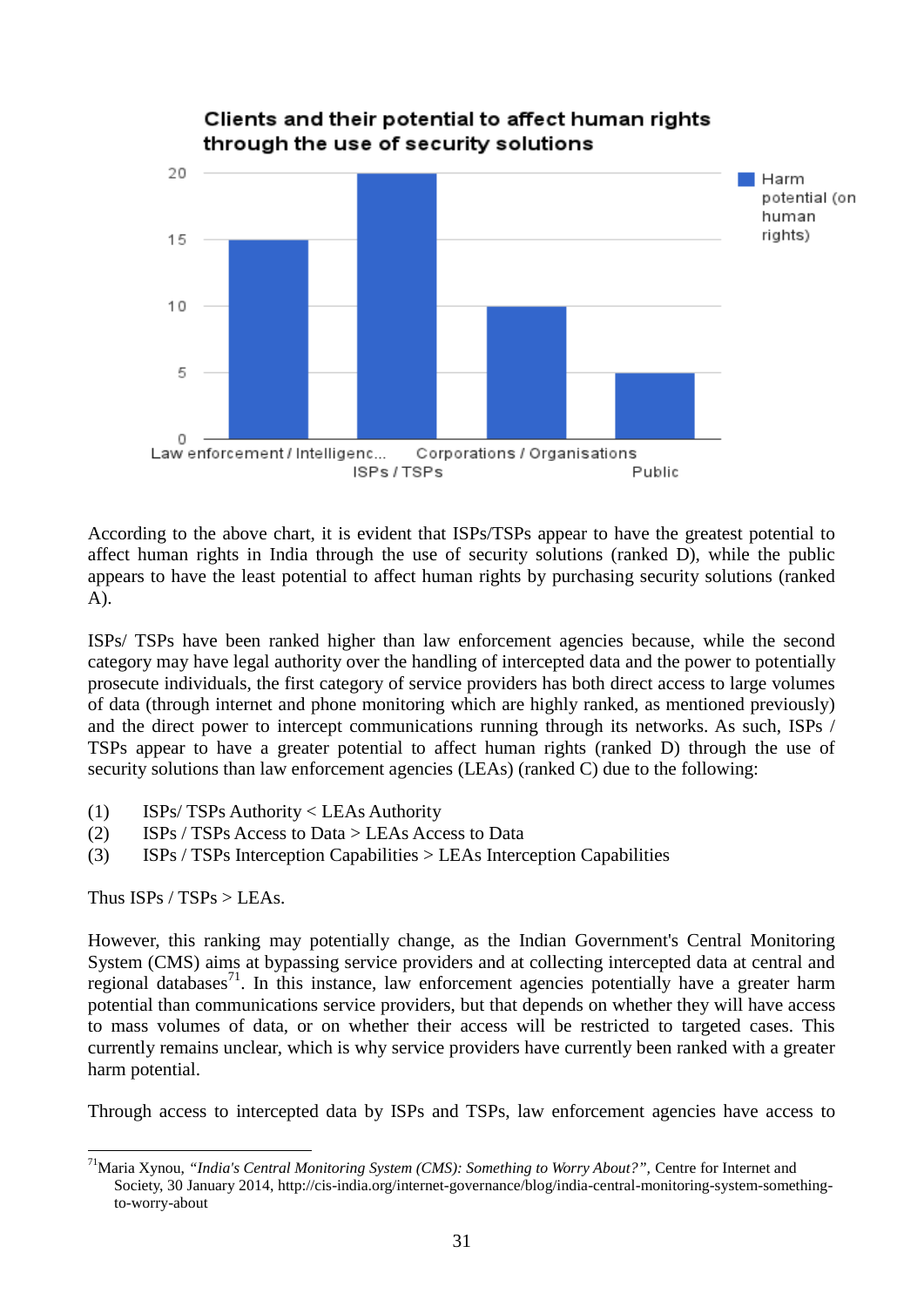

According to the above chart, it is evident that ISPs/TSPs appear to have the greatest potential to affect human rights in India through the use of security solutions (ranked D), while the public appears to have the least potential to affect human rights by purchasing security solutions (ranked A).

ISPs/ TSPs have been ranked higher than law enforcement agencies because, while the second category may have legal authority over the handling of intercepted data and the power to potentially prosecute individuals, the first category of service providers has both direct access to large volumes of data (through internet and phone monitoring which are highly ranked, as mentioned previously) and the direct power to intercept communications running through its networks. As such, ISPs / TSPs appear to have a greater potential to affect human rights (ranked D) through the use of security solutions than law enforcement agencies (LEAs) (ranked C) due to the following:

- (1) ISPs/ TSPs Authority < LEAs Authority
- (2) ISPs / TSPs Access to Data > LEAs Access to Data
- (3) ISPs / TSPs Interception Capabilities > LEAs Interception Capabilities

Thus ISPs / TSPs > LEAs.

 $\overline{a}$ 

However, this ranking may potentially change, as the Indian Government's Central Monitoring System (CMS) aims at bypassing service providers and at collecting intercepted data at central and regional databases<sup>71</sup>. In this instance, law enforcement agencies potentially have a greater harm potential than communications service providers, but that depends on whether they will have access to mass volumes of data, or on whether their access will be restricted to targeted cases. This currently remains unclear, which is why service providers have currently been ranked with a greater harm potential.

Through access to intercepted data by ISPs and TSPs, law enforcement agencies have access to

<sup>&</sup>lt;sup>71</sup>Maria Xynou, "India's Central Monitoring System (CMS): Something to Worry About?", Centre for Internet and Society, 30 January 2014, [http://cis-india.org/internet-governance/blog/india-central-monitoring-system-something](http://cis-india.org/internet-governance/blog/india-central-monitoring-system-something-to-worry-about)[to-worry-about](http://cis-india.org/internet-governance/blog/india-central-monitoring-system-something-to-worry-about)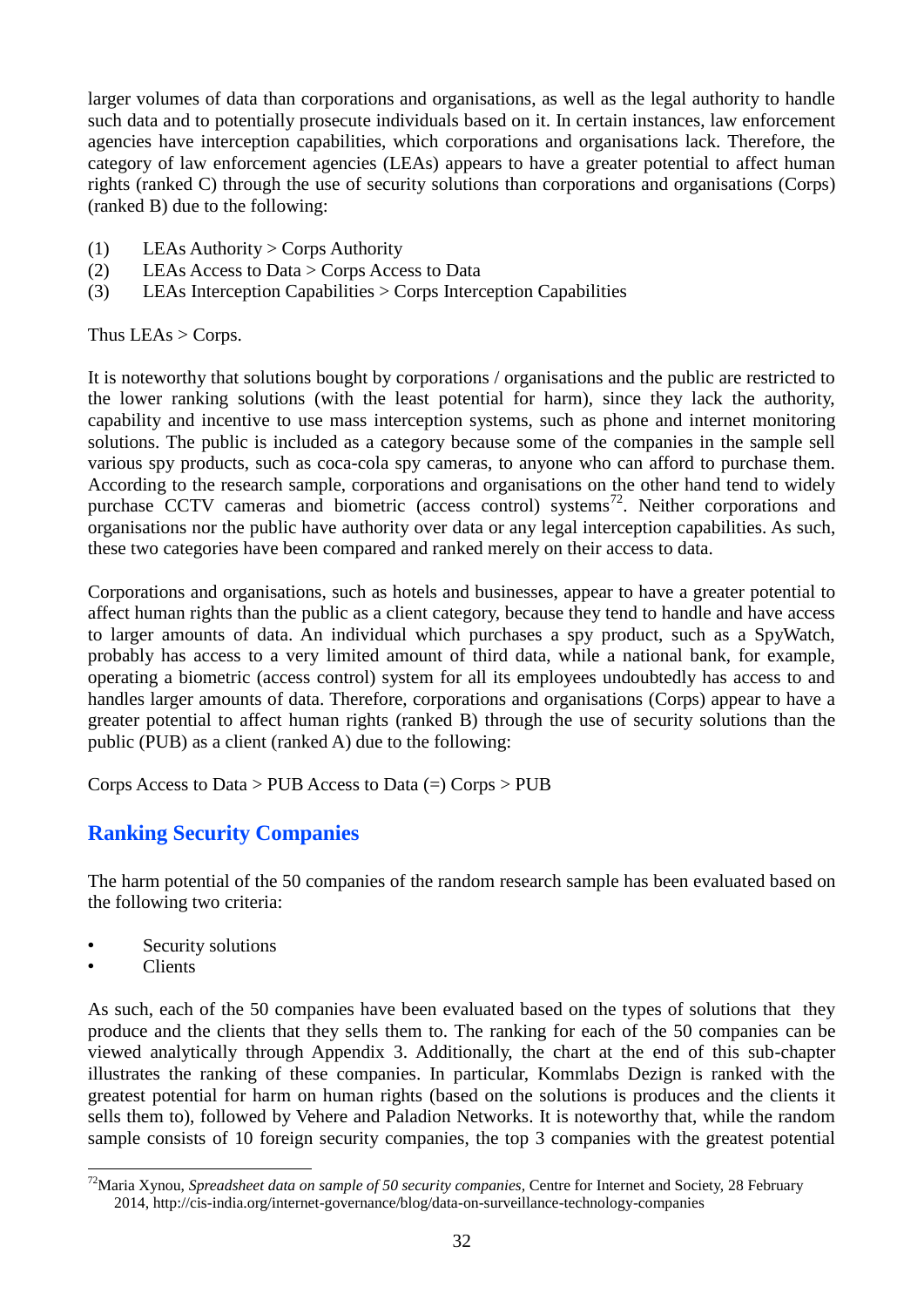larger volumes of data than corporations and organisations, as well as the legal authority to handle such data and to potentially prosecute individuals based on it. In certain instances, law enforcement agencies have interception capabilities, which corporations and organisations lack. Therefore, the category of law enforcement agencies (LEAs) appears to have a greater potential to affect human rights (ranked C) through the use of security solutions than corporations and organisations (Corps) (ranked B) due to the following:

- (1) LEAs Authority > Corps Authority
- (2) LEAs Access to Data > Corps Access to Data
- (3) LEAs Interception Capabilities > Corps Interception Capabilities

Thus LEAs > Corps.

It is noteworthy that solutions bought by corporations / organisations and the public are restricted to the lower ranking solutions (with the least potential for harm), since they lack the authority, capability and incentive to use mass interception systems, such as phone and internet monitoring solutions. The public is included as a category because some of the companies in the sample sell various spy products, such as coca-cola spy cameras, to anyone who can afford to purchase them. According to the research sample, corporations and organisations on the other hand tend to widely purchase  $\overrightarrow{CCTV}$  cameras and biometric (access control) systems<sup>72</sup>. Neither corporations and organisations nor the public have authority over data or any legal interception capabilities. As such, these two categories have been compared and ranked merely on their access to data.

Corporations and organisations, such as hotels and businesses, appear to have a greater potential to affect human rights than the public as a client category, because they tend to handle and have access to larger amounts of data. An individual which purchases a spy product, such as a SpyWatch, probably has access to a very limited amount of third data, while a national bank, for example, operating a biometric (access control) system for all its employees undoubtedly has access to and handles larger amounts of data. Therefore, corporations and organisations (Corps) appear to have a greater potential to affect human rights (ranked B) through the use of security solutions than the public (PUB) as a client (ranked A) due to the following:

Corps Access to Data > PUB Access to Data (=) Corps > PUB

## **Ranking Security Companies**

The harm potential of the 50 companies of the random research sample has been evaluated based on the following two criteria:

- Security solutions
- Clients

As such, each of the 50 companies have been evaluated based on the types of solutions that they produce and the clients that they sells them to. The ranking for each of the 50 companies can be viewed analytically through Appendix 3. Additionally, the chart at the end of this sub-chapter illustrates the ranking of these companies. In particular, Kommlabs Dezign is ranked with the greatest potential for harm on human rights (based on the solutions is produces and the clients it sells them to), followed by Vehere and Paladion Networks. It is noteworthy that, while the random sample consists of 10 foreign security companies, the top 3 companies with the greatest potential

<sup>&</sup>lt;u>.</u> <sup>72</sup>Maria Xynou, *Spreadsheet data on sample of 50 security companies,* Centre for Internet and Society, 28 February 2014[, http://cis-india.org/internet-governance/blog/data-on-surveillance-technology-companies](http://cis-india.org/internet-governance/blog/data-on-surveillance-technology-companies)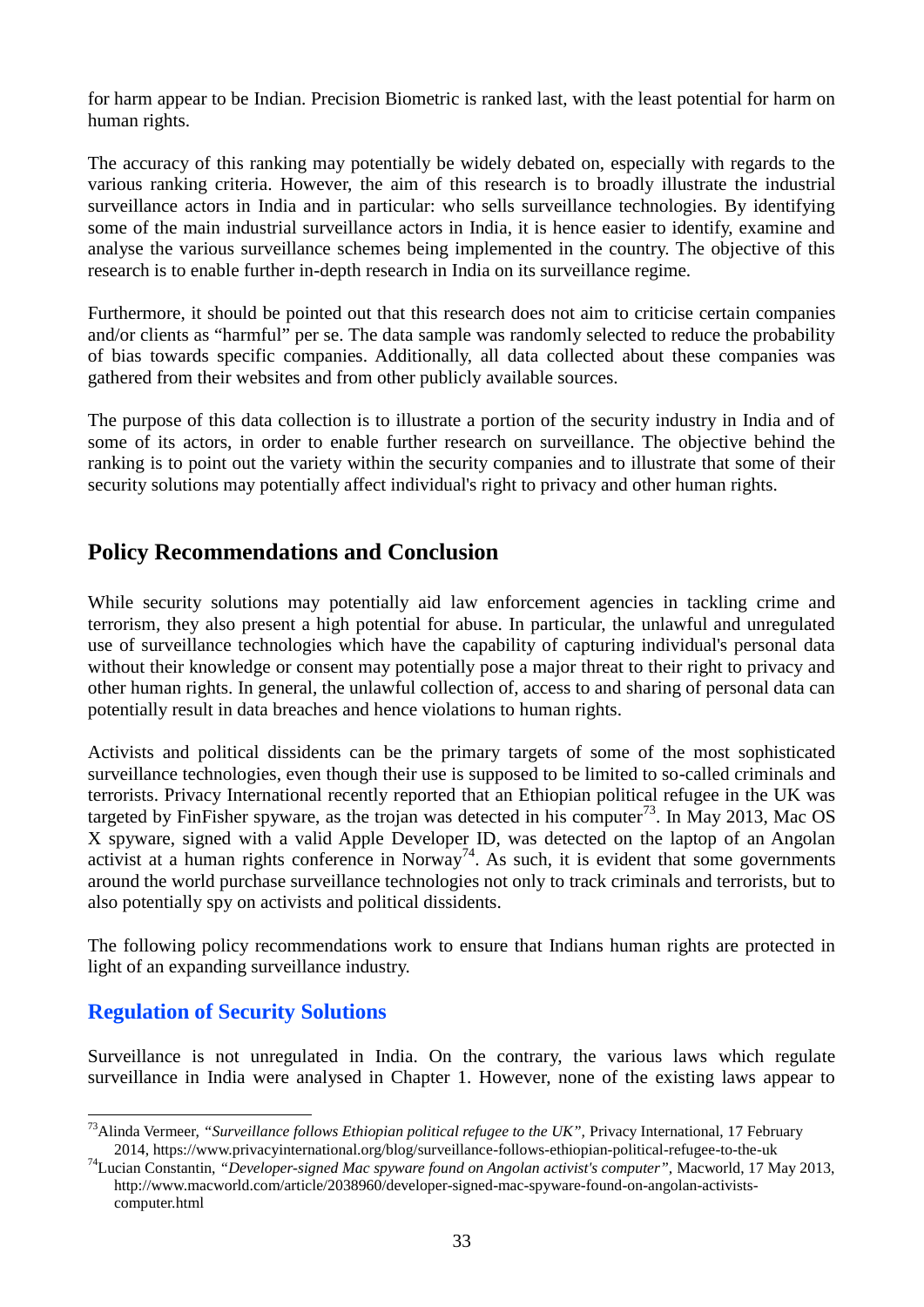for harm appear to be Indian. Precision Biometric is ranked last, with the least potential for harm on human rights.

The accuracy of this ranking may potentially be widely debated on, especially with regards to the various ranking criteria. However, the aim of this research is to broadly illustrate the industrial surveillance actors in India and in particular: who sells surveillance technologies. By identifying some of the main industrial surveillance actors in India, it is hence easier to identify, examine and analyse the various surveillance schemes being implemented in the country. The objective of this research is to enable further in-depth research in India on its surveillance regime.

Furthermore, it should be pointed out that this research does not aim to criticise certain companies and/or clients as "harmful" per se. The data sample was randomly selected to reduce the probability of bias towards specific companies. Additionally, all data collected about these companies was gathered from their websites and from other publicly available sources.

The purpose of this data collection is to illustrate a portion of the security industry in India and of some of its actors, in order to enable further research on surveillance. The objective behind the ranking is to point out the variety within the security companies and to illustrate that some of their security solutions may potentially affect individual's right to privacy and other human rights.

## **Policy Recommendations and Conclusion**

While security solutions may potentially aid law enforcement agencies in tackling crime and terrorism, they also present a high potential for abuse. In particular, the unlawful and unregulated use of surveillance technologies which have the capability of capturing individual's personal data without their knowledge or consent may potentially pose a major threat to their right to privacy and other human rights. In general, the unlawful collection of, access to and sharing of personal data can potentially result in data breaches and hence violations to human rights.

Activists and political dissidents can be the primary targets of some of the most sophisticated surveillance technologies, even though their use is supposed to be limited to so-called criminals and terrorists. Privacy International recently reported that an Ethiopian political refugee in the UK was targeted by FinFisher spyware, as the trojan was detected in his computer<sup>73</sup>. In May 2013, Mac OS X spyware, signed with a valid Apple Developer ID, was detected on the laptop of an Angolan activist at a human rights conference in Norway<sup>74</sup>. As such, it is evident that some governments around the world purchase surveillance technologies not only to track criminals and terrorists, but to also potentially spy on activists and political dissidents.

The following policy recommendations work to ensure that Indians human rights are protected in light of an expanding surveillance industry.

## **Regulation of Security Solutions**

<u>.</u>

Surveillance is not unregulated in India. On the contrary, the various laws which regulate surveillance in India were analysed in Chapter 1. However, none of the existing laws appear to

<sup>&</sup>lt;sup>73</sup>Alinda Vermeer, *"Surveillance follows Ethiopian political refugee to the UK"*, Privacy International, 17 February 2014[, https://www.privacyinternational.org/blog/surveillance-follows-ethiopian-political-refugee-to-the-uk](https://www.privacyinternational.org/blog/surveillance-follows-ethiopian-political-refugee-to-the-uk)

<sup>74</sup>Lucian Constantin, *"Developer-signed Mac spyware found on Angolan activist's computer",* Macworld, 17 May 2013, [http://www.macworld.com/article/2038960/developer-signed-mac-spyware-found-on-angolan-activists](http://www.macworld.com/article/2038960/developer-signed-mac-spyware-found-on-angolan-activists-computer.html)[computer.html](http://www.macworld.com/article/2038960/developer-signed-mac-spyware-found-on-angolan-activists-computer.html)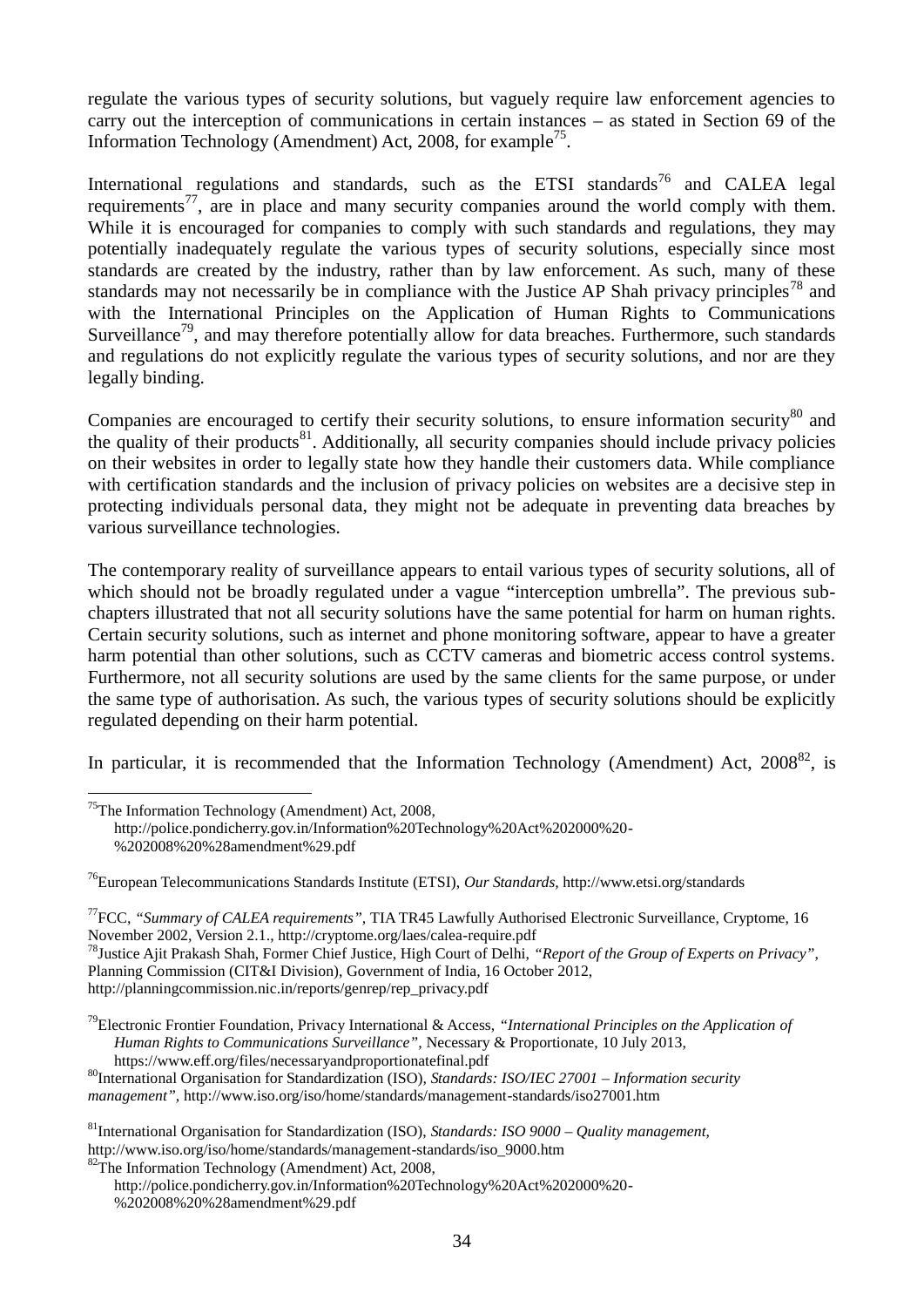regulate the various types of security solutions, but vaguely require law enforcement agencies to carry out the interception of communications in certain instances – as stated in Section 69 of the Information Technology (Amendment) Act, 2008, for example<sup>75</sup>.

International regulations and standards, such as the ETSI standards<sup>76</sup> and CALEA legal requirements<sup>77</sup>, are in place and many security companies around the world comply with them. While it is encouraged for companies to comply with such standards and regulations, they may potentially inadequately regulate the various types of security solutions, especially since most standards are created by the industry, rather than by law enforcement. As such, many of these standards may not necessarily be in compliance with the Justice AP Shah privacy principles<sup>78</sup> and with the International Principles on the Application of Human Rights to Communications Surveillance<sup>79</sup>, and may therefore potentially allow for data breaches. Furthermore, such standards and regulations do not explicitly regulate the various types of security solutions, and nor are they legally binding.

Companies are encouraged to certify their security solutions, to ensure information security $80$  and the quality of their products $^{81}$ . Additionally, all security companies should include privacy policies on their websites in order to legally state how they handle their customers data. While compliance with certification standards and the inclusion of privacy policies on websites are a decisive step in protecting individuals personal data, they might not be adequate in preventing data breaches by various surveillance technologies.

The contemporary reality of surveillance appears to entail various types of security solutions, all of which should not be broadly regulated under a vague "interception umbrella". The previous subchapters illustrated that not all security solutions have the same potential for harm on human rights. Certain security solutions, such as internet and phone monitoring software, appear to have a greater harm potential than other solutions, such as CCTV cameras and biometric access control systems. Furthermore, not all security solutions are used by the same clients for the same purpose, or under the same type of authorisation. As such, the various types of security solutions should be explicitly regulated depending on their harm potential.

In particular, it is recommended that the Information Technology (Amendment) Act,  $2008^{82}$ , is

<u>.</u>

 $75$ The Information Technology (Amendment) Act, 2008, [http://police.pondicherry.gov.in/Information%20Technology%20Act%202000%20-](http://police.pondicherry.gov.in/Information%20Technology%20Act%202000%20-%202008%20%28amendment%29.pdf) [%202008%20%28amendment%29.pdf](http://police.pondicherry.gov.in/Information%20Technology%20Act%202000%20-%202008%20%28amendment%29.pdf)

<sup>76</sup>European Telecommunications Standards Institute (ETSI), *Our Standards,* <http://www.etsi.org/standards>

<sup>77</sup>FCC, *"Summary of CALEA requirements",* TIA TR45 Lawfully Authorised Electronic Surveillance, Cryptome, 16 November 2002, Version 2.1.,<http://cryptome.org/laes/calea-require.pdf> <sup>78</sup>Justice Ajit Prakash Shah, Former Chief Justice, High Court of Delhi, *"Report of the Group of Experts on Privacy",* 

Planning Commission (CIT&I Division), Government of India, 16 October 2012, [http://planningcommission.nic.in/reports/genrep/rep\\_privacy.pdf](http://planningcommission.nic.in/reports/genrep/rep_privacy.pdf)

<sup>79</sup>Electronic Frontier Foundation, Privacy International & Access, *"International Principles on the Application of Human Rights to Communications Surveillance",* Necessary & Proportionate, 10 July 2013, <https://www.eff.org/files/necessaryandproportionatefinal.pdf>

<sup>80</sup>International Organisation for Standardization (ISO), *Standards: ISO/IEC 27001 – Information security management",* <http://www.iso.org/iso/home/standards/management-standards/iso27001.htm>

<sup>81</sup>International Organisation for Standardization (ISO), *Standards: ISO 9000 – Quality management,*  [http://www.iso.org/iso/home/standards/management-standards/iso\\_9000.htm](http://www.iso.org/iso/home/standards/management-standards/iso_9000.htm)

 $82$ The Information Technology (Amendment) Act, 2008,

[http://police.pondicherry.gov.in/Information%20Technology%20Act%202000%20-](http://police.pondicherry.gov.in/Information%20Technology%20Act%202000%20-%202008%20%28amendment%29.pdf) [%202008%20%28amendment%29.pdf](http://police.pondicherry.gov.in/Information%20Technology%20Act%202000%20-%202008%20%28amendment%29.pdf)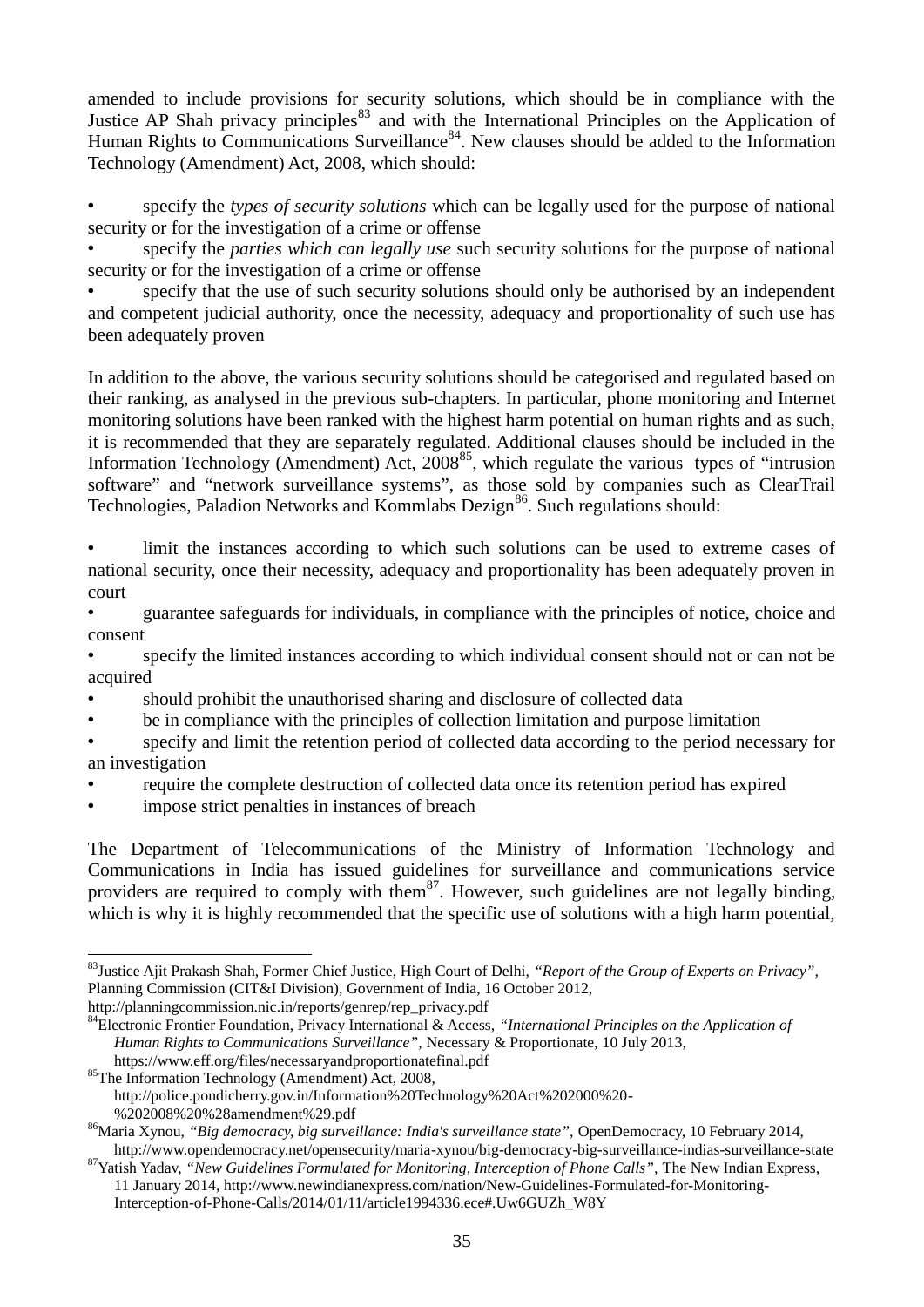amended to include provisions for security solutions, which should be in compliance with the Justice AP Shah privacy principles<sup>83</sup> and with the International Principles on the Application of Human Rights to Communications Surveillance<sup>84</sup>. New clauses should be added to the Information Technology (Amendment) Act, 2008, which should:

• specify the *types of security solutions* which can be legally used for the purpose of national security or for the investigation of a crime or offense

• specify the *parties which can legally use* such security solutions for the purpose of national security or for the investigation of a crime or offense

• specify that the use of such security solutions should only be authorised by an independent and competent judicial authority, once the necessity, adequacy and proportionality of such use has been adequately proven

In addition to the above, the various security solutions should be categorised and regulated based on their ranking, as analysed in the previous sub-chapters. In particular, phone monitoring and Internet monitoring solutions have been ranked with the highest harm potential on human rights and as such, it is recommended that they are separately regulated. Additional clauses should be included in the Information Technology (Amendment) Act,  $2008^{85}$ , which regulate the various types of "intrusion software" and "network surveillance systems", as those sold by companies such as ClearTrail Technologies, Paladion Networks and Kommlabs Dezign<sup>86</sup>. Such regulations should:

limit the instances according to which such solutions can be used to extreme cases of national security, once their necessity, adequacy and proportionality has been adequately proven in court

• guarantee safeguards for individuals, in compliance with the principles of notice, choice and consent

• specify the limited instances according to which individual consent should not or can not be acquired

- should prohibit the unauthorised sharing and disclosure of collected data
- be in compliance with the principles of collection limitation and purpose limitation
- specify and limit the retention period of collected data according to the period necessary for an investigation
- require the complete destruction of collected data once its retention period has expired
- impose strict penalties in instances of breach

The Department of Telecommunications of the Ministry of Information Technology and Communications in India has issued guidelines for surveillance and communications service providers are required to comply with them<sup>87</sup>. However, such guidelines are not legally binding, which is why it is highly recommended that the specific use of solutions with a high harm potential,

[http://planningcommission.nic.in/reports/genrep/rep\\_privacy.pdf](http://planningcommission.nic.in/reports/genrep/rep_privacy.pdf)

<sup>85</sup>The Information Technology (Amendment) Act, 2008,

[%202008%20%28amendment%29.pdf](http://police.pondicherry.gov.in/Information%20Technology%20Act%202000%20-%202008%20%28amendment%29.pdf)

<sup>&</sup>lt;u>.</u> <sup>83</sup>Justice Ajit Prakash Shah, Former Chief Justice, High Court of Delhi, *"Report of the Group of Experts on Privacy",*  Planning Commission (CIT&I Division), Government of India, 16 October 2012,

<sup>84</sup>Electronic Frontier Foundation, Privacy International & Access, *"International Principles on the Application of Human Rights to Communications Surveillance",* Necessary & Proportionate, 10 July 2013, <https://www.eff.org/files/necessaryandproportionatefinal.pdf>

[http://police.pondicherry.gov.in/Information%20Technology%20Act%202000%20-](http://police.pondicherry.gov.in/Information%20Technology%20Act%202000%20-%202008%20%28amendment%29.pdf)

<sup>86</sup>Maria Xynou, *"Big democracy, big surveillance: India's surveillance state",* OpenDemocracy, 10 February 2014, <http://www.opendemocracy.net/opensecurity/maria-xynou/big-democracy-big-surveillance-indias-surveillance-state>

<sup>&</sup>lt;sup>87</sup>Yatish Yadav, "New Guidelines Formulated for Monitoring, Interception of Phone Calls", The New Indian Express, 11 January 2014, [http://www.newindianexpress.com/nation/New-Guidelines-Formulated-for-Monitoring-](http://www.newindianexpress.com/nation/New-Guidelines-Formulated-for-Monitoring-Interception-of-Phone-Calls/2014/01/11/article1994336.ece#.Uw6GUZh_W8Y)[Interception-of-Phone-Calls/2014/01/11/article1994336.ece#.Uw6GUZh\\_W8Y](http://www.newindianexpress.com/nation/New-Guidelines-Formulated-for-Monitoring-Interception-of-Phone-Calls/2014/01/11/article1994336.ece#.Uw6GUZh_W8Y)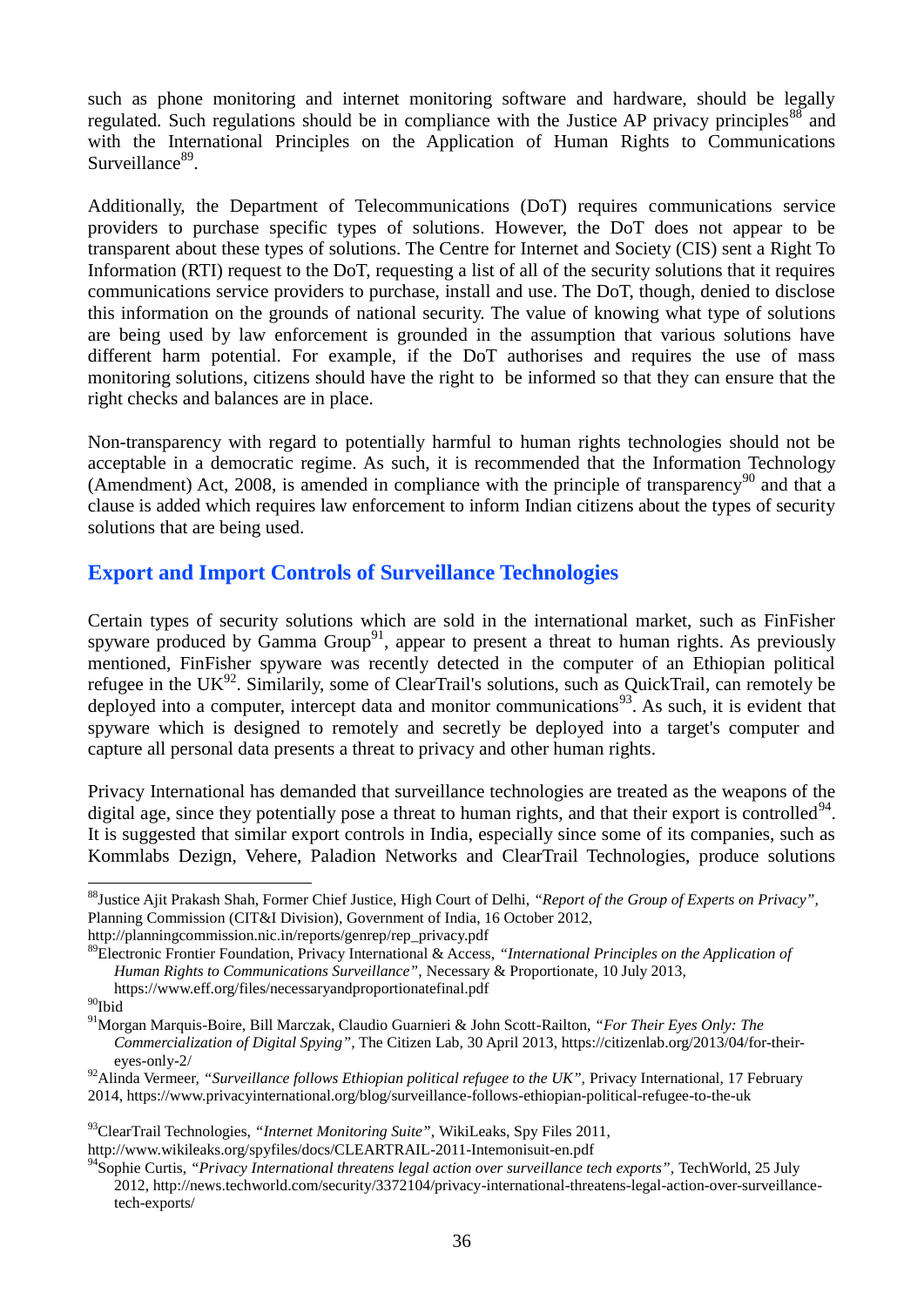such as phone monitoring and internet monitoring software and hardware, should be legally regulated. Such regulations should be in compliance with the Justice AP privacy principles $^{88}$  and with the International Principles on the Application of Human Rights to Communications Surveillance<sup>89</sup>.

Additionally, the Department of Telecommunications (DoT) requires communications service providers to purchase specific types of solutions. However, the DoT does not appear to be transparent about these types of solutions. The Centre for Internet and Society (CIS) sent a Right To Information (RTI) request to the DoT, requesting a list of all of the security solutions that it requires communications service providers to purchase, install and use. The DoT, though, denied to disclose this information on the grounds of national security. The value of knowing what type of solutions are being used by law enforcement is grounded in the assumption that various solutions have different harm potential. For example, if the DoT authorises and requires the use of mass monitoring solutions, citizens should have the right to be informed so that they can ensure that the right checks and balances are in place.

Non-transparency with regard to potentially harmful to human rights technologies should not be acceptable in a democratic regime. As such, it is recommended that the Information Technology (Amendment) Act, 2008, is amended in compliance with the principle of transparency<sup>90</sup> and that a clause is added which requires law enforcement to inform Indian citizens about the types of security solutions that are being used.

#### **Export and Import Controls of Surveillance Technologies**

Certain types of security solutions which are sold in the international market, such as FinFisher spyware produced by Gamma Group<sup>91</sup>, appear to present a threat to human rights. As previously mentioned, FinFisher spyware was recently detected in the computer of an Ethiopian political refugee in the UK<sup>92</sup>. Similarily, some of ClearTrail's solutions, such as QuickTrail, can remotely be deployed into a computer, intercept data and monitor communications<sup>93</sup>. As such, it is evident that spyware which is designed to remotely and secretly be deployed into a target's computer and capture all personal data presents a threat to privacy and other human rights.

Privacy International has demanded that surveillance technologies are treated as the weapons of the digital age, since they potentially pose a threat to human rights, and that their export is controlled $94$ . It is suggested that similar export controls in India, especially since some of its companies, such as Kommlabs Dezign, Vehere, Paladion Networks and ClearTrail Technologies, produce solutions

<u>.</u>

<sup>88</sup>Justice Ajit Prakash Shah, Former Chief Justice, High Court of Delhi, *"Report of the Group of Experts on Privacy",*  Planning Commission (CIT&I Division), Government of India, 16 October 2012,

[http://planningcommission.nic.in/reports/genrep/rep\\_privacy.pdf](http://planningcommission.nic.in/reports/genrep/rep_privacy.pdf)

<sup>89</sup>Electronic Frontier Foundation, Privacy International & Access, *"International Principles on the Application of Human Rights to Communications Surveillance",* Necessary & Proportionate, 10 July 2013, <https://www.eff.org/files/necessaryandproportionatefinal.pdf>

 $^{90}\mathrm{Ibid}$ 

<sup>91</sup>Morgan Marquis-Boire, Bill Marczak, Claudio Guarnieri & John Scott-Railton, *"For Their Eyes Only: The Commercialization of Digital Spying",* The Citizen Lab, 30 April 2013, [https://citizenlab.org/2013/04/for-their](https://citizenlab.org/2013/04/for-their-eyes-only-2/)[eyes-only-2/](https://citizenlab.org/2013/04/for-their-eyes-only-2/)

<sup>&</sup>lt;sup>92</sup>Alinda Vermeer, "Surveillance follows Ethiopian political refugee to the UK", Privacy International, 17 February 2014[, https://www.privacyinternational.org/blog/surveillance-follows-ethiopian-political-refugee-to-the-uk](https://www.privacyinternational.org/blog/surveillance-follows-ethiopian-political-refugee-to-the-uk)

<sup>93</sup>ClearTrail Technologies, *"Internet Monitoring Suite",* WikiLeaks, Spy Files 2011,

<http://www.wikileaks.org/spyfiles/docs/CLEARTRAIL-2011-Intemonisuit-en.pdf>

<sup>&</sup>lt;sup>94</sup>Sophie Curtis, *"Privacy International threatens legal action over surveillance tech exports", TechWorld, 25 July* 2012[, http://news.techworld.com/security/3372104/privacy-international-threatens-legal-action-over-surveillance](http://news.techworld.com/security/3372104/privacy-international-threatens-legal-action-over-surveillance-tech-exports/)[tech-exports/](http://news.techworld.com/security/3372104/privacy-international-threatens-legal-action-over-surveillance-tech-exports/)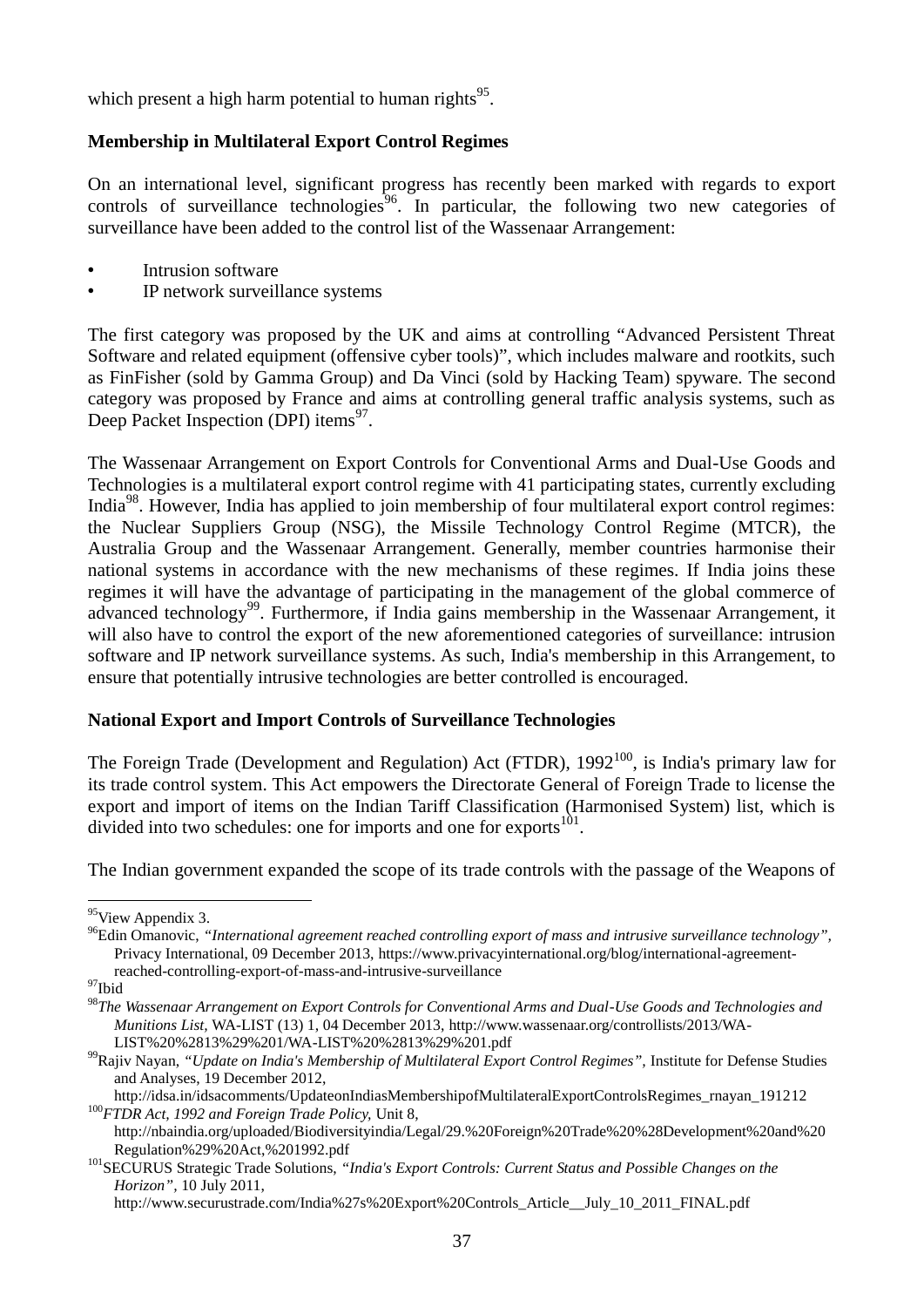which present a high harm potential to human rights $^{95}$ .

#### **Membership in Multilateral Export Control Regimes**

On an international level, significant progress has recently been marked with regards to export controls of surveillance technologies $96$ . In particular, the following two new categories of surveillance have been added to the control list of the Wassenaar Arrangement:

- Intrusion software
- IP network surveillance systems

The first category was proposed by the UK and aims at controlling "Advanced Persistent Threat Software and related equipment (offensive cyber tools)", which includes malware and rootkits, such as FinFisher (sold by Gamma Group) and Da Vinci (sold by Hacking Team) spyware. The second category was proposed by France and aims at controlling general traffic analysis systems, such as Deep Packet Inspection (DPI) items<sup>97</sup>.

The Wassenaar Arrangement on Export Controls for Conventional Arms and Dual-Use Goods and Technologies is a multilateral export control regime with 41 participating states, currently excluding India<sup>98</sup>. However, India has applied to join membership of four multilateral export control regimes: the Nuclear Suppliers Group (NSG), the Missile Technology Control Regime (MTCR), the Australia Group and the Wassenaar Arrangement. Generally, member countries harmonise their national systems in accordance with the new mechanisms of these regimes. If India joins these regimes it will have the advantage of participating in the management of the global commerce of advanced technology<sup>99</sup>. Furthermore, if India gains membership in the Wassenaar Arrangement, it will also have to control the export of the new aforementioned categories of surveillance: intrusion software and IP network surveillance systems. As such, India's membership in this Arrangement, to ensure that potentially intrusive technologies are better controlled is encouraged.

#### **National Export and Import Controls of Surveillance Technologies**

The Foreign Trade (Development and Regulation) Act (FTDR),  $1992^{100}$ , is India's primary law for its trade control system. This Act empowers the Directorate General of Foreign Trade to license the export and import of items on the Indian Tariff Classification (Harmonised System) list, which is divided into two schedules: one for imports and one for exports $^{101}$ .

The Indian government expanded the scope of its trade controls with the passage of the Weapons of

<sup>&</sup>lt;u>.</u> <sup>95</sup>View Appendix 3.

<sup>96</sup>Edin Omanovic, *"International agreement reached controlling export of mass and intrusive surveillance technology",*  Privacy International, 09 December 2013, [https://www.privacyinternational.org/blog/international-agreement](https://www.privacyinternational.org/blog/international-agreement-reached-controlling-export-of-mass-and-intrusive-surveillance)[reached-controlling-export-of-mass-and-intrusive-surveillance](https://www.privacyinternational.org/blog/international-agreement-reached-controlling-export-of-mass-and-intrusive-surveillance)

<sup>97</sup>Ibid

<sup>98</sup>*The Wassenaar Arrangement on Export Controls for Conventional Arms and Dual-Use Goods and Technologies and Munitions List,* WA-LIST (13) 1, 04 December 2013, [http://www.wassenaar.org/controllists/2013/WA-](http://www.wassenaar.org/controllists/2013/WA-LIST%20%2813%29%201/WA-LIST%20%2813%29%201.pdf)[LIST%20%2813%29%201/WA-LIST%20%2813%29%201.pdf](http://www.wassenaar.org/controllists/2013/WA-LIST%20%2813%29%201/WA-LIST%20%2813%29%201.pdf)

<sup>&</sup>lt;sup>99</sup>Rajiv Nayan, "Update on India's Membership of Multilateral Export Control Regimes", Institute for Defense Studies and Analyses, 19 December 2012,

[http://idsa.in/idsacomments/UpdateonIndiasMembershipofMultilateralExportControlsRegimes\\_rnayan\\_191212](http://idsa.in/idsacomments/UpdateonIndiasMembershipofMultilateralExportControlsRegimes_rnayan_191212) <sup>100</sup>*FTDR Act, 1992 and Foreign Trade Policy,* Unit 8,

[http://nbaindia.org/uploaded/Biodiversityindia/Legal/29.%20Foreign%20Trade%20%28Development%20and%20](http://nbaindia.org/uploaded/Biodiversityindia/Legal/29.%20Foreign%20Trade%20%28Development%20and%20Regulation%29%20Act,%201992.pdf) [Regulation%29%20Act,%201992.pdf](http://nbaindia.org/uploaded/Biodiversityindia/Legal/29.%20Foreign%20Trade%20%28Development%20and%20Regulation%29%20Act,%201992.pdf)

<sup>101</sup>SECURUS Strategic Trade Solutions, *"India's Export Controls: Current Status and Possible Changes on the Horizon",* 10 July 2011,

[http://www.securustrade.com/India%27s%20Export%20Controls\\_Article\\_\\_July\\_10\\_2011\\_FINAL.pdf](http://www.securustrade.com/India%27s%20Export%20Controls_Article__July_10_2011_FINAL.pdf)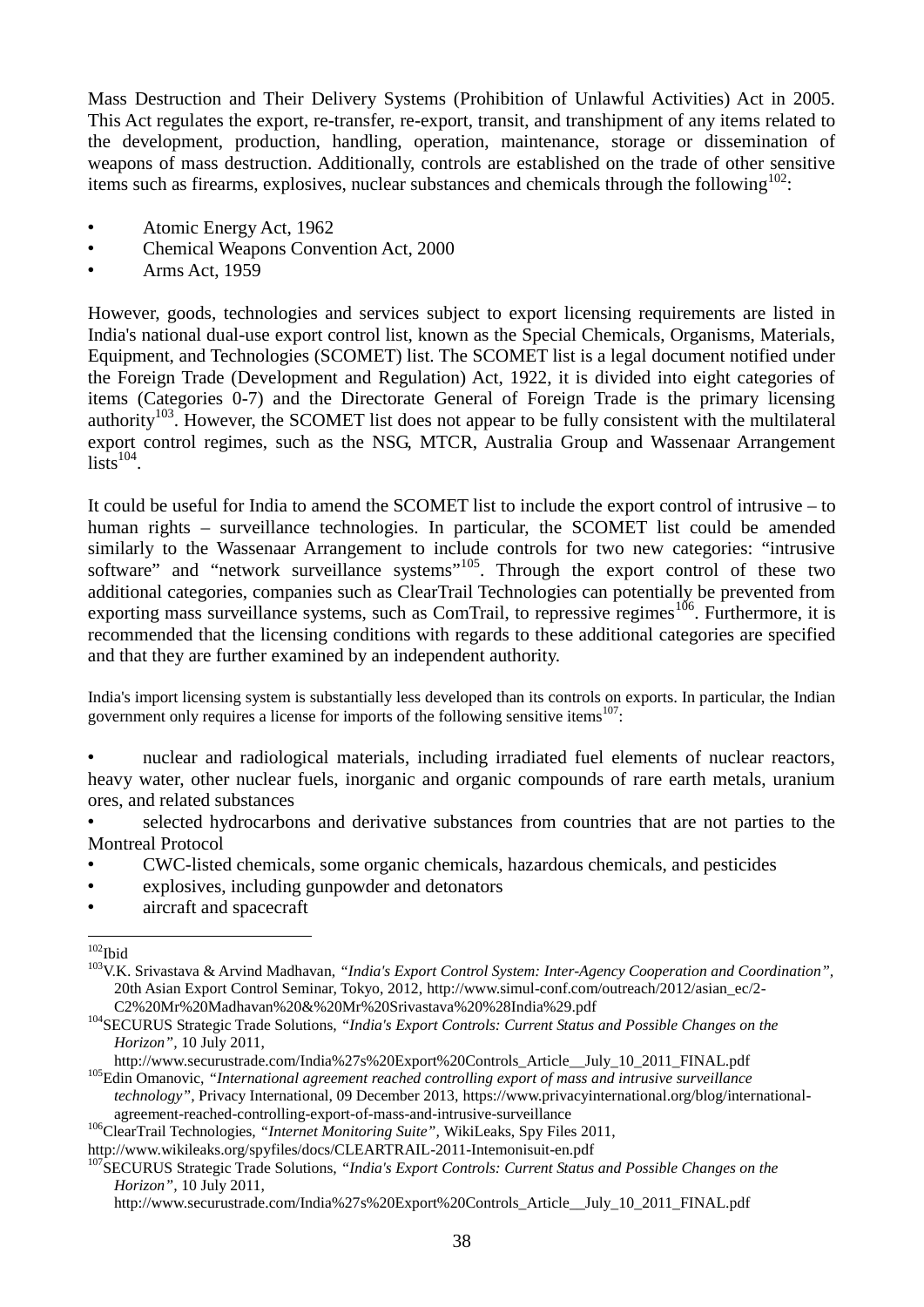Mass Destruction and Their Delivery Systems (Prohibition of Unlawful Activities) Act in 2005. This Act regulates the export, re-transfer, re-export, transit, and transhipment of any items related to the development, production, handling, operation, maintenance, storage or dissemination of weapons of mass destruction. Additionally, controls are established on the trade of other sensitive items such as firearms, explosives, nuclear substances and chemicals through the following $102$ :

- Atomic Energy Act, 1962
- Chemical Weapons Convention Act, 2000
- Arms Act, 1959

However, goods, technologies and services subject to export licensing requirements are listed in India's national dual-use export control list, known as the Special Chemicals, Organisms, Materials, Equipment, and Technologies (SCOMET) list. The SCOMET list is a legal document notified under the Foreign Trade (Development and Regulation) Act, 1922, it is divided into eight categories of items (Categories 0-7) and the Directorate General of Foreign Trade is the primary licensing authority<sup>103</sup>. However, the SCOMET list does not appear to be fully consistent with the multilateral export control regimes, such as the NSG, MTCR, Australia Group and Wassenaar Arrangement  $\text{lists}^{104}$ .

It could be useful for India to amend the SCOMET list to include the export control of intrusive – to human rights – surveillance technologies. In particular, the SCOMET list could be amended similarly to the Wassenaar Arrangement to include controls for two new categories: "intrusive software" and "network surveillance systems"<sup>105</sup>. Through the export control of these two additional categories, companies such as ClearTrail Technologies can potentially be prevented from exporting mass surveillance systems, such as ComTrail, to repressive regimes<sup>106</sup>. Furthermore, it is recommended that the licensing conditions with regards to these additional categories are specified and that they are further examined by an independent authority.

India's import licensing system is substantially less developed than its controls on exports. In particular, the Indian government only requires a license for imports of the following sensitive items $^{107}$ :

• nuclear and radiological materials, including irradiated fuel elements of nuclear reactors, heavy water, other nuclear fuels, inorganic and organic compounds of rare earth metals, uranium ores, and related substances

selected hydrocarbons and derivative substances from countries that are not parties to the Montreal Protocol

- CWC-listed chemicals, some organic chemicals, hazardous chemicals, and pesticides
- explosives, including gunpowder and detonators
- aircraft and spacecraft

<sup>&</sup>lt;u>.</u>  $102$ Ibid

<sup>103</sup>V.K. Srivastava & Arvind Madhavan, *"India's Export Control System: Inter-Agency Cooperation and Coordination",*  20th Asian Export Control Seminar, Tokyo, 2012, [http://www.simul-conf.com/outreach/2012/asian\\_ec/2-](http://www.simul-conf.com/outreach/2012/asian_ec/2-C2%20Mr%20Madhavan%20&%20Mr%20Srivastava%20%28India%29.pdf) [C2%20Mr%20Madhavan%20&%20Mr%20Srivastava%20%28India%29.pdf](http://www.simul-conf.com/outreach/2012/asian_ec/2-C2%20Mr%20Madhavan%20&%20Mr%20Srivastava%20%28India%29.pdf)

<sup>104</sup>SECURUS Strategic Trade Solutions, *"India's Export Controls: Current Status and Possible Changes on the Horizon",* 10 July 2011,

[http://www.securustrade.com/India%27s%20Export%20Controls\\_Article\\_\\_July\\_10\\_2011\\_FINAL.pdf](http://www.securustrade.com/India%27s%20Export%20Controls_Article__July_10_2011_FINAL.pdf) <sup>105</sup>Edin Omanovic, *"International agreement reached controlling export of mass and intrusive surveillance* 

*technology",* Privacy International, 09 December 2013, [https://www.privacyinternational.org/blog/international](https://www.privacyinternational.org/blog/international-agreement-reached-controlling-export-of-mass-and-intrusive-surveillance)[agreement-reached-controlling-export-of-mass-and-intrusive-surveillance](https://www.privacyinternational.org/blog/international-agreement-reached-controlling-export-of-mass-and-intrusive-surveillance)

<sup>106</sup>ClearTrail Technologies, *"Internet Monitoring Suite",* WikiLeaks, Spy Files 2011,

<http://www.wikileaks.org/spyfiles/docs/CLEARTRAIL-2011-Intemonisuit-en.pdf>

<sup>107</sup>SECURUS Strategic Trade Solutions, *"India's Export Controls: Current Status and Possible Changes on the Horizon",* 10 July 2011,

[http://www.securustrade.com/India%27s%20Export%20Controls\\_Article\\_\\_July\\_10\\_2011\\_FINAL.pdf](http://www.securustrade.com/India%27s%20Export%20Controls_Article__July_10_2011_FINAL.pdf)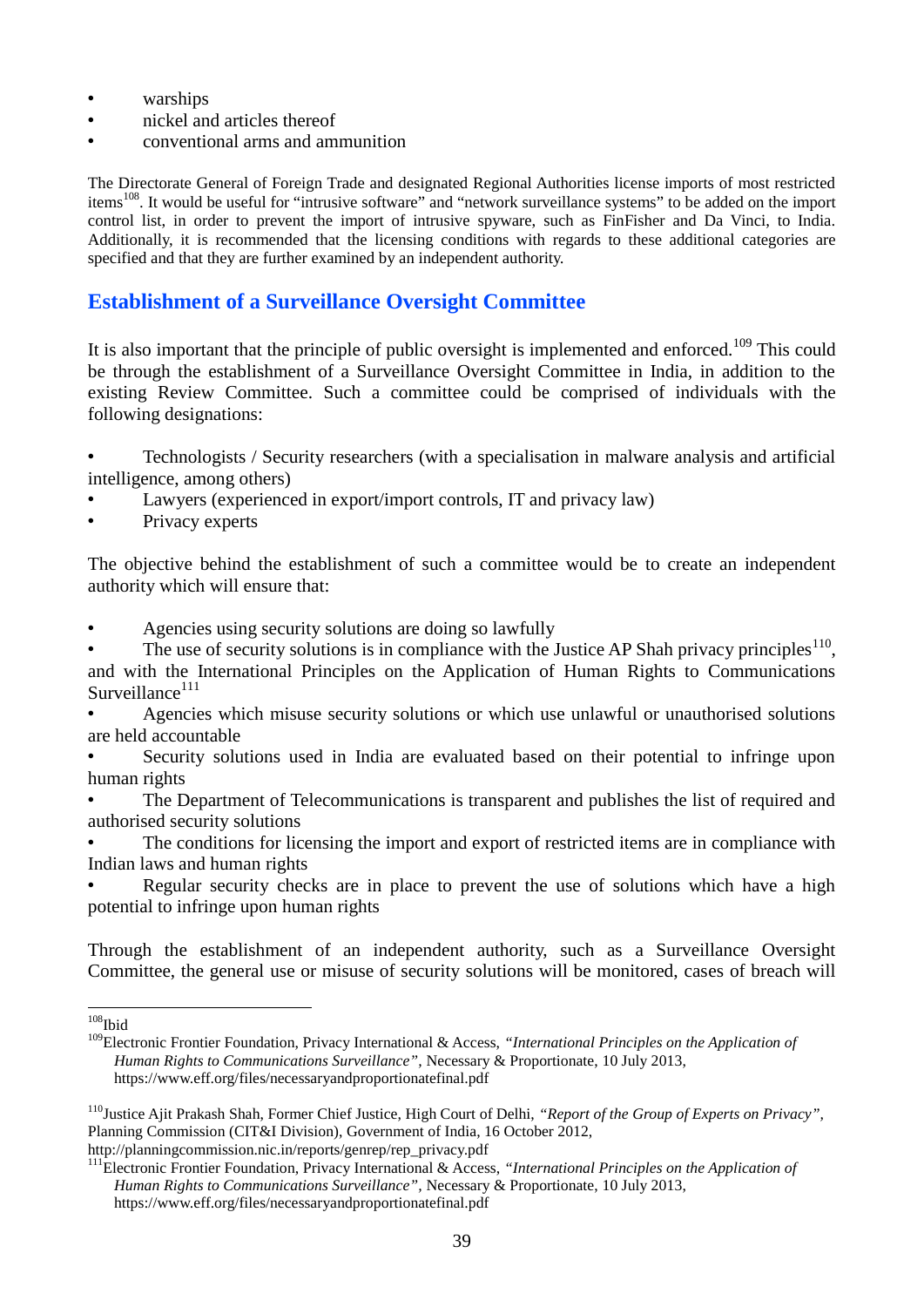- warships
- nickel and articles thereof
- conventional arms and ammunition

The Directorate General of Foreign Trade and designated Regional Authorities license imports of most restricted items<sup>108</sup>. It would be useful for "intrusive software" and "network surveillance systems" to be added on the import control list, in order to prevent the import of intrusive spyware, such as FinFisher and Da Vinci, to India. Additionally, it is recommended that the licensing conditions with regards to these additional categories are specified and that they are further examined by an independent authority.

#### **Establishment of a Surveillance Oversight Committee**

It is also important that the principle of public oversight is implemented and enforced.<sup>109</sup> This could be through the establishment of a Surveillance Oversight Committee in India, in addition to the existing Review Committee. Such a committee could be comprised of individuals with the following designations:

- Technologists / Security researchers (with a specialisation in malware analysis and artificial intelligence, among others)
- Lawyers (experienced in export/import controls, IT and privacy law)
- Privacy experts

The objective behind the establishment of such a committee would be to create an independent authority which will ensure that:

• Agencies using security solutions are doing so lawfully

• The use of security solutions is in compliance with the Justice AP Shah privacy principles<sup>110</sup>, and with the International Principles on the Application of Human Rights to Communications  $S$ urveillance $111$ 

• Agencies which misuse security solutions or which use unlawful or unauthorised solutions are held accountable

• Security solutions used in India are evaluated based on their potential to infringe upon human rights

• The Department of Telecommunications is transparent and publishes the list of required and authorised security solutions

The conditions for licensing the import and export of restricted items are in compliance with Indian laws and human rights

Regular security checks are in place to prevent the use of solutions which have a high potential to infringe upon human rights

Through the establishment of an independent authority, such as a Surveillance Oversight Committee, the general use or misuse of security solutions will be monitored, cases of breach will

<sup>&</sup>lt;u>.</u>  $108$ Ibid

<sup>109</sup>Electronic Frontier Foundation, Privacy International & Access, *"International Principles on the Application of Human Rights to Communications Surveillance",* Necessary & Proportionate, 10 July 2013, <https://www.eff.org/files/necessaryandproportionatefinal.pdf>

<sup>110</sup>Justice Ajit Prakash Shah, Former Chief Justice, High Court of Delhi, *"Report of the Group of Experts on Privacy",*  Planning Commission (CIT&I Division), Government of India, 16 October 2012, [http://planningcommission.nic.in/reports/genrep/rep\\_privacy.pdf](http://planningcommission.nic.in/reports/genrep/rep_privacy.pdf)

<sup>111</sup>Electronic Frontier Foundation, Privacy International & Access, *"International Principles on the Application of Human Rights to Communications Surveillance",* Necessary & Proportionate, 10 July 2013, <https://www.eff.org/files/necessaryandproportionatefinal.pdf>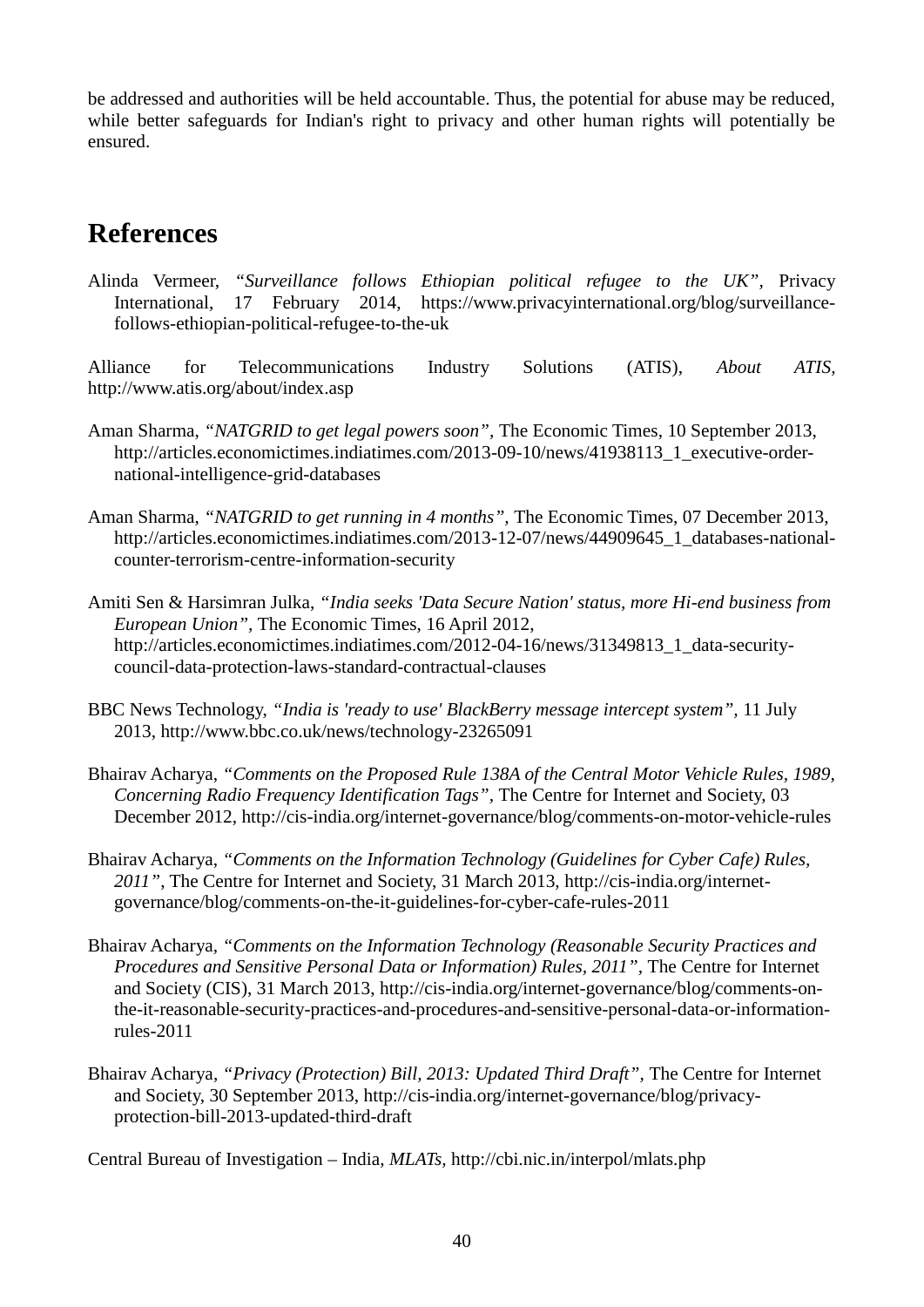be addressed and authorities will be held accountable. Thus, the potential for abuse may be reduced, while better safeguards for Indian's right to privacy and other human rights will potentially be ensured.

# **References**

Alinda Vermeer, *"Surveillance follows Ethiopian political refugee to the UK",* Privacy International, 17 February 2014, [https://www.privacyinternational.org/blog/surveillance](https://www.privacyinternational.org/blog/surveillance-follows-ethiopian-political-refugee-to-the-uk)[follows-ethiopian-political-refugee-to-the-uk](https://www.privacyinternational.org/blog/surveillance-follows-ethiopian-political-refugee-to-the-uk)

Alliance for Telecommunications Industry Solutions (ATIS), *About ATIS,*  <http://www.atis.org/about/index.asp>

- Aman Sharma, *"NATGRID to get legal powers soon",* The Economic Times, 10 September 2013, [http://articles.economictimes.indiatimes.com/2013-09-10/news/41938113\\_1\\_executive-order](http://articles.economictimes.indiatimes.com/2013-09-10/news/41938113_1_executive-order-national-intelligence-grid-databases)[national-intelligence-grid-databases](http://articles.economictimes.indiatimes.com/2013-09-10/news/41938113_1_executive-order-national-intelligence-grid-databases)
- Aman Sharma, *"NATGRID to get running in 4 months",* The Economic Times, 07 December 2013, [http://articles.economictimes.indiatimes.com/2013-12-07/news/44909645\\_1\\_databases-national](http://articles.economictimes.indiatimes.com/2013-12-07/news/44909645_1_databases-national-counter-terrorism-centre-information-security)[counter-terrorism-centre-information-security](http://articles.economictimes.indiatimes.com/2013-12-07/news/44909645_1_databases-national-counter-terrorism-centre-information-security)
- Amiti Sen & Harsimran Julka, *"India seeks 'Data Secure Nation' status, more Hi-end business from European Union",* The Economic Times, 16 April 2012, [http://articles.economictimes.indiatimes.com/2012-04-16/news/31349813\\_1\\_data-security](http://articles.economictimes.indiatimes.com/2012-04-16/news/31349813_1_data-security-council-data-protection-laws-standard-contractual-clauses)[council-data-protection-laws-standard-contractual-clauses](http://articles.economictimes.indiatimes.com/2012-04-16/news/31349813_1_data-security-council-data-protection-laws-standard-contractual-clauses)
- BBC News Technology, *"India is 'ready to use' BlackBerry message intercept system",* 11 July 2013,<http://www.bbc.co.uk/news/technology-23265091>
- Bhairav Acharya, *"Comments on the Proposed Rule 138A of the Central Motor Vehicle Rules, 1989, Concerning Radio Frequency Identification Tags",* The Centre for Internet and Society, 03 December 2012,<http://cis-india.org/internet-governance/blog/comments-on-motor-vehicle-rules>
- Bhairav Acharya, *"Comments on the Information Technology (Guidelines for Cyber Cafe) Rules, 2011"*, The Centre for Internet and Society, 31 March 2013, [http://cis-india.org/internet](http://cis-india.org/internet-governance/blog/comments-on-the-it-guidelines-for-cyber-cafe-rules-2011)[governance/blog/comments-on-the-it-guidelines-for-cyber-cafe-rules-2011](http://cis-india.org/internet-governance/blog/comments-on-the-it-guidelines-for-cyber-cafe-rules-2011)
- Bhairav Acharya, *"Comments on the Information Technology (Reasonable Security Practices and Procedures and Sensitive Personal Data or Information) Rules, 2011", The Centre for Internet* and Society (CIS), 31 March 2013, [http://cis-india.org/internet-governance/blog/comments-on](http://cis-india.org/internet-governance/blog/comments-on-the-it-reasonable-security-practices-and-procedures-and-sensitive-personal-data-or-information-rules-2011)[the-it-reasonable-security-practices-and-procedures-and-sensitive-personal-data-or-information](http://cis-india.org/internet-governance/blog/comments-on-the-it-reasonable-security-practices-and-procedures-and-sensitive-personal-data-or-information-rules-2011)[rules-2011](http://cis-india.org/internet-governance/blog/comments-on-the-it-reasonable-security-practices-and-procedures-and-sensitive-personal-data-or-information-rules-2011)
- Bhairav Acharya, "Privacy (Protection) Bill, 2013: Updated Third Draft", The Centre for Internet and Society, 30 September 2013, [http://cis-india.org/internet-governance/blog/privacy](http://cis-india.org/internet-governance/blog/privacy-protection-bill-2013-updated-third-draft)[protection-bill-2013-updated-third-draft](http://cis-india.org/internet-governance/blog/privacy-protection-bill-2013-updated-third-draft)

Central Bureau of Investigation – India, *MLATs,* <http://cbi.nic.in/interpol/mlats.php>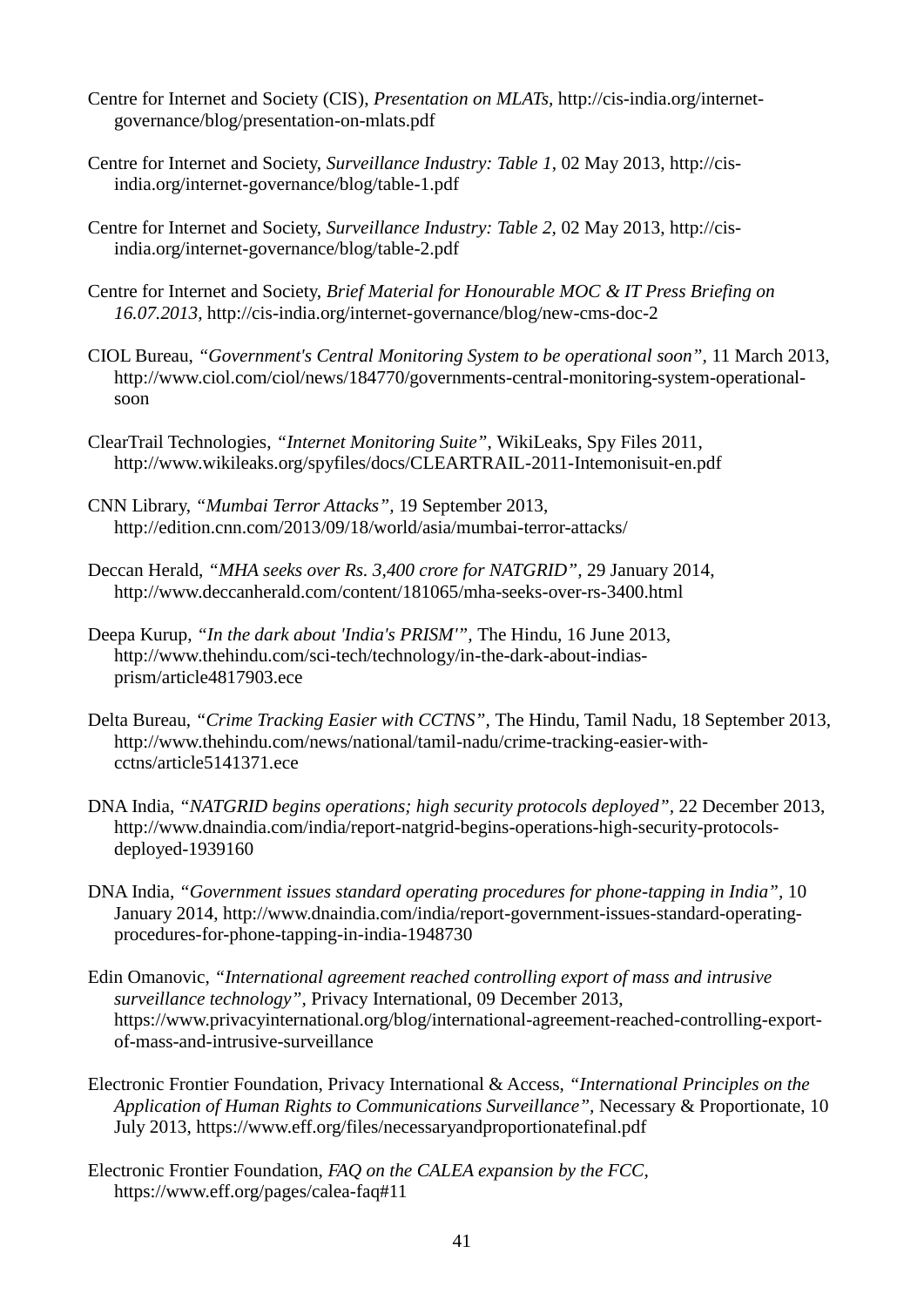- Centre for Internet and Society (CIS), *Presentation on MLATs,* [http://cis-india.org/internet](http://cis-india.org/internet-governance/blog/presentation-on-mlats.pdf)[governance/blog/presentation-on-mlats.pdf](http://cis-india.org/internet-governance/blog/presentation-on-mlats.pdf)
- Centre for Internet and Society, *Surveillance Industry: Table 1*, 02 May 2013, [http://cis](http://cis-india.org/internet-governance/blog/table-1.pdf)[india.org/internet-governance/blog/table-1.pdf](http://cis-india.org/internet-governance/blog/table-1.pdf)
- Centre for Internet and Society, *Surveillance Industry: Table 2,* 02 May 2013, [http://cis](http://cis-india.org/internet-governance/blog/table-2.pdf)[india.org/internet-governance/blog/table-2.pdf](http://cis-india.org/internet-governance/blog/table-2.pdf)
- Centre for Internet and Society, *Brief Material for Honourable MOC & IT Press Briefing on 16.07.2013,* <http://cis-india.org/internet-governance/blog/new-cms-doc-2>
- CIOL Bureau, *"Government's Central Monitoring System to be operational soon",* 11 March 2013, [http://www.ciol.com/ciol/news/184770/governments-central-monitoring-system-operational](http://www.ciol.com/ciol/news/184770/governments-central-monitoring-system-operational-soon)[soon](http://www.ciol.com/ciol/news/184770/governments-central-monitoring-system-operational-soon)
- ClearTrail Technologies, *"Internet Monitoring Suite",* WikiLeaks, Spy Files 2011, <http://www.wikileaks.org/spyfiles/docs/CLEARTRAIL-2011-Intemonisuit-en.pdf>
- CNN Library, *"Mumbai Terror Attacks",* 19 September 2013, <http://edition.cnn.com/2013/09/18/world/asia/mumbai-terror-attacks/>
- Deccan Herald, *"MHA seeks over Rs. 3,400 crore for NATGRID",* 29 January 2014, <http://www.deccanherald.com/content/181065/mha-seeks-over-rs-3400.html>
- Deepa Kurup, *"In the dark about 'India's PRISM'",* The Hindu, 16 June 2013, [http://www.thehindu.com/sci-tech/technology/in-the-dark-about-indias](http://www.thehindu.com/sci-tech/technology/in-the-dark-about-indias-prism/article4817903.ece)[prism/article4817903.ece](http://www.thehindu.com/sci-tech/technology/in-the-dark-about-indias-prism/article4817903.ece)
- Delta Bureau, *"Crime Tracking Easier with CCTNS",* The Hindu, Tamil Nadu, 18 September 2013, [http://www.thehindu.com/news/national/tamil-nadu/crime-tracking-easier-with](http://www.thehindu.com/news/national/tamil-nadu/crime-tracking-easier-with-cctns/article5141371.ece)[cctns/article5141371.ece](http://www.thehindu.com/news/national/tamil-nadu/crime-tracking-easier-with-cctns/article5141371.ece)
- DNA India, "NATGRID begins operations; high security protocols deployed", 22 December 2013, [http://www.dnaindia.com/india/report-natgrid-begins-operations-high-security-protocols](http://www.dnaindia.com/india/report-natgrid-begins-operations-high-security-protocols-deployed-1939160)[deployed-1939160](http://www.dnaindia.com/india/report-natgrid-begins-operations-high-security-protocols-deployed-1939160)
- DNA India, *"Government issues standard operating procedures for phone-tapping in India",* 10 January 2014, [http://www.dnaindia.com/india/report-government-issues-standard-operating](http://www.dnaindia.com/india/report-government-issues-standard-operating-procedures-for-phone-tapping-in-india-1948730)[procedures-for-phone-tapping-in-india-1948730](http://www.dnaindia.com/india/report-government-issues-standard-operating-procedures-for-phone-tapping-in-india-1948730)
- Edin Omanovic, *"International agreement reached controlling export of mass and intrusive surveillance technology",* Privacy International, 09 December 2013, [https://www.privacyinternational.org/blog/international-agreement-reached-controlling-export](https://www.privacyinternational.org/blog/international-agreement-reached-controlling-export-of-mass-and-intrusive-surveillance)[of-mass-and-intrusive-surveillance](https://www.privacyinternational.org/blog/international-agreement-reached-controlling-export-of-mass-and-intrusive-surveillance)
- Electronic Frontier Foundation, Privacy International & Access, *"International Principles on the Application of Human Rights to Communications Surveillance",* Necessary & Proportionate, 10 July 2013,<https://www.eff.org/files/necessaryandproportionatefinal.pdf>
- Electronic Frontier Foundation, *FAQ on the CALEA expansion by the FCC,*  <https://www.eff.org/pages/calea-faq#11>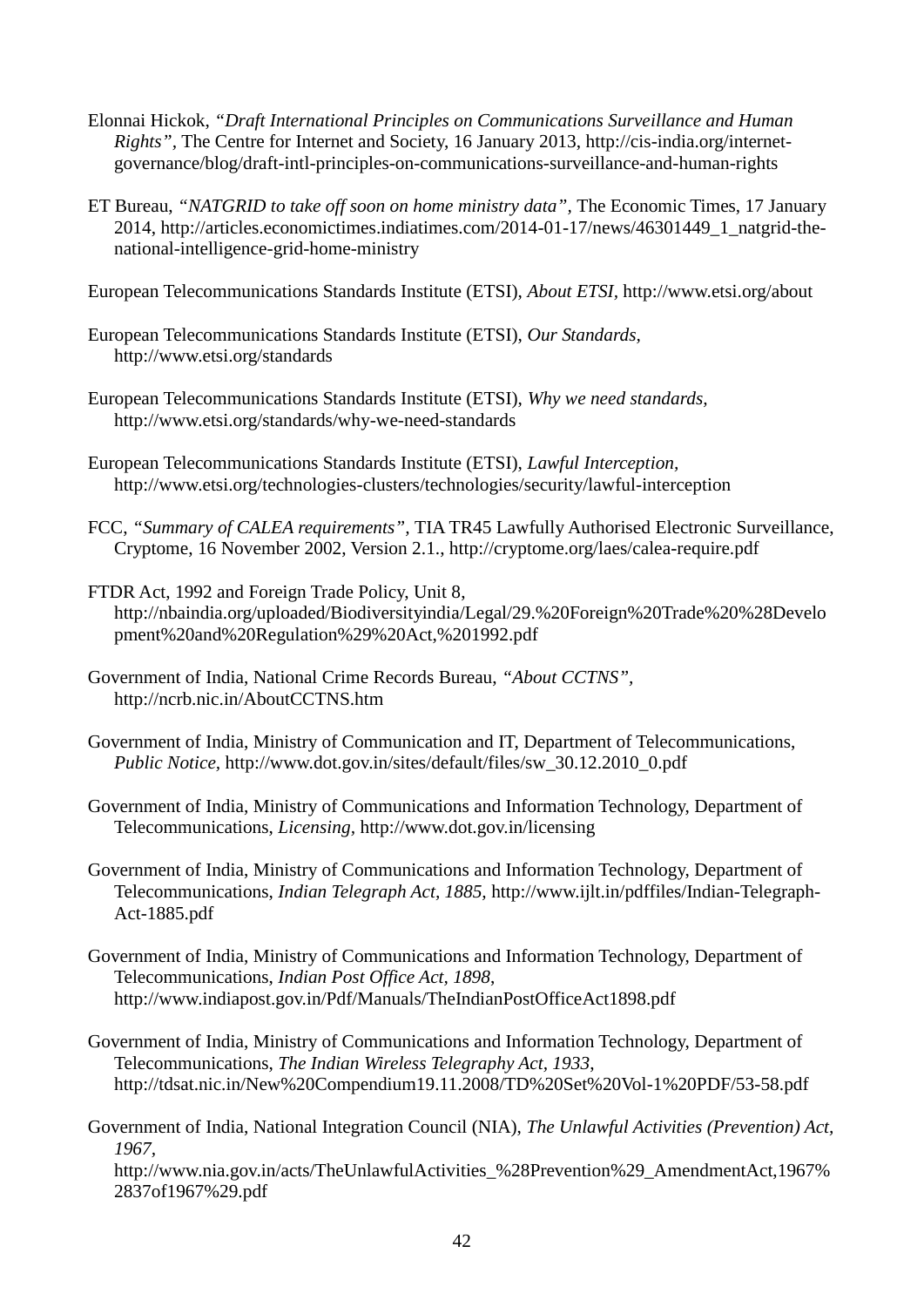- Elonnai Hickok, *"Draft International Principles on Communications Surveillance and Human Rights",* The Centre for Internet and Society, 16 January 2013, [http://cis-india.org/internet](http://cis-india.org/internet-governance/blog/draft-intl-principles-on-communications-surveillance-and-human-rights)[governance/blog/draft-intl-principles-on-communications-surveillance-and-human-rights](http://cis-india.org/internet-governance/blog/draft-intl-principles-on-communications-surveillance-and-human-rights)
- ET Bureau, *"NATGRID to take off soon on home ministry data",* The Economic Times, 17 January 2014, [http://articles.economictimes.indiatimes.com/2014-01-17/news/46301449\\_1\\_natgrid-the](http://articles.economictimes.indiatimes.com/2014-01-17/news/46301449_1_natgrid-the-national-intelligence-grid-home-ministry)[national-intelligence-grid-home-ministry](http://articles.economictimes.indiatimes.com/2014-01-17/news/46301449_1_natgrid-the-national-intelligence-grid-home-ministry)

European Telecommunications Standards Institute (ETSI), *About ETSI,* <http://www.etsi.org/about>

- European Telecommunications Standards Institute (ETSI), *Our Standards,*  <http://www.etsi.org/standards>
- European Telecommunications Standards Institute (ETSI), *Why we need standards,*  <http://www.etsi.org/standards/why-we-need-standards>
- European Telecommunications Standards Institute (ETSI), *Lawful Interception,*  <http://www.etsi.org/technologies-clusters/technologies/security/lawful-interception>
- FCC, *"Summary of CALEA requirements",* TIA TR45 Lawfully Authorised Electronic Surveillance, Cryptome, 16 November 2002, Version 2.1.,<http://cryptome.org/laes/calea-require.pdf>
- FTDR Act, 1992 and Foreign Trade Policy, Unit 8, [http://nbaindia.org/uploaded/Biodiversityindia/Legal/29.%20Foreign%20Trade%20%28Develo](http://nbaindia.org/uploaded/Biodiversityindia/Legal/29.%20Foreign%20Trade%20%28Development%20and%20Regulation%29%20Act,%201992.pdf) [pment%20and%20Regulation%29%20Act,%201992.pdf](http://nbaindia.org/uploaded/Biodiversityindia/Legal/29.%20Foreign%20Trade%20%28Development%20and%20Regulation%29%20Act,%201992.pdf)
- Government of India, National Crime Records Bureau, *"About CCTNS",*  <http://ncrb.nic.in/AboutCCTNS.htm>
- Government of India, Ministry of Communication and IT, Department of Telecommunications, *Public Notice,* [http://www.dot.gov.in/sites/default/files/sw\\_30.12.2010\\_0.pdf](http://www.dot.gov.in/sites/default/files/sw_30.12.2010_0.pdf)
- Government of India, Ministry of Communications and Information Technology, Department of Telecommunications, *Licensing,* <http://www.dot.gov.in/licensing>
- Government of India, Ministry of Communications and Information Technology, Department of Telecommunications, *Indian Telegraph Act, 1885,* [http://www.ijlt.in/pdffiles/Indian-Telegraph-](http://www.ijlt.in/pdffiles/Indian-Telegraph-Act-1885.pdf)[Act-1885.pdf](http://www.ijlt.in/pdffiles/Indian-Telegraph-Act-1885.pdf)
- Government of India, Ministry of Communications and Information Technology, Department of Telecommunications, *Indian Post Office Act, 1898*, <http://www.indiapost.gov.in/Pdf/Manuals/TheIndianPostOfficeAct1898.pdf>
- Government of India, Ministry of Communications and Information Technology, Department of Telecommunications, *The Indian Wireless Telegraphy Act, 1933*, <http://tdsat.nic.in/New%20Compendium19.11.2008/TD%20Set%20Vol-1%20PDF/53-58.pdf>
- Government of India, National Integration Council (NIA), *The Unlawful Activities (Prevention) Act, 1967,*

[http://www.nia.gov.in/acts/TheUnlawfulActivities\\_%28Prevention%29\\_AmendmentAct,1967%](http://www.nia.gov.in/acts/TheUnlawfulActivities_%28Prevention%29_AmendmentAct,1967%2837of1967%29.pdf) [2837of1967%29.pdf](http://www.nia.gov.in/acts/TheUnlawfulActivities_%28Prevention%29_AmendmentAct,1967%2837of1967%29.pdf)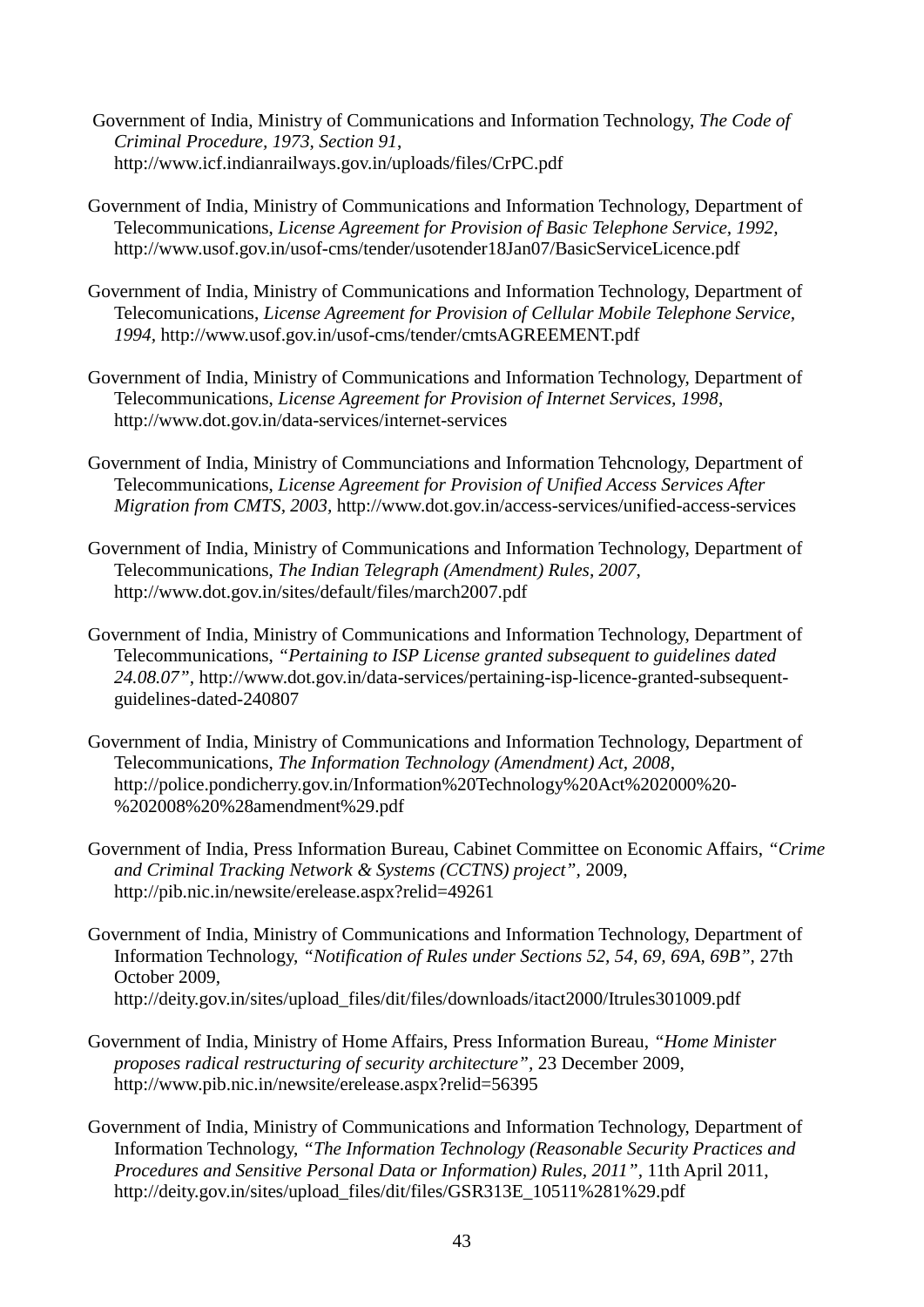- Government of India, Ministry of Communications and Information Technology, *The Code of Criminal Procedure, 1973, Section 91*, <http://www.icf.indianrailways.gov.in/uploads/files/CrPC.pdf>
- Government of India, Ministry of Communications and Information Technology, Department of Telecommunications, *License Agreement for Provision of Basic Telephone Service, 1992,*  <http://www.usof.gov.in/usof-cms/tender/usotender18Jan07/BasicServiceLicence.pdf>
- Government of India, Ministry of Communications and Information Technology, Department of Telecomunications, *License Agreement for Provision of Cellular Mobile Telephone Service, 1994,* <http://www.usof.gov.in/usof-cms/tender/cmtsAGREEMENT.pdf>
- Government of India, Ministry of Communications and Information Technology, Department of Telecommunications, *License Agreement for Provision of Internet Services, 1998*, <http://www.dot.gov.in/data-services/internet-services>
- Government of India, Ministry of Communciations and Information Tehcnology, Department of Telecommunications, *License Agreement for Provision of Unified Access Services After Migration from CMTS, 2003,* <http://www.dot.gov.in/access-services/unified-access-services>
- Government of India, Ministry of Communications and Information Technology, Department of Telecommunications, *The Indian Telegraph (Amendment) Rules, 2007*, <http://www.dot.gov.in/sites/default/files/march2007.pdf>
- Government of India, Ministry of Communications and Information Technology, Department of Telecommunications, *"Pertaining to ISP License granted subsequent to guidelines dated 24.08.07",* [http://www.dot.gov.in/data-services/pertaining-isp-licence-granted-subsequent](http://www.dot.gov.in/data-services/pertaining-isp-licence-granted-subsequent-guidelines-dated-240807)[guidelines-dated-240807](http://www.dot.gov.in/data-services/pertaining-isp-licence-granted-subsequent-guidelines-dated-240807)
- Government of India, Ministry of Communications and Information Technology, Department of Telecommunications, *The Information Technology (Amendment) Act, 2008*, [http://police.pondicherry.gov.in/Information%20Technology%20Act%202000%20-](http://police.pondicherry.gov.in/Information%20Technology%20Act%202000%20-%202008%20%28amendment%29.pdf) [%202008%20%28amendment%29.pdf](http://police.pondicherry.gov.in/Information%20Technology%20Act%202000%20-%202008%20%28amendment%29.pdf)
- Government of India, Press Information Bureau, Cabinet Committee on Economic Affairs, *"Crime and Criminal Tracking Network & Systems (CCTNS) project",* 2009, <http://pib.nic.in/newsite/erelease.aspx?relid=49261>
- Government of India, Ministry of Communications and Information Technology, Department of Information Technology, *"Notification of Rules under Sections 52, 54, 69, 69A, 69B",* 27th October 2009, [http://deity.gov.in/sites/upload\\_files/dit/files/downloads/itact2000/Itrules301009.pdf](http://deity.gov.in/sites/upload_files/dit/files/downloads/itact2000/Itrules301009.pdf)
- Government of India, Ministry of Home Affairs, Press Information Bureau, *"Home Minister proposes radical restructuring of security architecture",* 23 December 2009, <http://www.pib.nic.in/newsite/erelease.aspx?relid=56395>
- Government of India, Ministry of Communications and Information Technology, Department of Information Technology, *"The Information Technology (Reasonable Security Practices and Procedures and Sensitive Personal Data or Information) Rules, 2011", 11th April 2011,* [http://deity.gov.in/sites/upload\\_files/dit/files/GSR313E\\_10511%281%29.pdf](http://deity.gov.in/sites/upload_files/dit/files/GSR313E_10511%281%29.pdf)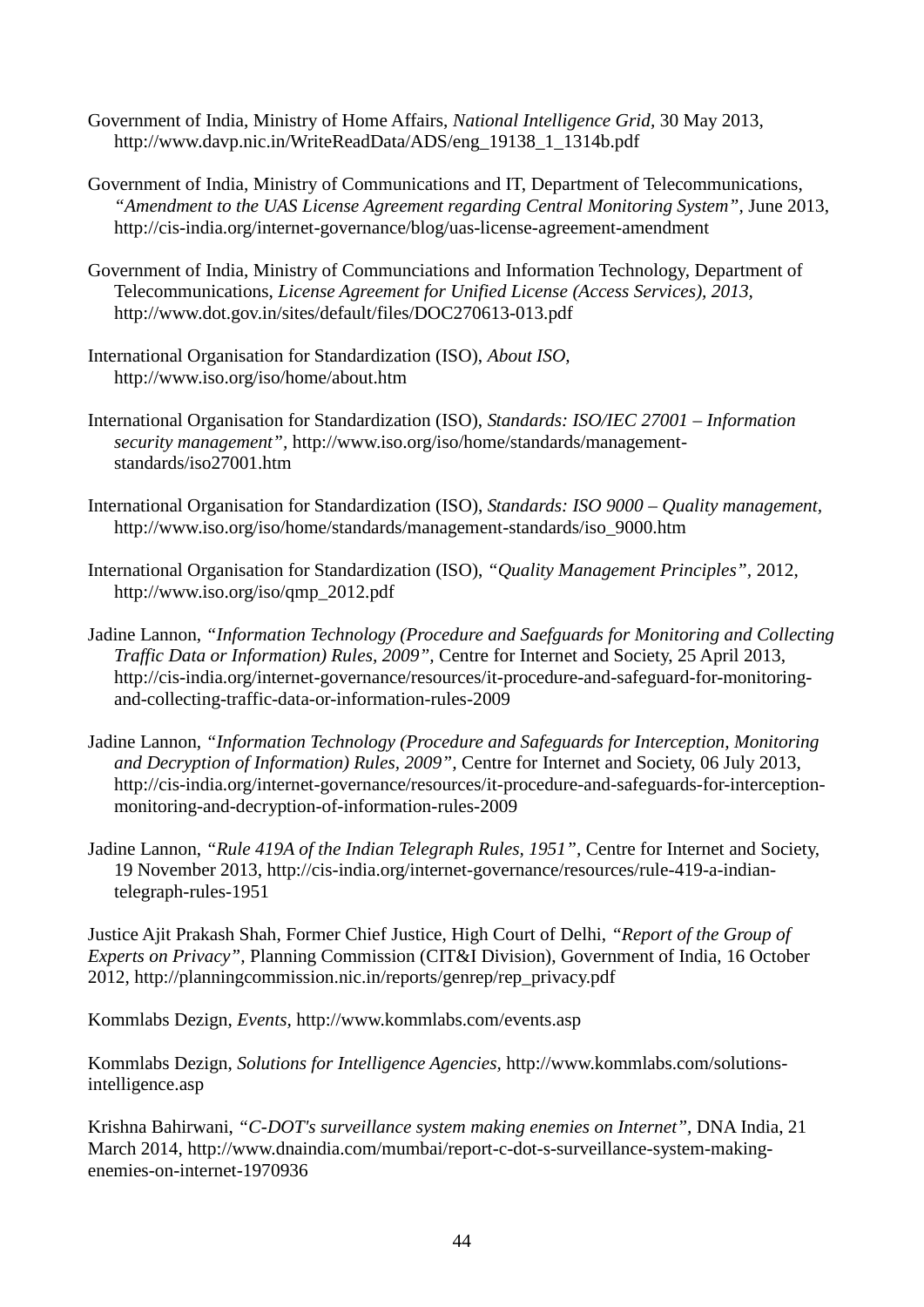- Government of India, Ministry of Home Affairs, *National Intelligence Grid,* 30 May 2013, [http://www.davp.nic.in/WriteReadData/ADS/eng\\_19138\\_1\\_1314b.pdf](http://www.davp.nic.in/WriteReadData/ADS/eng_19138_1_1314b.pdf)
- Government of India, Ministry of Communications and IT, Department of Telecommunications, "Amendment to the UAS License Agreement regarding Central Monitoring System", June 2013, <http://cis-india.org/internet-governance/blog/uas-license-agreement-amendment>
- Government of India, Ministry of Communciations and Information Technology, Department of Telecommunications, *License Agreement for Unified License (Access Services), 2013,*  <http://www.dot.gov.in/sites/default/files/DOC270613-013.pdf>
- International Organisation for Standardization (ISO), *About ISO,*  <http://www.iso.org/iso/home/about.htm>
- International Organisation for Standardization (ISO), *Standards: ISO/IEC 27001 – Information security management",* [http://www.iso.org/iso/home/standards/management](http://www.iso.org/iso/home/standards/management-standards/iso27001.htm)[standards/iso27001.htm](http://www.iso.org/iso/home/standards/management-standards/iso27001.htm)
- International Organisation for Standardization (ISO), *Standards: ISO 9000 – Quality management,*  [http://www.iso.org/iso/home/standards/management-standards/iso\\_9000.htm](http://www.iso.org/iso/home/standards/management-standards/iso_9000.htm)
- International Organisation for Standardization (ISO), *"Quality Management Principles",* 2012, [http://www.iso.org/iso/qmp\\_2012.pdf](http://www.iso.org/iso/qmp_2012.pdf)
- Jadine Lannon, *"Information Technology (Procedure and Saefguards for Monitoring and Collecting Traffic Data or Information) Rules, 2009",* Centre for Internet and Society, 25 April 2013, [http://cis-india.org/internet-governance/resources/it-procedure-and-safeguard-for-monitoring](http://cis-india.org/internet-governance/resources/it-procedure-and-safeguard-for-monitoring-and-collecting-traffic-data-or-information-rules-2009)and-collecting-traffic-data-or-information-rules-2009
- Jadine Lannon, *"Information Technology (Procedure and Safeguards for Interception, Monitoring and Decryption of Information) Rules, 2009",* Centre for Internet and Society, 06 July 2013, [http://cis-india.org/internet-governance/resources/it-procedure-and-safeguards-for-interception](http://cis-india.org/internet-governance/resources/it-procedure-and-safeguards-for-interception-monitoring-and-decryption-of-information-rules-2009)[monitoring-and-decryption-of-information-rules-2009](http://cis-india.org/internet-governance/resources/it-procedure-and-safeguards-for-interception-monitoring-and-decryption-of-information-rules-2009)
- Jadine Lannon, *"Rule 419A of the Indian Telegraph Rules, 1951",* Centre for Internet and Society, 19 November 2013, [http://cis-india.org/internet-governance/resources/rule-419-a-indian](http://cis-india.org/internet-governance/resources/rule-419-a-indian-telegraph-rules-1951)[telegraph-rules-1951](http://cis-india.org/internet-governance/resources/rule-419-a-indian-telegraph-rules-1951)

Justice Ajit Prakash Shah, Former Chief Justice, High Court of Delhi, *"Report of the Group of Experts on Privacy",* Planning Commission (CIT&I Division), Government of India, 16 October 2012, [http://planningcommission.nic.in/reports/genrep/rep\\_privacy.pdf](http://planningcommission.nic.in/reports/genrep/rep_privacy.pdf)

Kommlabs Dezign, *Events,* <http://www.kommlabs.com/events.asp>

Kommlabs Dezign, *Solutions for Intelligence Agencies,* [http://www.kommlabs.com/solutions](http://www.kommlabs.com/solutions-intelligence.asp)[intelligence.asp](http://www.kommlabs.com/solutions-intelligence.asp)

Krishna Bahirwani, *"C-DOT's surveillance system making enemies on Internet",* DNA India, 21 March 2014, [http://www.dnaindia.com/mumbai/report-c-dot-s-surveillance-system-making](http://www.dnaindia.com/mumbai/report-c-dot-s-surveillance-system-making-enemies-on-internet-1970936)[enemies-on-internet-1970936](http://www.dnaindia.com/mumbai/report-c-dot-s-surveillance-system-making-enemies-on-internet-1970936)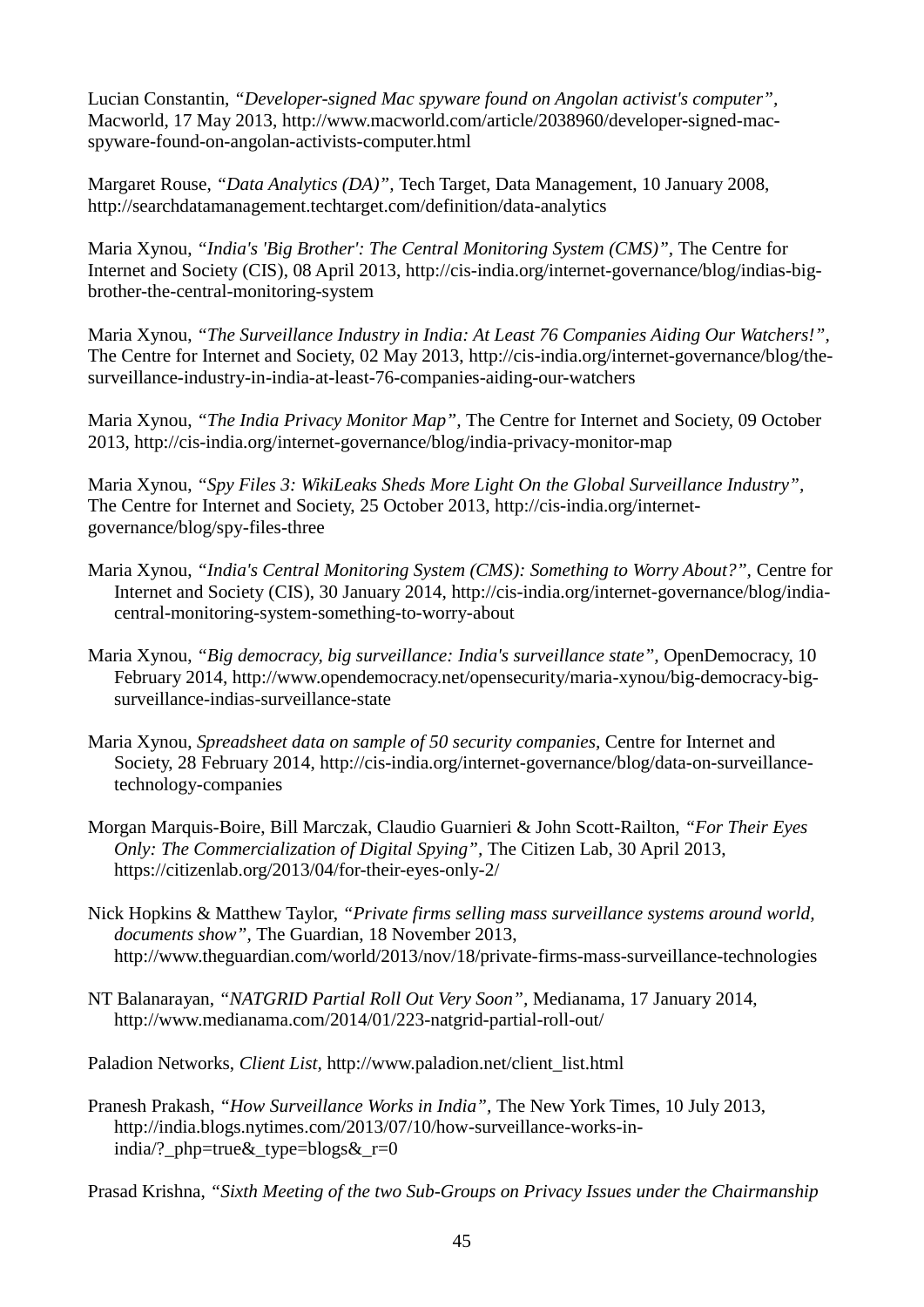Lucian Constantin, *"Developer-signed Mac spyware found on Angolan activist's computer",*  Macworld, 17 May 2013, [http://www.macworld.com/article/2038960/developer-signed-mac](http://www.macworld.com/article/2038960/developer-signed-mac-spyware-found-on-angolan-activists-computer.html)[spyware-found-on-angolan-activists-computer.html](http://www.macworld.com/article/2038960/developer-signed-mac-spyware-found-on-angolan-activists-computer.html) 

Margaret Rouse, *"Data Analytics (DA)",* Tech Target, Data Management, 10 January 2008, <http://searchdatamanagement.techtarget.com/definition/data-analytics>

Maria Xynou, *"India's 'Big Brother': The Central Monitoring System (CMS)",* The Centre for Internet and Society (CIS), 08 April 2013, [http://cis-india.org/internet-governance/blog/indias-big](http://cis-india.org/internet-governance/blog/indias-big-brother-the-central-monitoring-system)[brother-the-central-monitoring-system](http://cis-india.org/internet-governance/blog/indias-big-brother-the-central-monitoring-system)

Maria Xynou, *"The Surveillance Industry in India: At Least 76 Companies Aiding Our Watchers!",*  The Centre for Internet and Society, 02 May 2013, [http://cis-india.org/internet-governance/blog/the](http://cis-india.org/internet-governance/blog/the-surveillance-industry-in-india-at-least-76-companies-aiding-our-watchers)[surveillance-industry-in-india-at-least-76-companies-aiding-our-watchers](http://cis-india.org/internet-governance/blog/the-surveillance-industry-in-india-at-least-76-companies-aiding-our-watchers)

Maria Xynou, *"The India Privacy Monitor Map",* The Centre for Internet and Society, 09 October 2013,<http://cis-india.org/internet-governance/blog/india-privacy-monitor-map>

Maria Xynou, *"Spy Files 3: WikiLeaks Sheds More Light On the Global Surveillance Industry",*  The Centre for Internet and Society, 25 October 2013, [http://cis-india.org/internet](http://cis-india.org/internet-governance/blog/spy-files-three)[governance/blog/spy-files-three](http://cis-india.org/internet-governance/blog/spy-files-three) 

- Maria Xynou, *"India's Central Monitoring System (CMS): Something to Worry About?",* Centre for Internet and Society (CIS), 30 January 2014, [http://cis-india.org/internet-governance/blog/india](http://cis-india.org/internet-governance/blog/india-central-monitoring-system-something-to-worry-about)[central-monitoring-system-something-to-worry-about](http://cis-india.org/internet-governance/blog/india-central-monitoring-system-something-to-worry-about)
- Maria Xynou, *"Big democracy, big surveillance: India's surveillance state",* OpenDemocracy, 10 February 2014, [http://www.opendemocracy.net/opensecurity/maria-xynou/big-democracy-big](http://www.opendemocracy.net/opensecurity/maria-xynou/big-democracy-big-surveillance-indias-surveillance-state)[surveillance-indias-surveillance-state](http://www.opendemocracy.net/opensecurity/maria-xynou/big-democracy-big-surveillance-indias-surveillance-state)
- Maria Xynou, *Spreadsheet data on sample of 50 security companies,* Centre for Internet and Society, 28 February 2014, [http://cis-india.org/internet-governance/blog/data-on-surveillance](http://cis-india.org/internet-governance/blog/data-on-surveillance-technology-companies)[technology-companies](http://cis-india.org/internet-governance/blog/data-on-surveillance-technology-companies)
- Morgan Marquis-Boire, Bill Marczak, Claudio Guarnieri & John Scott-Railton, *"For Their Eyes Only: The Commercialization of Digital Spying",* The Citizen Lab, 30 April 2013, <https://citizenlab.org/2013/04/for-their-eyes-only-2/>
- Nick Hopkins & Matthew Taylor, *"Private firms selling mass surveillance systems around world, documents show",* The Guardian, 18 November 2013, <http://www.theguardian.com/world/2013/nov/18/private-firms-mass-surveillance-technologies>
- NT Balanarayan, *"NATGRID Partial Roll Out Very Soon",* Medianama, 17 January 2014, <http://www.medianama.com/2014/01/223-natgrid-partial-roll-out/>

Paladion Networks, *Client List,* [http://www.paladion.net/client\\_list.html](http://www.paladion.net/client_list.html) 

Pranesh Prakash, *"How Surveillance Works in India",* The New York Times, 10 July 2013, [http://india.blogs.nytimes.com/2013/07/10/how-surveillance-works-in](http://india.blogs.nytimes.com/2013/07/10/how-surveillance-works-in-india/?_php=true&_type=blogs&_r=0)india/? php=true& type=blogs& r=0

Prasad Krishna, *"Sixth Meeting of the two Sub-Groups on Privacy Issues under the Chairmanship*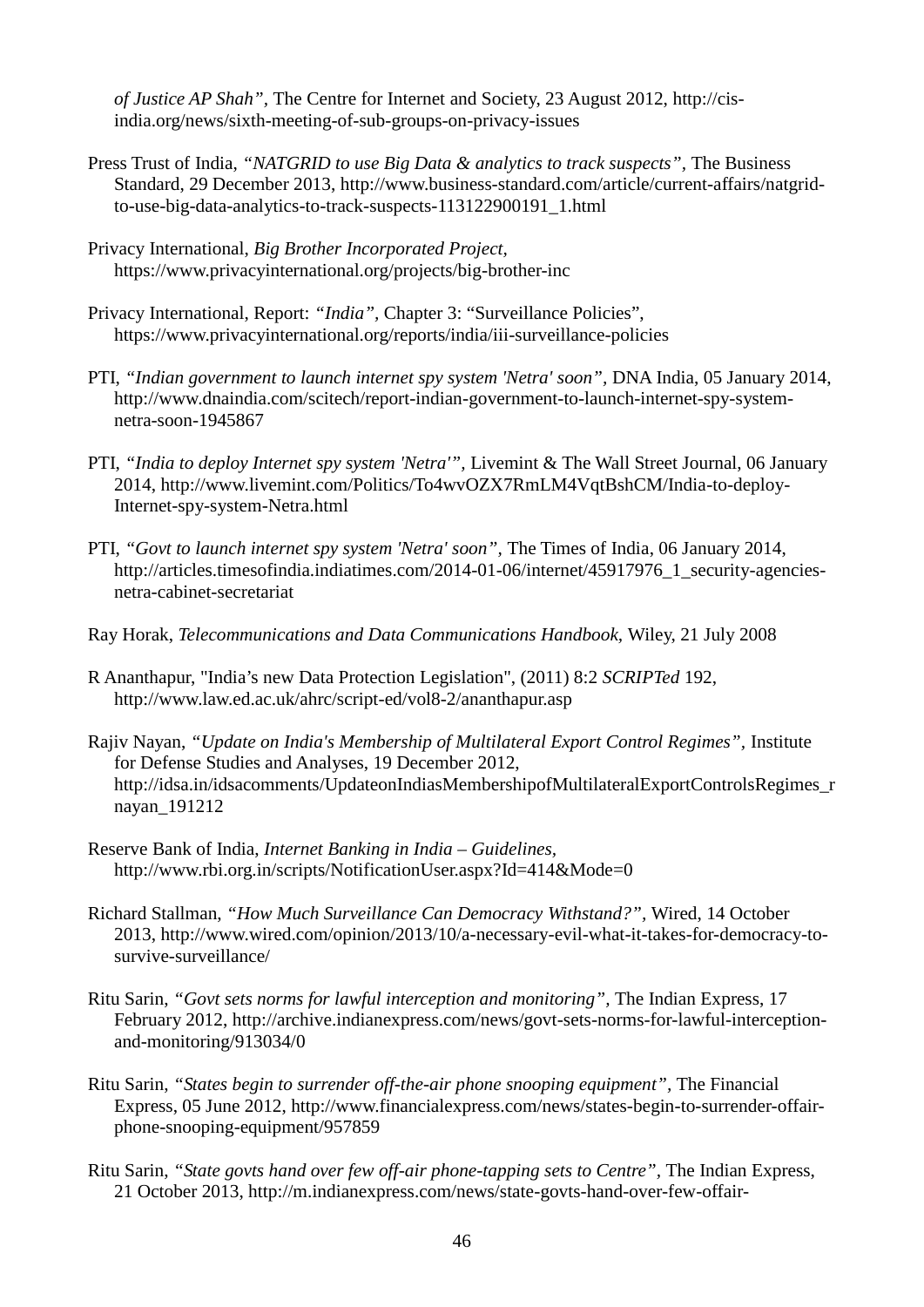*of Justice AP Shah",* The Centre for Internet and Society, 23 August 2012, [http://cis](http://cis-india.org/news/sixth-meeting-of-sub-groups-on-privacy-issues)[india.org/news/sixth-meeting-of-sub-groups-on-privacy-issues](http://cis-india.org/news/sixth-meeting-of-sub-groups-on-privacy-issues)

- Press Trust of India, *"NATGRID to use Big Data & analytics to track suspects",* The Business Standard, 29 December 2013, [http://www.business-standard.com/article/current-affairs/natgrid](http://www.business-standard.com/article/current-affairs/natgrid-to-use-big-data-analytics-to-track-suspects-113122900191_1.html)[to-use-big-data-analytics-to-track-suspects-113122900191\\_1.html](http://www.business-standard.com/article/current-affairs/natgrid-to-use-big-data-analytics-to-track-suspects-113122900191_1.html)
- Privacy International, *Big Brother Incorporated Project,*  <https://www.privacyinternational.org/projects/big-brother-inc>
- Privacy International, Report: *"India",* Chapter 3: "Surveillance Policies", <https://www.privacyinternational.org/reports/india/iii-surveillance-policies>
- PTI, "Indian government to launch internet spy system 'Netra' soon", DNA India, 05 January 2014, [http://www.dnaindia.com/scitech/report-indian-government-to-launch-internet-spy-system](http://www.dnaindia.com/scitech/report-indian-government-to-launch-internet-spy-system-netra-soon-1945867)[netra-soon-1945867](http://www.dnaindia.com/scitech/report-indian-government-to-launch-internet-spy-system-netra-soon-1945867)
- PTI, *"India to deploy Internet spy system 'Netra'",* Livemint & The Wall Street Journal, 06 January 2014, [http://www.livemint.com/Politics/To4wvOZX7RmLM4VqtBshCM/India-to-deploy-](http://www.livemint.com/Politics/To4wvOZX7RmLM4VqtBshCM/India-to-deploy-Internet-spy-system-Netra.html)[Internet-spy-system-Netra.html](http://www.livemint.com/Politics/To4wvOZX7RmLM4VqtBshCM/India-to-deploy-Internet-spy-system-Netra.html)
- PTI, *"Govt to launch internet spy system 'Netra' soon",* The Times of India, 06 January 2014, [http://articles.timesofindia.indiatimes.com/2014-01-06/internet/45917976\\_1\\_security-agencies](http://articles.timesofindia.indiatimes.com/2014-01-06/internet/45917976_1_security-agencies-netra-cabinet-secretariat)[netra-cabinet-secretariat](http://articles.timesofindia.indiatimes.com/2014-01-06/internet/45917976_1_security-agencies-netra-cabinet-secretariat)
- Ray Horak, *Telecommunications and Data Communications Handbook,* Wiley, 21 July 2008
- R Ananthapur, "India's new Data Protection Legislation", (2011) 8:2 *SCRIPTed* 192, http://www.law.ed.ac.uk/ahrc/script-ed/vol8-2/ananthapur.asp
- Rajiv Nayan, *"Update on India's Membership of Multilateral Export Control Regimes",* Institute for Defense Studies and Analyses, 19 December 2012, [http://idsa.in/idsacomments/UpdateonIndiasMembershipofMultilateralExportControlsRegimes\\_r](http://idsa.in/idsacomments/UpdateonIndiasMembershipofMultilateralExportControlsRegimes_rnayan_191212) [nayan\\_191212](http://idsa.in/idsacomments/UpdateonIndiasMembershipofMultilateralExportControlsRegimes_rnayan_191212)
- Reserve Bank of India, *Internet Banking in India – Guidelines,*  <http://www.rbi.org.in/scripts/NotificationUser.aspx?Id=414&Mode=0>
- Richard Stallman, *"How Much Surveillance Can Democracy Withstand?",* Wired, 14 October 2013, [http://www.wired.com/opinion/2013/10/a-necessary-evil-what-it-takes-for-democracy-to](http://www.wired.com/opinion/2013/10/a-necessary-evil-what-it-takes-for-democracy-to-survive-surveillance/)[survive-surveillance/](http://www.wired.com/opinion/2013/10/a-necessary-evil-what-it-takes-for-democracy-to-survive-surveillance/)
- Ritu Sarin, *"Govt sets norms for lawful interception and monitoring",* The Indian Express, 17 February 2012, [http://archive.indianexpress.com/news/govt-sets-norms-for-lawful-interception](http://archive.indianexpress.com/news/govt-sets-norms-for-lawful-interception-and-monitoring/913034/0)[and-monitoring/913034/0](http://archive.indianexpress.com/news/govt-sets-norms-for-lawful-interception-and-monitoring/913034/0)
- Ritu Sarin, *"States begin to surrender off-the-air phone snooping equipment",* The Financial Express, 05 June 2012, [http://www.financialexpress.com/news/states-begin-to-surrender-offair](http://www.financialexpress.com/news/states-begin-to-surrender-offair-phone-snooping-equipment/957859)[phone-snooping-equipment/957859](http://www.financialexpress.com/news/states-begin-to-surrender-offair-phone-snooping-equipment/957859)
- Ritu Sarin, *"State govts hand over few off-air phone-tapping sets to Centre",* The Indian Express, 21 October 2013, [http://m.indianexpress.com/news/state-govts-hand-over-few-offair-](http://m.indianexpress.com/news/state-govts-hand-over-few-offair-phonetapping-sets-to-centre/1185166/)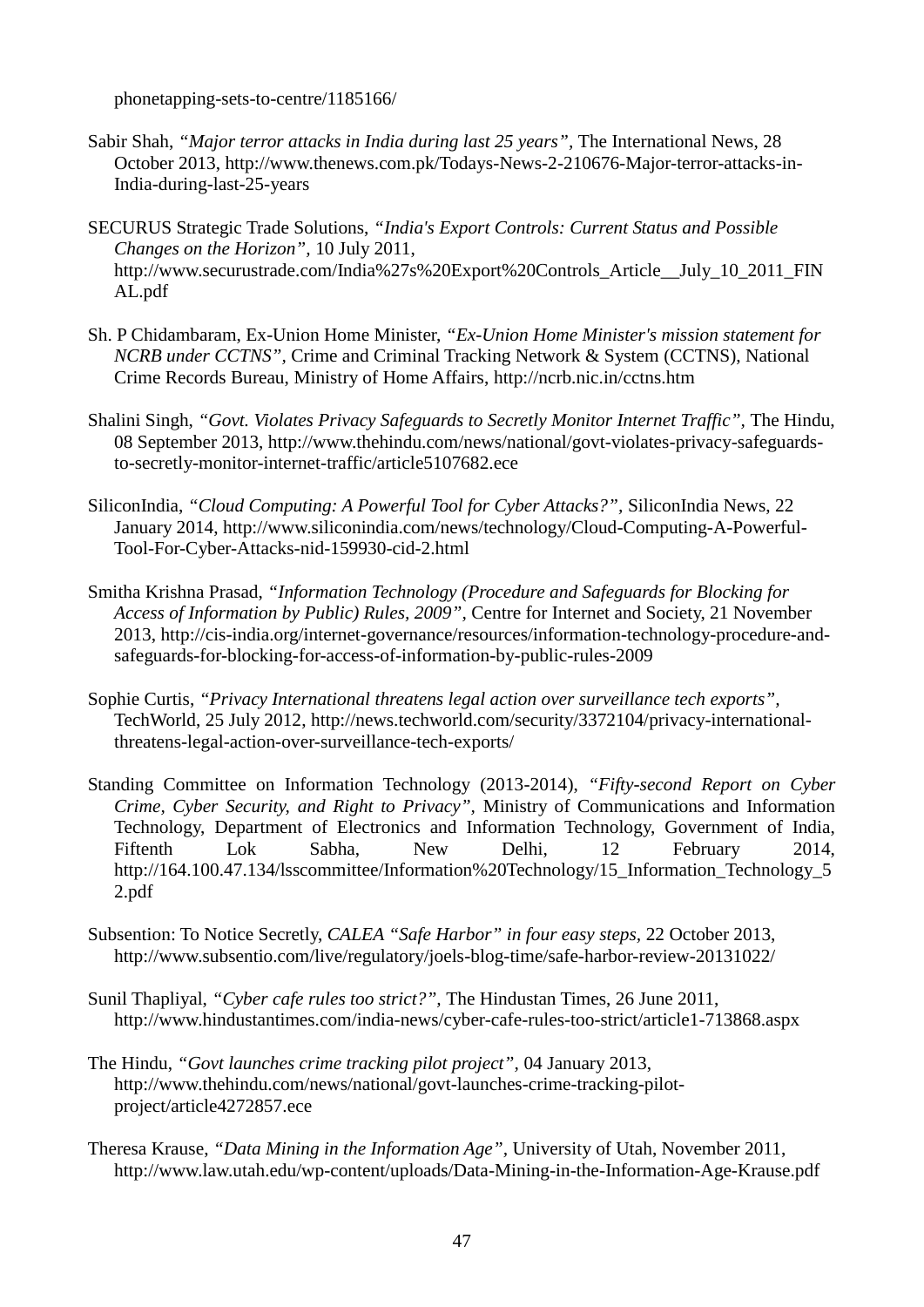[phonetapping-sets-to-centre/1185166/](http://m.indianexpress.com/news/state-govts-hand-over-few-offair-phonetapping-sets-to-centre/1185166/)

- Sabir Shah, *"Major terror attacks in India during last 25 years"*, The International News, 28 October 2013, [http://www.thenews.com.pk/Todays-News-2-210676-Major-terror-attacks-in-](http://www.thenews.com.pk/Todays-News-2-210676-Major-terror-attacks-in-India-during-last-25-years)[India-during-last-25-years](http://www.thenews.com.pk/Todays-News-2-210676-Major-terror-attacks-in-India-during-last-25-years)
- SECURUS Strategic Trade Solutions, *"India's Export Controls: Current Status and Possible Changes on the Horizon",* 10 July 2011, http://www.securustrade.com/India%27s%20Export%20Controls\_Article\_July\_10\_2011\_FIN [AL.pdf](http://www.securustrade.com/India%27s%20Export%20Controls_Article__July_10_2011_FINAL.pdf)
- Sh. P Chidambaram, Ex-Union Home Minister, *"Ex-Union Home Minister's mission statement for NCRB under CCTNS",* Crime and Criminal Tracking Network & System (CCTNS), National Crime Records Bureau, Ministry of Home Affairs,<http://ncrb.nic.in/cctns.htm>
- Shalini Singh, "Govt. Violates Privacy Safeguards to Secretly Monitor Internet Traffic", The Hindu, 08 September 2013, [http://www.thehindu.com/news/national/govt-violates-privacy-safeguards](http://www.thehindu.com/news/national/govt-violates-privacy-safeguards-to-secretly-monitor-internet-traffic/article5107682.ece)[to-secretly-monitor-internet-traffic/article5107682.ece](http://www.thehindu.com/news/national/govt-violates-privacy-safeguards-to-secretly-monitor-internet-traffic/article5107682.ece)
- SiliconIndia, *"Cloud Computing: A Powerful Tool for Cyber Attacks?",* SiliconIndia News, 22 January 2014, [http://www.siliconindia.com/news/technology/Cloud-Computing-A-Powerful-](http://www.siliconindia.com/news/technology/Cloud-Computing-A-Powerful-Tool-For-Cyber-Attacks-nid-159930-cid-2.html)[Tool-For-Cyber-Attacks-nid-159930-cid-2.html](http://www.siliconindia.com/news/technology/Cloud-Computing-A-Powerful-Tool-For-Cyber-Attacks-nid-159930-cid-2.html)
- Smitha Krishna Prasad, *"Information Technology (Procedure and Safeguards for Blocking for Access of Information by Public) Rules, 2009",* Centre for Internet and Society, 21 November 2013, [http://cis-india.org/internet-governance/resources/information-technology-procedure-and](http://cis-india.org/internet-governance/resources/information-technology-procedure-and-safeguards-for-blocking-for-access-of-information-by-public-rules-2009)[safeguards-for-blocking-for-access-of-information-by-public-rules-2009](http://cis-india.org/internet-governance/resources/information-technology-procedure-and-safeguards-for-blocking-for-access-of-information-by-public-rules-2009)
- Sophie Curtis, *"Privacy International threatens legal action over surveillance tech exports",*  TechWorld, 25 July 2012, [http://news.techworld.com/security/3372104/privacy-international](http://news.techworld.com/security/3372104/privacy-international-threatens-legal-action-over-surveillance-tech-exports/)[threatens-legal-action-over-surveillance-tech-exports/](http://news.techworld.com/security/3372104/privacy-international-threatens-legal-action-over-surveillance-tech-exports/)
- Standing Committee on Information Technology (2013-2014), *"Fifty-second Report on Cyber Crime, Cyber Security, and Right to Privacy",* Ministry of Communications and Information Technology, Department of Electronics and Information Technology, Government of India, Fiftenth Lok Sabha, New Delhi, 12 February 2014, [http://164.100.47.134/lsscommittee/Information%20Technology/15\\_Information\\_Technology\\_5](http://164.100.47.134/lsscommittee/Information%20Technology/15_Information_Technology_52.pdf) [2.pdf](http://164.100.47.134/lsscommittee/Information%20Technology/15_Information_Technology_52.pdf)
- Subsention: To Notice Secretly, *CALEA "Safe Harbor" in four easy steps,* 22 October 2013, <http://www.subsentio.com/live/regulatory/joels-blog-time/safe-harbor-review-20131022/>
- Sunil Thapliyal, *"Cyber cafe rules too strict?",* The Hindustan Times, 26 June 2011, <http://www.hindustantimes.com/india-news/cyber-cafe-rules-too-strict/article1-713868.aspx>
- The Hindu, *"Govt launches crime tracking pilot project",* 04 January 2013, [http://www.thehindu.com/news/national/govt-launches-crime-tracking-pilot](http://www.thehindu.com/news/national/govt-launches-crime-tracking-pilot-project/article4272857.ece)[project/article4272857.ece](http://www.thehindu.com/news/national/govt-launches-crime-tracking-pilot-project/article4272857.ece)
- Theresa Krause, *"Data Mining in the Information Age",* University of Utah, November 2011, <http://www.law.utah.edu/wp-content/uploads/Data-Mining-in-the-Information-Age-Krause.pdf>